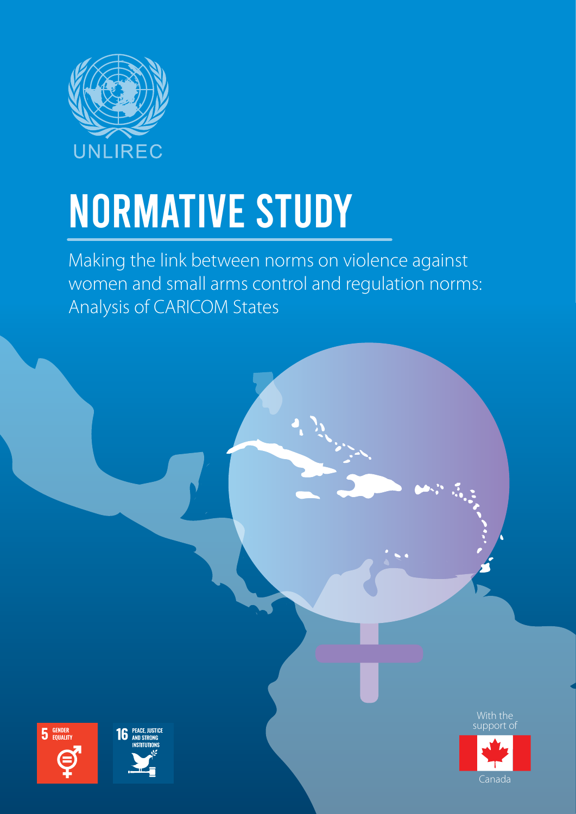

# NORMATIVE STUDY

Making the link between norms on violence against women and small arms control and regulation norms: Analysis of CARICOM States







Canada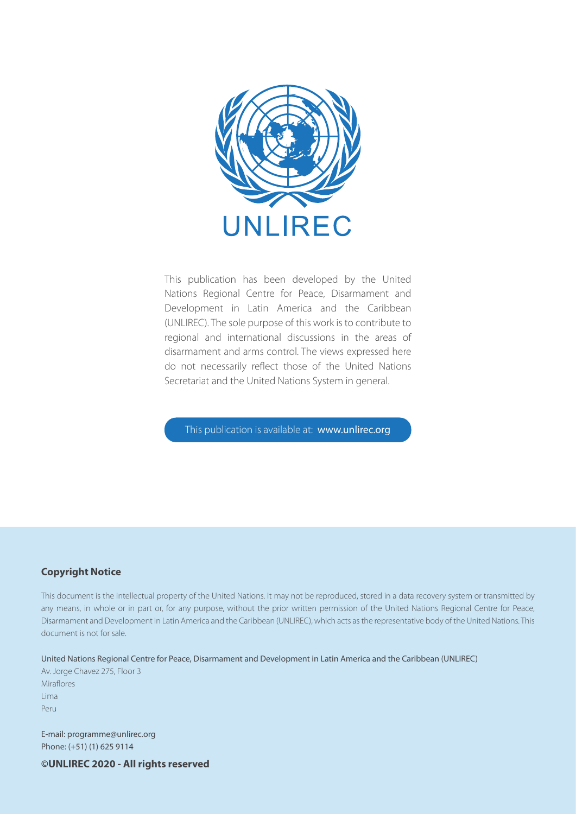

This publication has been developed by the United Nations Regional Centre for Peace, Disarmament and Development in Latin America and the Caribbean (UNLIREC). The sole purpose of this work is to contribute to regional and international discussions in the areas of disarmament and arms control. The views expressed here do not necessarily reflect those of the United Nations Secretariat and the United Nations System in general.

This publication is available at: www.unlirec.org

#### **Copyright Notice**

This document is the intellectual property of the United Nations. It may not be reproduced, stored in a data recovery system or transmitted by any means, in whole or in part or, for any purpose, without the prior written permission of the United Nations Regional Centre for Peace, Disarmament and Development in Latin America and the Caribbean (UNLIREC), which acts as the representative body of the United Nations. This document is not for sale.

#### United Nations Regional Centre for Peace, Disarmament and Development in Latin America and the Caribbean (UNLIREC)

Av. Jorge Chavez 275, Floor 3 Miraflores Lima Peru

E-mail: programme@unlirec.org Phone: (+51) (1) 625 9114

**©UNLIREC 2020 - All rights reserved**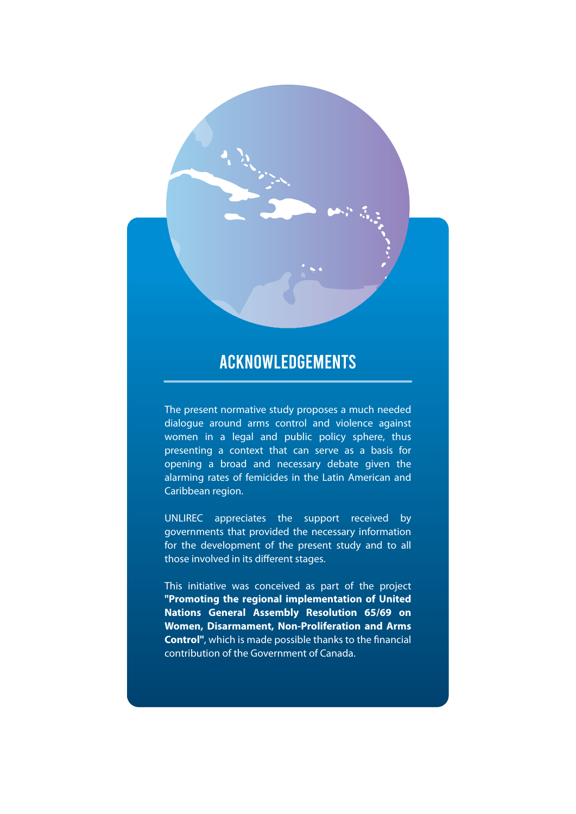#### ACKNOWLEDGEMENTS

The present normative study proposes a much needed dialogue around arms control and violence against women in a legal and public policy sphere, thus presenting a context that can serve as a basis for opening a broad and necessary debate given the alarming rates of femicides in the Latin American and Caribbean region.

UNLIREC appreciates the support received by governments that provided the necessary information for the development of the present study and to all those involved in its different stages.

This initiative was conceived as part of the project **"Promoting the regional implementation of United Nations General Assembly Resolution 65/69 on Women, Disarmament, Non-Proliferation and Arms Control**", which is made possible thanks to the financial contribution of the Government of Canada.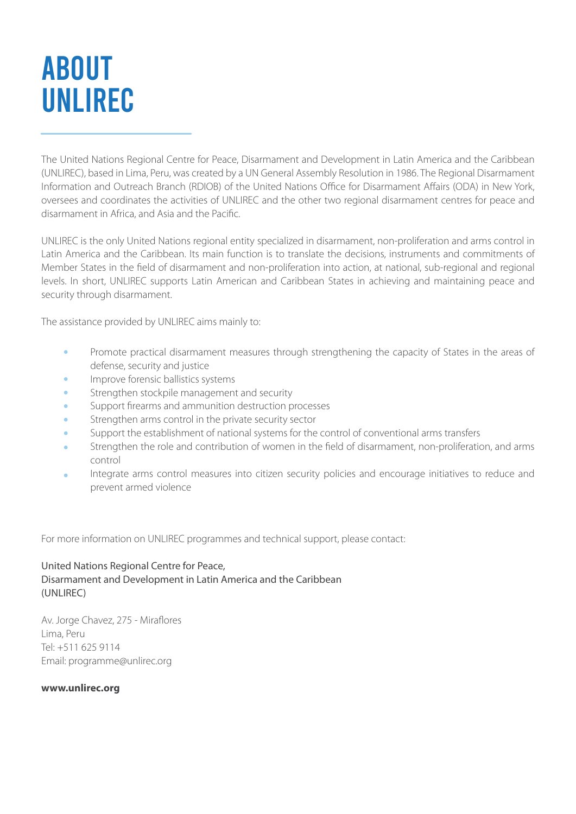### ABOUT UNLIREC

The United Nations Regional Centre for Peace, Disarmament and Development in Latin America and the Caribbean (UNLIREC), based in Lima, Peru, was created by a UN General Assembly Resolution in 1986. The Regional Disarmament Information and Outreach Branch (RDIOB) of the United Nations Office for Disarmament Affairs (ODA) in New York, oversees and coordinates the activities of UNLIREC and the other two regional disarmament centres for peace and disarmament in Africa, and Asia and the Pacific.

UNLIREC is the only United Nations regional entity specialized in disarmament, non-proliferation and arms control in Latin America and the Caribbean. Its main function is to translate the decisions, instruments and commitments of Member States in the field of disarmament and non-proliferation into action, at national, sub-regional and regional levels. In short, UNLIREC supports Latin American and Caribbean States in achieving and maintaining peace and security through disarmament.

The assistance provided by UNLIREC aims mainly to:

- Promote practical disarmament measures through strengthening the capacity of States in the areas of  $\Delta$ defense, security and justice
- Improve forensic ballistics systems
- Strengthen stockpile management and security
- Support firearms and ammunition destruction processes
- Strengthen arms control in the private security sector
- Support the establishment of national systems for the control of conventional arms transfers
- Strengthen the role and contribution of women in the field of disarmament, non-proliferation, and arms control
- Integrate arms control measures into citizen security policies and encourage initiatives to reduce and prevent armed violence

For more information on UNLIREC programmes and technical support, please contact:

#### United Nations Regional Centre for Peace, Disarmament and Development in Latin America and the Caribbean (UNLIREC)

Av. Jorge Chavez, 275 - Miraflores Lima, Peru Tel: +511 625 9114 Email: programme@unlirec.org

**www.unlirec.org**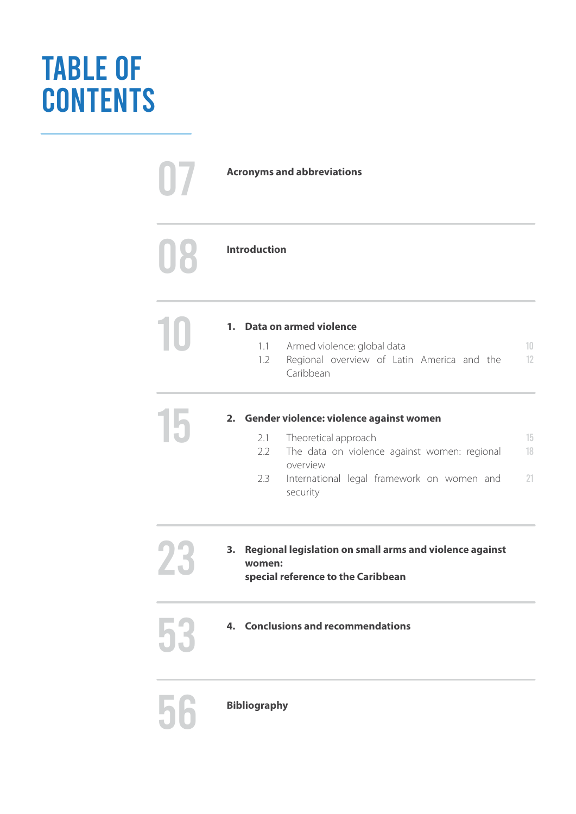### TABLE OF **CONTENTS**

07 **Acronyms and abbreviations Introduction** 56 **Bibliography 10 1. Data on armed violence 1.1 Armed violence:** 1.1 1.2 10 12 Armed violence: global data Regional overview of Latin America and the Caribbean **15 16 2.1 Cender violence: violence against women**<br>2.1 Theoretical approach 2.1 2.2 2.3 15 18 21 Theoretical approach The data on violence against women: regional overview International legal framework on women and security **23 • Regional legislation on small arms and violence against women:**<br> **Expecial reference to the Caribbean women: special reference to the Caribbean** 53 **Conclusions and recommendations 1. 2. 3. 4.**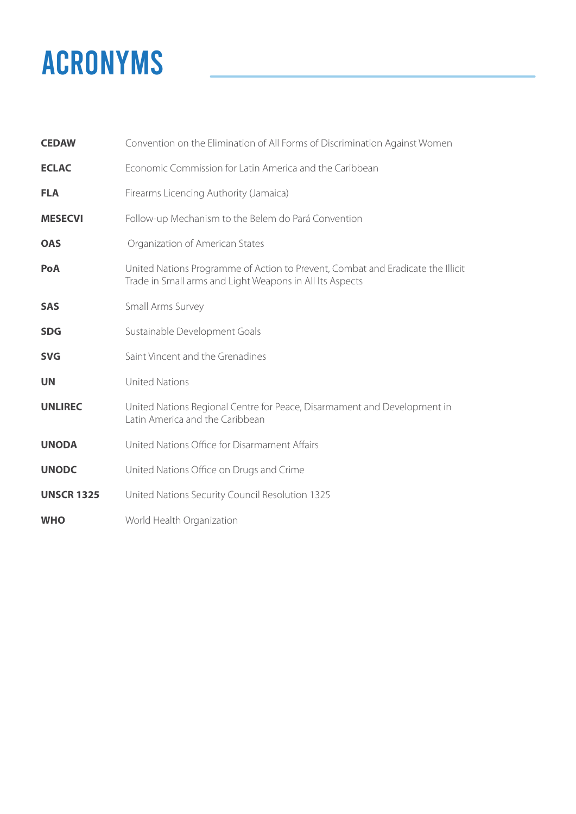### ACRONYMS

| <b>CEDAW</b>      | Convention on the Elimination of All Forms of Discrimination Against Women                                                                  |
|-------------------|---------------------------------------------------------------------------------------------------------------------------------------------|
| <b>ECLAC</b>      | Economic Commission for Latin America and the Caribbean                                                                                     |
| <b>FLA</b>        | Firearms Licencing Authority (Jamaica)                                                                                                      |
| <b>MESECVI</b>    | Follow-up Mechanism to the Belem do Pará Convention                                                                                         |
| <b>OAS</b>        | Organization of American States                                                                                                             |
| PoA               | United Nations Programme of Action to Prevent, Combat and Eradicate the Illicit<br>Trade in Small arms and Light Weapons in All Its Aspects |
| <b>SAS</b>        | Small Arms Survey                                                                                                                           |
| <b>SDG</b>        | Sustainable Development Goals                                                                                                               |
| <b>SVG</b>        | Saint Vincent and the Grenadines                                                                                                            |
| <b>UN</b>         | <b>United Nations</b>                                                                                                                       |
| <b>UNLIREC</b>    | United Nations Regional Centre for Peace, Disarmament and Development in<br>Latin America and the Caribbean                                 |
| <b>UNODA</b>      | United Nations Office for Disarmament Affairs                                                                                               |
| <b>UNODC</b>      | United Nations Office on Drugs and Crime                                                                                                    |
| <b>UNSCR 1325</b> | United Nations Security Council Resolution 1325                                                                                             |
| <b>WHO</b>        | World Health Organization                                                                                                                   |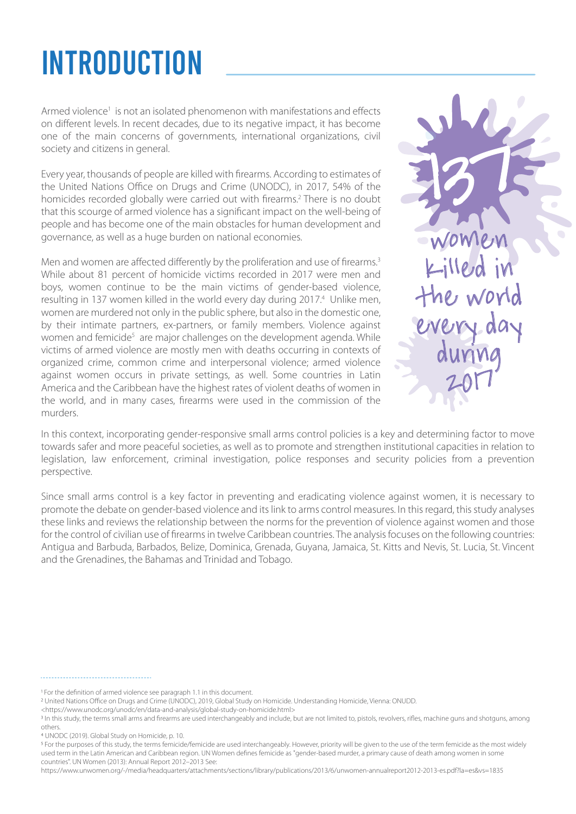### INTRODUCTION

Armed violence<sup>1</sup> is not an isolated phenomenon with manifestations and effects on different levels. In recent decades, due to its negative impact, it has become one of the main concerns of governments, international organizations, civil society and citizens in general.

Every year, thousands of people are killed with firearms. According to estimates of the United Nations Office on Drugs and Crime (UNODC), in 2017, 54% of the homicides recorded globally were carried out with firearms.<sup>2</sup> There is no doubt that this scourge of armed violence has a significant impact on the well-being of people and has become one of the main obstacles for human development and governance, as well as a huge burden on national economies.

Men and women are affected differently by the proliferation and use of firearms.<sup>3</sup> While about 81 percent of homicide victims recorded in 2017 were men and boys, women continue to be the main victims of gender-based violence, resulting in 137 women killed in the world every day during 2017.4 Unlike men, women are murdered not only in the public sphere, but also in the domestic one, by their intimate partners, ex-partners, or family members. Violence against women and femicide<sup>5</sup> are major challenges on the development agenda. While victims of armed violence are mostly men with deaths occurring in contexts of organized crime, common crime and interpersonal violence; armed violence against women occurs in private settings, as well. Some countries in Latin America and the Caribbean have the highest rates of violent deaths of women in the world, and in many cases, firearms were used in the commission of the murders.



In this context, incorporating gender-responsive small arms control policies is a key and determining factor to move towards safer and more peaceful societies, as well as to promote and strengthen institutional capacities in relation to legislation, law enforcement, criminal investigation, police responses and security policies from a prevention perspective.

Since small arms control is a key factor in preventing and eradicating violence against women, it is necessary to promote the debate on gender-based violence and its link to arms control measures. In this regard, this study analyses these links and reviews the relationship between the norms for the prevention of violence against women and those for the control of civilian use of firearms in twelve Caribbean countries. The analysis focuses on the following countries: Antigua and Barbuda, Barbados, Belize, Dominica, Grenada, Guyana, Jamaica, St. Kitts and Nevis, St. Lucia, St. Vincent and the Grenadines, the Bahamas and Trinidad and Tobago.

United Nations Office on Drugs and Crime (UNODC), 2019, Global Study on Homicide. Understanding Homicide, Vienna: ONUDD.

UNODC (2019). Global Study on Homicide, p. 10.

<sup>5</sup> For the purposes of this study, the terms femicide/femicide are used interchangeably. However, priority will be given to the use of the term femicide as the most widely used term in the Latin American and Caribbean region. UN Women defines femicide as "gender-based murder, a primary cause of death among women in some countries". UN Women (2013): Annual Report 2012–2013 See:

https://www.unwomen.org/-/media/headquarters/attachments/sections/library/publications/2013/6/unwomen-annualreport2012-2013-es.pdf?la=es&vs=1835

For the definition of armed violence see paragraph 1.1 in this document.

<sup>&</sup>lt;https://www.unodc.org/unodc/en/data-and-analysis/global-study-on-homicide.html>

<sup>&</sup>lt;sup>3</sup> In this study, the terms small arms and firearms are used interchangeably and include, but are not limited to, pistols, revolvers, rifles, machine guns and shotguns, among others.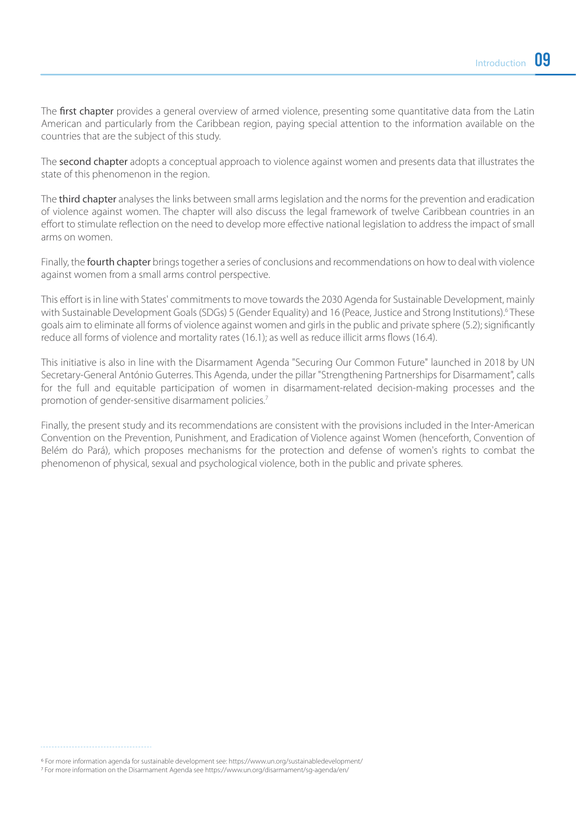The first chapter provides a general overview of armed violence, presenting some quantitative data from the Latin American and particularly from the Caribbean region, paying special attention to the information available on the countries that are the subject of this study.

The second chapter adopts a conceptual approach to violence against women and presents data that illustrates the state of this phenomenon in the region.

The third chapter analyses the links between small arms legislation and the norms for the prevention and eradication of violence against women. The chapter will also discuss the legal framework of twelve Caribbean countries in an effort to stimulate reflection on the need to develop more effective national legislation to address the impact of small arms on women.

Finally, the **fourth chapter** brings together a series of conclusions and recommendations on how to deal with violence against women from a small arms control perspective.

This effort is in line with States' commitments to move towards the 2030 Agenda for Sustainable Development, mainly with Sustainable Development Goals (SDGs) 5 (Gender Equality) and 16 (Peace, Justice and Strong Institutions).<sup>6</sup>These goals aim to eliminate all forms of violence against women and girls in the public and private sphere (5.2); significantly reduce all forms of violence and mortality rates (16.1); as well as reduce illicit arms flows (16.4).

This initiative is also in line with the Disarmament Agenda "Securing Our Common Future" launched in 2018 by UN Secretary-General António Guterres. This Agenda, under the pillar "Strengthening Partnerships for Disarmament", calls for the full and equitable participation of women in disarmament-related decision-making processes and the promotion of gender-sensitive disarmament policies.7

Finally, the present study and its recommendations are consistent with the provisions included in the Inter-American Convention on the Prevention, Punishment, and Eradication of Violence against Women (henceforth, Convention of Belém do Pará), which proposes mechanisms for the protection and defense of women's rights to combat the phenomenon of physical, sexual and psychological violence, both in the public and private spheres.

For more information agenda for sustainable development see: https://www.un.org/sustainabledevelopment/

For more information on the Disarmament Agenda see https://www.un.org/disarmament/sg-agenda/en/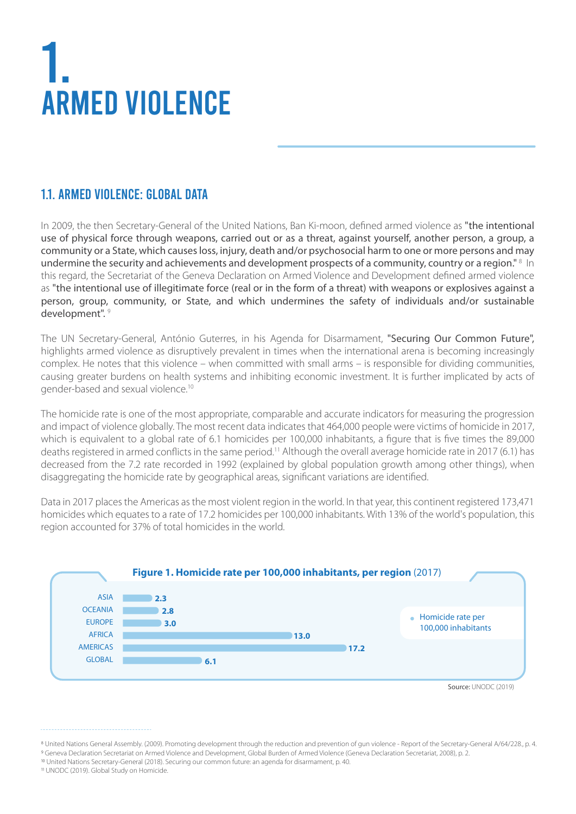## 1. ARMED VIOLENCE

#### 1.1. ARMED VIOLENCE: GLOBAL DATA

In 2009, the then Secretary-General of the United Nations, Ban Ki-moon, defined armed violence as "the intentional use of physical force through weapons, carried out or as a threat, against yourself, another person, a group, a community or a State, which causes loss, injury, death and/or psychosocial harm to one or more persons and may undermine the security and achievements and development prospects of a community, country or a region." <sup>8</sup> In this regard, the Secretariat of the Geneva Declaration on Armed Violence and Development defined armed violence as "the intentional use of illegitimate force (real or in the form of a threat) with weapons or explosives against a person, group, community, or State, and which undermines the safety of individuals and/or sustainable development". <sup>9</sup>

The UN Secretary-General, António Guterres, in his Agenda for Disarmament, "Securing Our Common Future", highlights armed violence as disruptively prevalent in times when the international arena is becoming increasingly complex. He notes that this violence – when committed with small arms – is responsible for dividing communities, causing greater burdens on health systems and inhibiting economic investment. It is further implicated by acts of gender-based and sexual violence.10

The homicide rate is one of the most appropriate, comparable and accurate indicators for measuring the progression and impact of violence globally. The most recent data indicates that 464,000 people were victims of homicide in 2017, which is equivalent to a global rate of 6.1 homicides per 100,000 inhabitants, a figure that is five times the 89,000 deaths registered in armed conflicts in the same period.11 Although the overall average homicide rate in 2017 (6.1) has decreased from the 7.2 rate recorded in 1992 (explained by global population growth among other things), when disaggregating the homicide rate by geographical areas, significant variations are identified.

Data in 2017 places the Americas as the most violent region in the world. In that year, this continent registered 173,471 homicides which equates to a rate of 17.2 homicides per 100,000 inhabitants. With 13% of the world's population, this region accounted for 37% of total homicides in the world.



UNODC (2019). Global Study on Homicide.

<sup>&</sup>lt;sup>8</sup> United Nations General Assembly. (2009). Promoting development through the reduction and prevention of gun violence - Report of the Secretary-General A/64/228, p. 4. <sup>9</sup> Geneva Declaration Secretariat on Armed Violence and Development, Global Burden of Armed Violence (Geneva Declaration Secretariat, 2008), p. 2. United Nations Secretary-General (2018). Securing our common future: an agenda for disarmament, p. 40.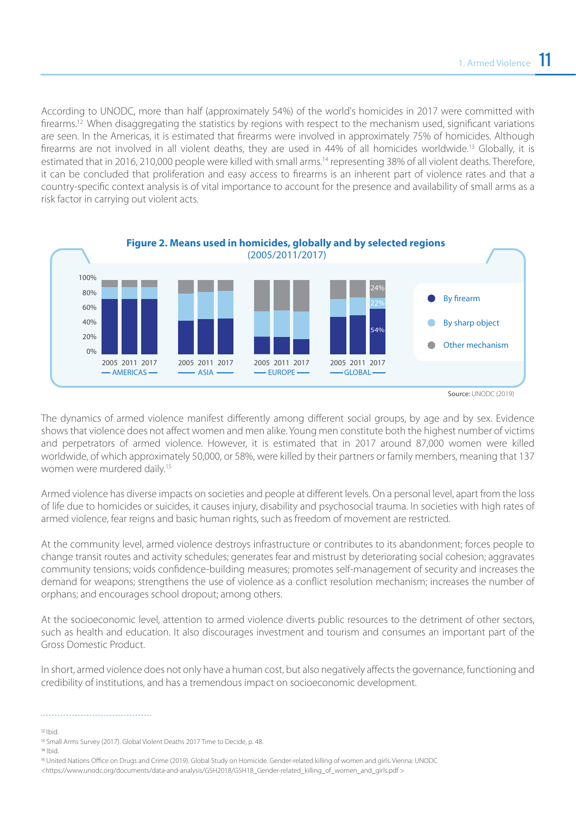According to UNODC, more than half (approximately 54%) of the world's homicides in 2017 were committed with firearms.<sup>12</sup> When disaggregating the statistics by regions with respect to the mechanism used, significant variations are seen. In the Americas, it is estimated that firearms were involved in approximately 75% of homicides. Although firearms are not involved in all violent deaths, they are used in 44% of all homicides worldwide.13 Globally, it is estimated that in 2016, 210,000 people were killed with small arms.<sup>14</sup> representing 38% of all violent deaths. Therefore, it can be concluded that proliferation and easy access to firearms is an inherent part of violence rates and that a country-specific context analysis is of vital importance to account for the presence and availability of small arms as a risk factor in carrying out violent acts.



Source: UNODC (2019)

The dynamics of armed violence manifest differently among different social groups, by age and by sex. Evidence shows that violence does not affect women and men alike. Young men constitute both the highest number of victims and perpetrators of armed violence. However, it is estimated that in 2017 around 87,000 women were killed worldwide, of which approximately 50,000, or 58%, were killed by their partners or family members, meaning that 137 women were murdered daily.15

Armed violence has diverse impacts on societies and people at different levels. On a personal level, apart from the loss of life due to homicides or suicides, it causes injury, disability and psychosocial trauma. In societies with high rates of armed violence, fear reigns and basic human rights, such as freedom of movement are restricted.

At the community level, armed violence destroys infrastructure or contributes to its abandonment; forces people to change transit routes and activity schedules; generates fear and mistrust by deteriorating social cohesion; aggravates community tensions; voids confidence-building measures; promotes self-management of security and increases the demand for weapons; strengthens the use of violence as a conflict resolution mechanism; increases the number of orphans; and encourages school dropout; among others.

At the socioeconomic level, attention to armed violence diverts public resources to the detriment of other sectors, such as health and education. It also discourages investment and tourism and consumes an important part of the Gross Domestic Product.

In short, armed violence does not only have a human cost, but also negatively affects the governance, functioning and credibility of institutions, and has a tremendous impact on socioeconomic development.

Ibid.

<sup>&</sup>lt;sup>13</sup> Small Arms Survey (2017). Global Violent Deaths 2017 Time to Decide, p. 48.

<sup>14</sup> Ibid.

United Nations Office on Drugs and Crime (2019). Global Study on Homicide. Gender-related killing of women and girls. Vienna: UNODC <https://www.unodc.org/documents/data-and-analysis/GSH2018/GSH18\_Gender-related\_killing\_of\_women\_and\_girls.pdf >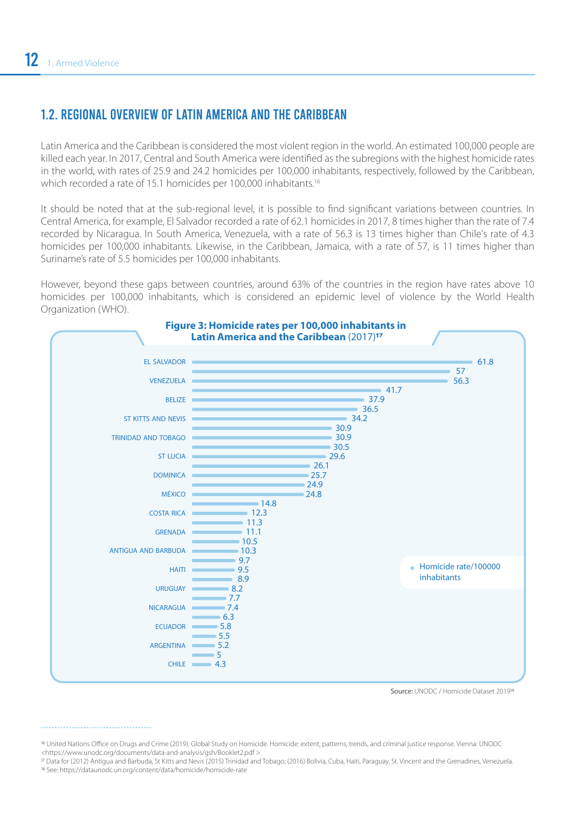#### 1.2. REGIONAL OVERVIEW OF LATIN AMERICA AND THE CARIBBEAN

Latin America and the Caribbean is considered the most violent region in the world. An estimated 100,000 people are killed each year. In 2017, Central and South America were identified as the subregions with the highest homicide rates in the world, with rates of 25.9 and 24.2 homicides per 100,000 inhabitants, respectively, followed by the Caribbean, which recorded a rate of 15.1 homicides per 100,000 inhabitants.<sup>16</sup>

It should be noted that at the sub-regional level, it is possible to find significant variations between countries. In Central America, for example, El Salvador recorded a rate of 62.1 homicides in 2017, 8 times higher than the rate of 7.4 recorded by Nicaragua. In South America, Venezuela, with a rate of 56.3 is 13 times higher than Chile's rate of 4.3 homicides per 100,000 inhabitants. Likewise, in the Caribbean, Jamaica, with a rate of 57, is 11 times higher than Suriname's rate of 5.5 homicides per 100,000 inhabitants.

However, beyond these gaps between countries, around 63% of the countries in the region have rates above 10 homicides per 100,000 inhabitants, which is considered an epidemic level of violence by the World Health Organization (WHO).



Source: UNODC / Homicide Dataset 2019<sup>18</sup>

<sup>16</sup> United Nations Office on Drugs and Crime (2019). Global Study on Homicide: Homicide: extent, patterns, trends, and criminal justice response. Vienna: UNODC <https://www.unodc.org/documents/data-and-analysis/gsh/Booklet2.pdf >

 Data for (2012) Antigua and Barbuda, St Kitts and Nevis (2015) Trinidad and Tobago; (2016) Bolivia, Cuba, Haiti, Paraguay, St. Vincent and the Grenadines, Venezuela. See: https://dataunodc.un.org/content/data/homicide/homicide-rate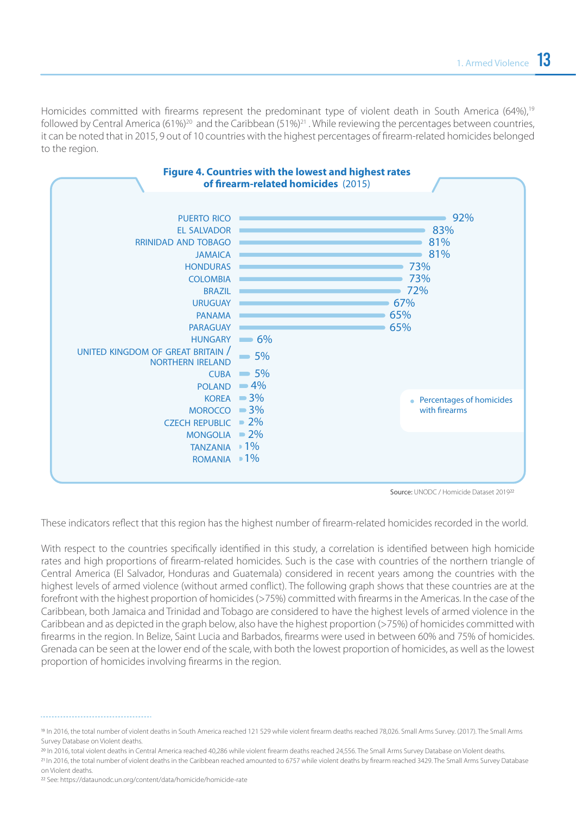Homicides committed with firearms represent the predominant type of violent death in South America (64%),<sup>19</sup> followed by Central America (61%)<sup>20</sup> and the Caribbean (51%)<sup>21</sup>. While reviewing the percentages between countries, it can be noted that in 2015, 9 out of 10 countries with the highest percentages of firearm-related homicides belonged to the region.



Source: UNODC / Homicide Dataset 201922

These indicators reflect that this region has the highest number of firearm-related homicides recorded in the world.

With respect to the countries specifically identified in this study, a correlation is identified between high homicide rates and high proportions of firearm-related homicides. Such is the case with countries of the northern triangle of Central America (El Salvador, Honduras and Guatemala) considered in recent years among the countries with the highest levels of armed violence (without armed conflict). The following graph shows that these countries are at the forefront with the highest proportion of homicides (>75%) committed with firearms in the Americas. In the case of the Caribbean, both Jamaica and Trinidad and Tobago are considered to have the highest levels of armed violence in the Caribbean and as depicted in the graph below, also have the highest proportion (>75%) of homicides committed with firearms in the region. In Belize, Saint Lucia and Barbados, firearms were used in between 60% and 75% of homicides. Grenada can be seen at the lower end of the scale, with both the lowest proportion of homicides, as well as the lowest proportion of homicides involving firearms in the region.

 In 2016, total violent deaths in Central America reached 40,286 while violent firearm deaths reached 24,556. The Small Arms Survey Database on Violent deaths. <sup>21</sup> In 2016, the total number of violent deaths in the Caribbean reached amounted to 6757 while violent deaths by firearm reached 3429. The Small Arms Survey Database on Violent deaths.

In 2016, the total number of violent deaths in South America reached 121 529 while violent firearm deaths reached 78,026. Small Arms Survey. (2017). The Small Arms Survey Database on Violent deaths.

<sup>22</sup> See: https://dataunodc.un.org/content/data/homicide/homicide-rate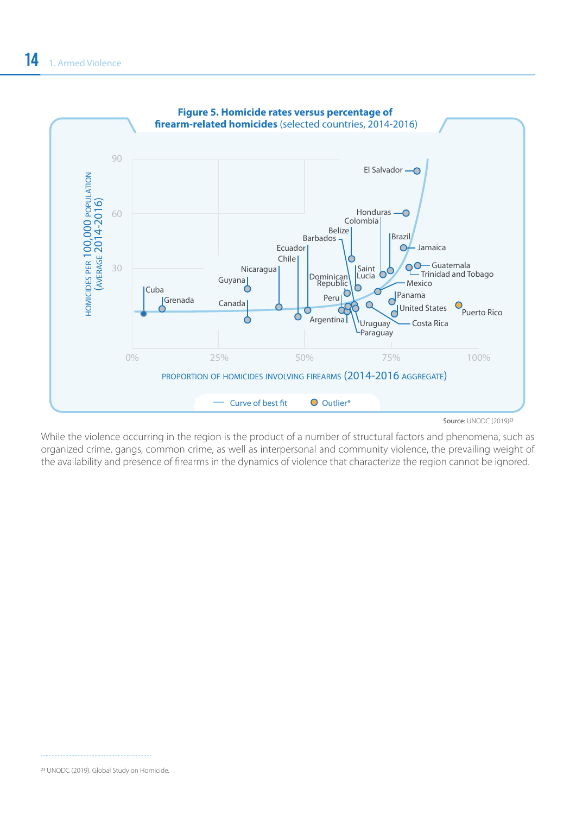

While the violence occurring in the region is the product of a number of structural factors and phenomena, such as organized crime, gangs, common crime, as well as interpersonal and community violence, the prevailing weight of the availability and presence of firearms in the dynamics of violence that characterize the region cannot be ignored.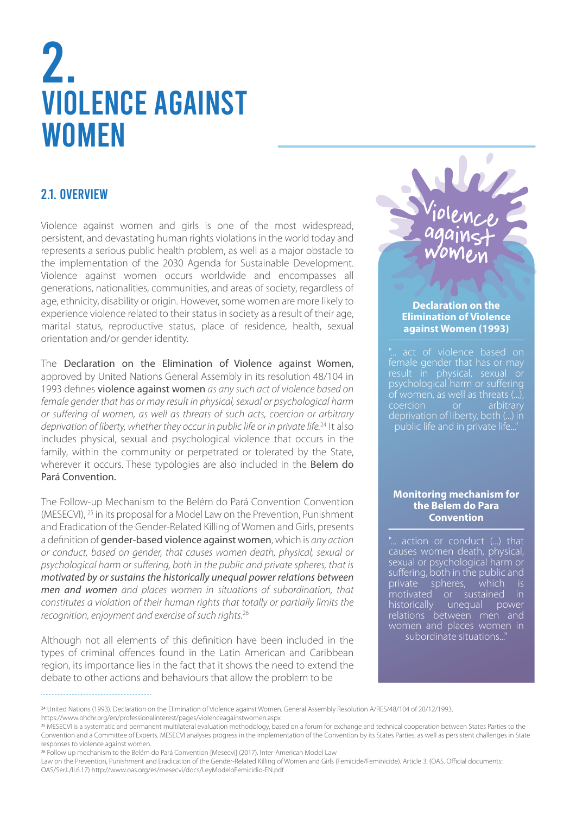### 2. VIOLENCE AGAINST **WOMEN**

#### 2.1. OVERVIEW

Violence against women and girls is one of the most widespread, persistent, and devastating human rights violations in the world today and represents a serious public health problem, as well as a major obstacle to the implementation of the 2030 Agenda for Sustainable Development. Violence against women occurs worldwide and encompasses all generations, nationalities, communities, and areas of society, regardless of age, ethnicity, disability or origin. However, some women are more likely to experience violence related to their status in society as a result of their age, marital status, reproductive status, place of residence, health, sexual orientation and/or gender identity.

The Declaration on the Elimination of Violence against Women, approved by United Nations General Assembly in its resolution 48/104 in 1993 defines violence against women *as any such act of violence based on female gender that has or may result in physical, sexual or psychological harm or suffering of women, as well as threats of such acts, coercion or arbitrary deprivation of liberty, whether they occur in public life or in private life.*24 It also includes physical, sexual and psychological violence that occurs in the family, within the community or perpetrated or tolerated by the State, wherever it occurs. These typologies are also included in the **Belem do** Pará Convention.

The Follow-up Mechanism to the Belém do Pará Convention Convention (MESECVI), 25 in its proposal for a Model Law on the Prevention, Punishment and Eradication of the Gender-Related Killing of Women and Girls, presents a definition of gender-based violence against women, which is *any action or conduct, based on gender, that causes women death, physical, sexual or psychological harm or suffering, both in the public and private spheres, that is motivated by or sustains the historically unequal power relations between men and women and places women in situations of subordination, that constitutes a violation of their human rights that totally or partially limits the recognition, enjoyment and exercise of such rights.*<sup>26</sup>

Although not all elements of this definition have been included in the types of criminal offences found in the Latin American and Caribbean region, its importance lies in the fact that it shows the need to extend the debate to other actions and behaviours that allow the problem to be

Violence against women

#### **Declaration on the Elimination of Violence against Women (1993)**

psychological harm or suffering coercion or arbitrary deprivation of liberty, both (...) in public life and in private life..."

#### **Monitoring mechanism for the Belem do Para Convention**

action or conduct (...) that causes women death, physical, sexual or psychological harm or suffering, both in the public and private spheres, which is<br>motivated or sustained in or sustained in historically unequal power relations between men and women and places women in subordinate situations..."

Law on the Prevention, Punishment and Eradication of the Gender-Related Killing of Women and Girls (Femicide/Feminicide). Article 3. (OAS. Official documents: OAS/Ser.L/II.6.17) http://www.oas.org/es/mesecvi/docs/LeyModeloFemicidio-EN.pdf

United Nations (1993). Declaration on the Elimination of Violence against Women. General Assembly Resolution A/RES/48/104 of 20/12/1993. https://www.ohchr.org/en/professionalinterest/pages/violenceagainstwomen.aspx

MESECVI is a systematic and permanent multilateral evaluation methodology, based on a forum for exchange and technical cooperation between States Parties to the Convention and a Committee of Experts. MESECVI analyses progress in the implementation of the Convention by its States Parties, as well as persistent challenges in State responses to violence against women.

Follow up mechanism to the Belém do Pará Convention [Mesecvi] (2017). Inter-American Model Law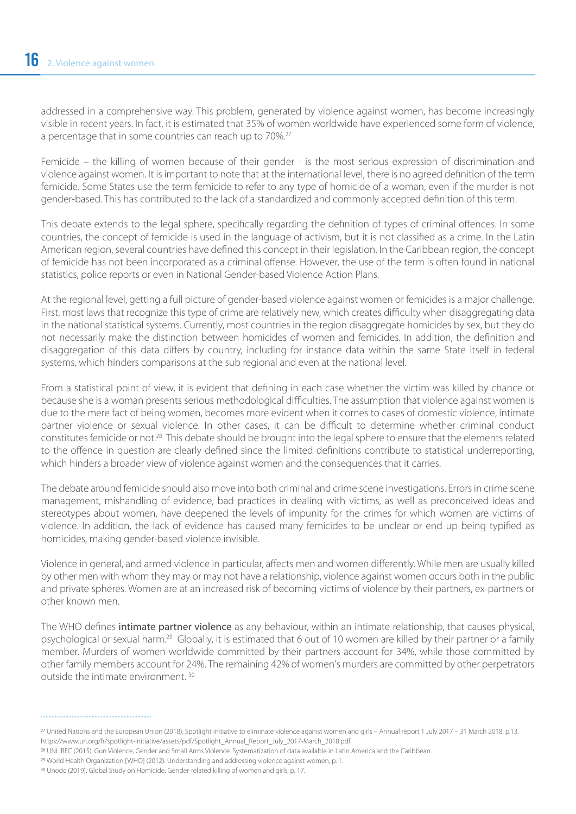addressed in a comprehensive way. This problem, generated by violence against women, has become increasingly visible in recent years. In fact, it is estimated that 35% of women worldwide have experienced some form of violence, a percentage that in some countries can reach up to 70%.<sup>27</sup>

Femicide – the killing of women because of their gender - is the most serious expression of discrimination and violence against women. It is important to note that at the international level, there is no agreed definition of the term femicide. Some States use the term femicide to refer to any type of homicide of a woman, even if the murder is not gender-based. This has contributed to the lack of a standardized and commonly accepted definition of this term.

This debate extends to the legal sphere, specifically regarding the definition of types of criminal offences. In some countries, the concept of femicide is used in the language of activism, but it is not classified as a crime. In the Latin American region, several countries have defined this concept in their legislation. In the Caribbean region, the concept of femicide has not been incorporated as a criminal offense. However, the use of the term is often found in national statistics, police reports or even in National Gender-based Violence Action Plans.

At the regional level, getting a full picture of gender-based violence against women or femicides is a major challenge. First, most laws that recognize this type of crime are relatively new, which creates difficulty when disaggregating data in the national statistical systems. Currently, most countries in the region disaggregate homicides by sex, but they do not necessarily make the distinction between homicides of women and femicides. In addition, the definition and disaggregation of this data differs by country, including for instance data within the same State itself in federal systems, which hinders comparisons at the sub regional and even at the national level.

From a statistical point of view, it is evident that defining in each case whether the victim was killed by chance or because she is a woman presents serious methodological difficulties. The assumption that violence against women is due to the mere fact of being women, becomes more evident when it comes to cases of domestic violence, intimate partner violence or sexual violence. In other cases, it can be difficult to determine whether criminal conduct constitutes femicide or not.28 This debate should be brought into the legal sphere to ensure that the elements related to the offence in question are clearly defined since the limited definitions contribute to statistical underreporting, which hinders a broader view of violence against women and the consequences that it carries.

The debate around femicide should also move into both criminal and crime scene investigations. Errors in crime scene management, mishandling of evidence, bad practices in dealing with victims, as well as preconceived ideas and stereotypes about women, have deepened the levels of impunity for the crimes for which women are victims of violence. In addition, the lack of evidence has caused many femicides to be unclear or end up being typified as homicides, making gender-based violence invisible.

Violence in general, and armed violence in particular, affects men and women differently. While men are usually killed by other men with whom they may or may not have a relationship, violence against women occurs both in the public and private spheres. Women are at an increased risk of becoming victims of violence by their partners, ex-partners or other known men.

The WHO defines intimate partner violence as any behaviour, within an intimate relationship, that causes physical, psychological or sexual harm.29 Globally, it is estimated that 6 out of 10 women are killed by their partner or a family member. Murders of women worldwide committed by their partners account for 34%, while those committed by other family members account for 24%. The remaining 42% of women's murders are committed by other perpetrators outside the intimate environment. 30

<sup>27</sup> United Nations and the European Union (2018). Spotlight initiative to eliminate violence against women and girls - Annual report 1 July 2017 - 31 March 2018, p.13. https://www.un.org/fr/spotlight-initiative/assets/pdf/Spotlight\_Annual\_Report\_July\_2017-March\_2018.pdf

UNLIREC (2015). Gun Violence, Gender and Small Arms Violence. Systematization of data available in Latin America and the Caribbean.

<sup>&</sup>lt;sup>29</sup> World Health Organization [WHO] (2012). Understanding and addressing violence against women, p. 1.

Unodc (2019). Global Study on Homicide. Gender-related killing of women and girls, p. 17.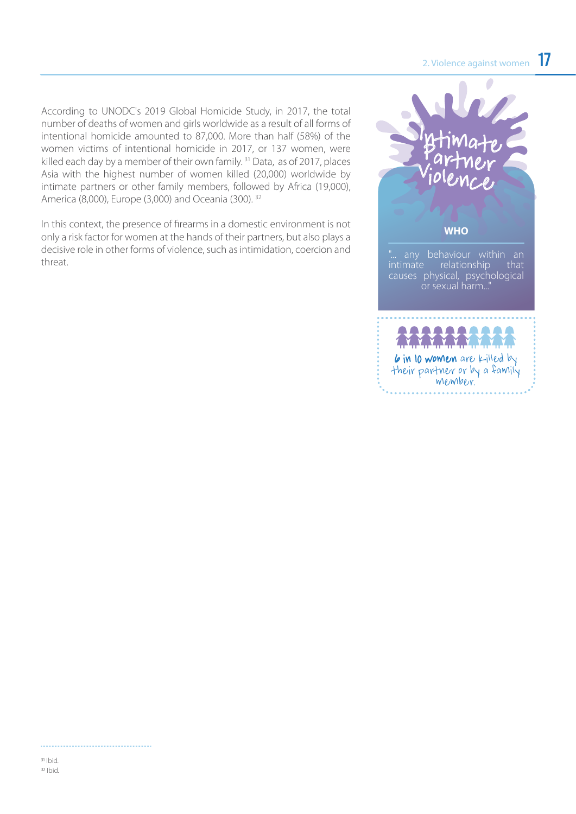According to UNODC's 2019 Global Homicide Study, in 2017, the total number of deaths of women and girls worldwide as a result of all forms of intentional homicide amounted to 87,000. More than half (58%) of the women victims of intentional homicide in 2017, or 137 women, were killed each day by a member of their own family.<sup>31</sup> Data, as of 2017, places Asia with the highest number of women killed (20,000) worldwide by intimate partners or other family members, followed by Africa (19,000), America (8,000), Europe (3,000) and Oceania (300). 32

In this context, the presence of firearms in a domestic environment is not only a risk factor for women at the hands of their partners, but also plays a decisive role in other forms of violence, such as intimidation, coercion and threat.

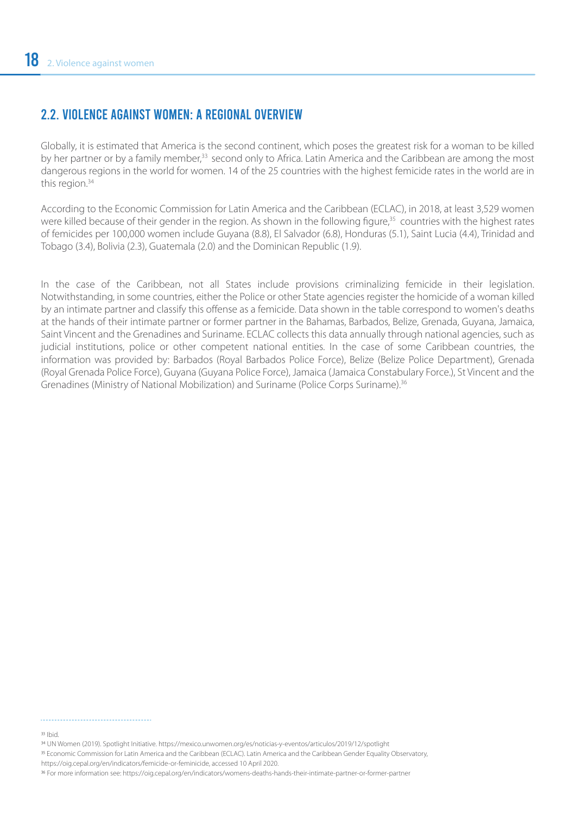#### 2.2. VIOLENCE AGAINST WOMEN: A REGIONAL OVERVIEW

Globally, it is estimated that America is the second continent, which poses the greatest risk for a woman to be killed by her partner or by a family member,<sup>33</sup> second only to Africa. Latin America and the Caribbean are among the most dangerous regions in the world for women. 14 of the 25 countries with the highest femicide rates in the world are in this region.<sup>34</sup>

According to the Economic Commission for Latin America and the Caribbean (ECLAC), in 2018, at least 3,529 women were killed because of their gender in the region. As shown in the following figure,<sup>35</sup> countries with the highest rates of femicides per 100,000 women include Guyana (8.8), El Salvador (6.8), Honduras (5.1), Saint Lucia (4.4), Trinidad and Tobago (3.4), Bolivia (2.3), Guatemala (2.0) and the Dominican Republic (1.9).

In the case of the Caribbean, not all States include provisions criminalizing femicide in their legislation. Notwithstanding, in some countries, either the Police or other State agencies register the homicide of a woman killed by an intimate partner and classify this offense as a femicide. Data shown in the table correspond to women's deaths at the hands of their intimate partner or former partner in the Bahamas, Barbados, Belize, Grenada, Guyana, Jamaica, Saint Vincent and the Grenadines and Suriname. ECLAC collects this data annually through national agencies, such as judicial institutions, police or other competent national entities. In the case of some Caribbean countries, the information was provided by: Barbados (Royal Barbados Police Force), Belize (Belize Police Department), Grenada (Royal Grenada Police Force), Guyana (Guyana Police Force), Jamaica (Jamaica Constabulary Force.), St Vincent and the Grenadines (Ministry of National Mobilization) and Suriname (Police Corps Suriname).36

#### 33 Ibid.

UN Women (2019). Spotlight Initiative. https://mexico.unwomen.org/es/noticias-y-eventos/articulos/2019/12/spotlight

Economic Commission for Latin America and the Caribbean (ECLAC). Latin America and the Caribbean Gender Equality Observatory, https://oig.cepal.org/en/indicators/femicide-or-feminicide, accessed 10 April 2020.

For more information see: https://oig.cepal.org/en/indicators/womens-deaths-hands-their-intimate-partner-or-former-partner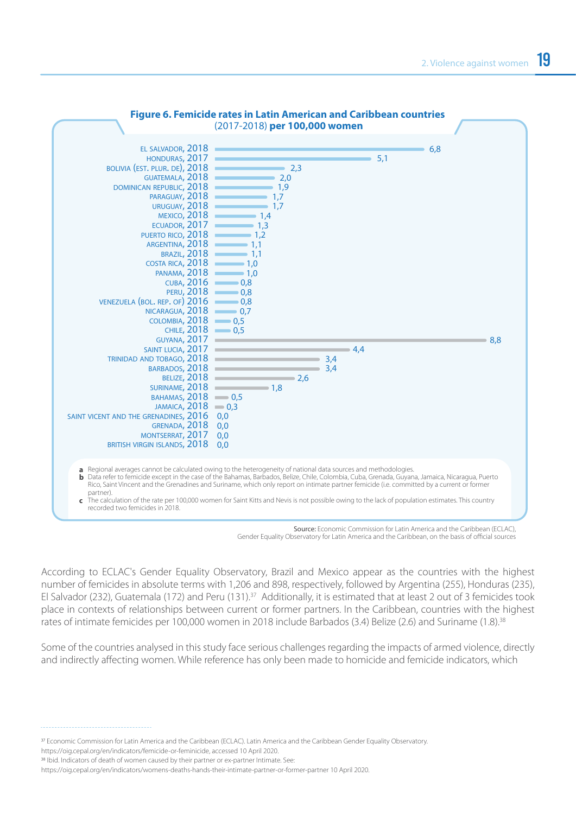

### **Figure 6. Femicide rates in Latin American and Caribbean countries**

Source: Economic Commission for Latin America and the Caribbean (ECLAC), Gender Equality Observatory for Latin America and the Caribbean, on the basis of official sources

According to ECLAC's Gender Equality Observatory, Brazil and Mexico appear as the countries with the highest number of femicides in absolute terms with 1,206 and 898, respectively, followed by Argentina (255), Honduras (235), El Salvador (232), Guatemala (172) and Peru (131).<sup>37</sup> Additionally, it is estimated that at least 2 out of 3 femicides took place in contexts of relationships between current or former partners. In the Caribbean, countries with the highest rates of intimate femicides per 100,000 women in 2018 include Barbados (3.4) Belize (2.6) and Suriname (1.8).38

Some of the countries analysed in this study face serious challenges regarding the impacts of armed violence, directly and indirectly affecting women. While reference has only been made to homicide and femicide indicators, which

Economic Commission for Latin America and the Caribbean (ECLAC). Latin America and the Caribbean Gender Equality Observatory.

https://oig.cepal.org/en/indicators/femicide-or-feminicide, accessed 10 April 2020.

<sup>&</sup>lt;sup>38</sup> Ibid. Indicators of death of women caused by their partner or ex-partner Intimate. See:

https://oig.cepal.org/en/indicators/womens-deaths-hands-their-intimate-partner-or-former-partner 10 April 2020.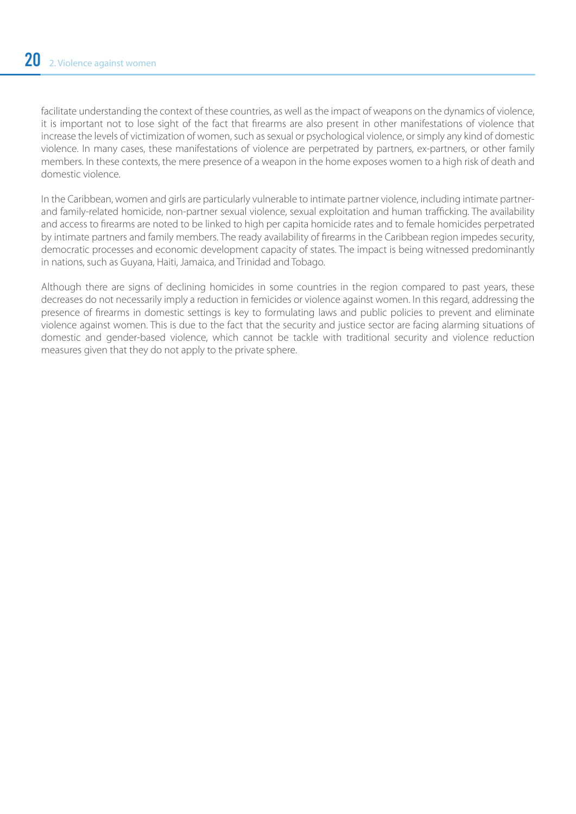facilitate understanding the context of these countries, as well as the impact of weapons on the dynamics of violence, it is important not to lose sight of the fact that firearms are also present in other manifestations of violence that increase the levels of victimization of women, such as sexual or psychological violence, or simply any kind of domestic violence. In many cases, these manifestations of violence are perpetrated by partners, ex-partners, or other family members. In these contexts, the mere presence of a weapon in the home exposes women to a high risk of death and domestic violence.

In the Caribbean, women and girls are particularly vulnerable to intimate partner violence, including intimate partnerand family-related homicide, non-partner sexual violence, sexual exploitation and human trafficking. The availability and access to firearms are noted to be linked to high per capita homicide rates and to female homicides perpetrated by intimate partners and family members. The ready availability of firearms in the Caribbean region impedes security, democratic processes and economic development capacity of states. The impact is being witnessed predominantly in nations, such as Guyana, Haiti, Jamaica, and Trinidad and Tobago.

Although there are signs of declining homicides in some countries in the region compared to past years, these decreases do not necessarily imply a reduction in femicides or violence against women. In this regard, addressing the presence of firearms in domestic settings is key to formulating laws and public policies to prevent and eliminate violence against women. This is due to the fact that the security and justice sector are facing alarming situations of domestic and gender-based violence, which cannot be tackle with traditional security and violence reduction measures given that they do not apply to the private sphere.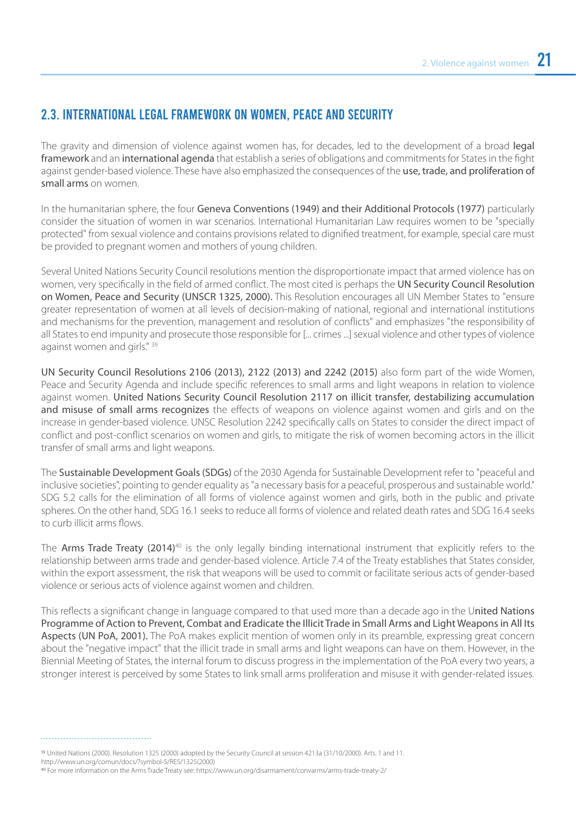#### 2.3. INTERNATIONAL LEGAL FRAMEWORK ON WOMEN, PEACE AND SECURITY

The gravity and dimension of violence against women has, for decades, led to the development of a broad legal framework and an international agenda that establish a series of obligations and commitments for States in the fight against gender-based violence. These have also emphasized the consequences of the use, trade, and proliferation of small arms on women.

In the humanitarian sphere, the four Geneva Conventions (1949) and their Additional Protocols (1977) particularly consider the situation of women in war scenarios. International Humanitarian Law requires women to be "specially protected" from sexual violence and contains provisions related to dignified treatment, for example, special care must be provided to pregnant women and mothers of young children.

Several United Nations Security Council resolutions mention the disproportionate impact that armed violence has on women, very specifically in the field of armed conflict. The most cited is perhaps the UN Security Council Resolution on Women, Peace and Security (UNSCR 1325, 2000). This Resolution encourages all UN Member States to "ensure greater representation of women at all levels of decision-making of national, regional and international institutions and mechanisms for the prevention, management and resolution of conflicts" and emphasizes "the responsibility of all States to end impunity and prosecute those responsible for [... crimes ...] sexual violence and other types of violence against women and girls." 39

UN Security Council Resolutions 2106 (2013), 2122 (2013) and 2242 (2015) also form part of the wide Women, Peace and Security Agenda and include specific references to small arms and light weapons in relation to violence against women. United Nations Security Council Resolution 2117 on illicit transfer, destabilizing accumulation and misuse of small arms recognizes the effects of weapons on violence against women and girls and on the increase in gender-based violence. UNSC Resolution 2242 specifically calls on States to consider the direct impact of conflict and post-conflict scenarios on women and girls, to mitigate the risk of women becoming actors in the illicit transfer of small arms and light weapons.

The Sustainable Development Goals (SDGs) of the 2030 Agenda for Sustainable Development refer to "peaceful and inclusive societies", pointing to gender equality as "a necessary basis for a peaceful, prosperous and sustainable world." SDG 5.2 calls for the elimination of all forms of violence against women and girls, both in the public and private spheres. On the other hand, SDG 16.1 seeks to reduce all forms of violence and related death rates and SDG 16.4 seeks to curb illicit arms flows.

The Arms Trade Treaty (2014)<sup>40</sup> is the only legally binding international instrument that explicitly refers to the relationship between arms trade and gender-based violence. Article 7.4 of the Treaty establishes that States consider, within the export assessment, the risk that weapons will be used to commit or facilitate serious acts of gender-based violence or serious acts of violence against women and children.

This reflects a significant change in language compared to that used more than a decade ago in the United Nations Programme of Action to Prevent, Combat and Eradicate the Illicit Trade in Small Arms and Light Weapons in All Its Aspects (UN PoA, 2001). The PoA makes explicit mention of women only in its preamble, expressing great concern about the "negative impact" that the illicit trade in small arms and light weapons can have on them. However, in the Biennial Meeting of States, the internal forum to discuss progress in the implementation of the PoA every two years, a stronger interest is perceived by some States to link small arms proliferation and misuse it with gender-related issues.

United Nations (2000). Resolution 1325 (2000) adopted by the Security Council at session 4213a (31/10/2000). Arts. 1 and 11. http://www.un.org/comun/docs/?symbol-S/RES/1325(2000)

For more information on the Arms Trade Treaty see: https://www.un.org/disarmament/convarms/arms-trade-treaty-2/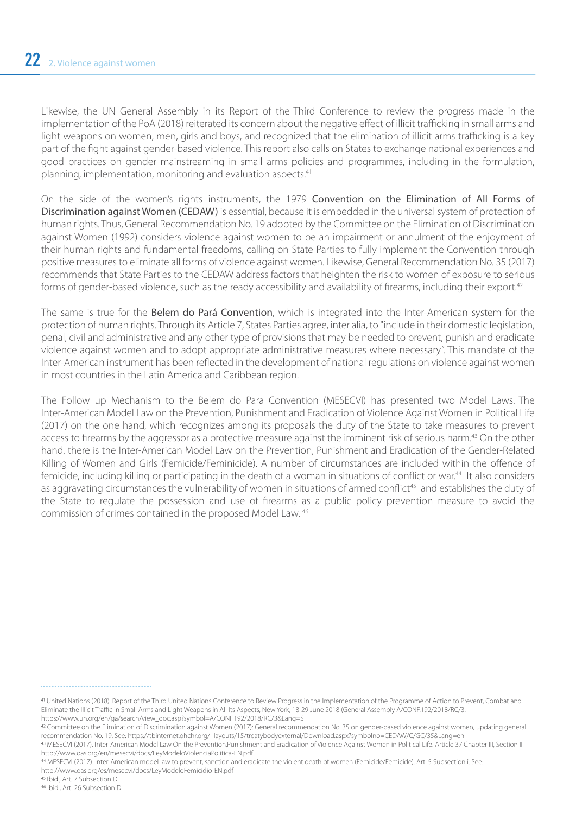Likewise, the UN General Assembly in its Report of the Third Conference to review the progress made in the implementation of the PoA (2018) reiterated its concern about the negative effect of illicit trafficking in small arms and light weapons on women, men, girls and boys, and recognized that the elimination of illicit arms trafficking is a key part of the fight against gender-based violence. This report also calls on States to exchange national experiences and good practices on gender mainstreaming in small arms policies and programmes, including in the formulation, planning, implementation, monitoring and evaluation aspects.<sup>41</sup>

On the side of the women's rights instruments, the 1979 Convention on the Elimination of All Forms of Discrimination against Women (CEDAW) is essential, because it is embedded in the universal system of protection of human rights. Thus, General Recommendation No. 19 adopted by the Committee on the Elimination of Discrimination against Women (1992) considers violence against women to be an impairment or annulment of the enjoyment of their human rights and fundamental freedoms, calling on State Parties to fully implement the Convention through positive measures to eliminate all forms of violence against women. Likewise, General Recommendation No. 35 (2017) recommends that State Parties to the CEDAW address factors that heighten the risk to women of exposure to serious forms of gender-based violence, such as the ready accessibility and availability of firearms, including their export.<sup>42</sup>

The same is true for the Belem do Pará Convention, which is integrated into the Inter-American system for the protection of human rights. Through its Article 7, States Parties agree, inter alia, to "include in their domestic legislation, penal, civil and administrative and any other type of provisions that may be needed to prevent, punish and eradicate violence against women and to adopt appropriate administrative measures where necessary". This mandate of the Inter-American instrument has been reflected in the development of national regulations on violence against women in most countries in the Latin America and Caribbean region.

The Follow up Mechanism to the Belem do Para Convention (MESECVI) has presented two Model Laws. The Inter-American Model Law on the Prevention, Punishment and Eradication of Violence Against Women in Political Life (2017) on the one hand, which recognizes among its proposals the duty of the State to take measures to prevent access to firearms by the aggressor as a protective measure against the imminent risk of serious harm.<sup>43</sup> On the other hand, there is the Inter-American Model Law on the Prevention, Punishment and Eradication of the Gender-Related Killing of Women and Girls (Femicide/Feminicide). A number of circumstances are included within the offence of femicide, including killing or participating in the death of a woman in situations of conflict or war.<sup>44</sup> It also considers as aggravating circumstances the vulnerability of women in situations of armed conflict<sup>45</sup> and establishes the duty of the State to regulate the possession and use of firearms as a public policy prevention measure to avoid the commission of crimes contained in the proposed Model Law. 46

United Nations (2018). Report of the Third United Nations Conference to Review Progress in the Implementation of the Programme of Action to Prevent, Combat and Eliminate the Illicit Traffic in Small Arms and Light Weapons in All Its Aspects, New York, 18-29 June 2018 (General Assembly A/CONF.192/2018/RC/3. https://www.un.org/en/ga/search/view\_doc.asp?symbol=A/CONF.192/2018/RC/3&Lang=S

Committee on the Elimination of Discrimination against Women (2017): General recommendation No. 35 on gender-based violence against women, updating general recommendation No. 19. See: https://tbinternet.ohchr.org/\_layouts/15/treatybodyexternal/Download.aspx?symbolno=CEDAW/C/GC/35&Lang=en

MESECVI (2017). Inter-American Model Law On the Prevention,Punishment and Eradication of Violence Against Women in Political Life. Article 37 Chapter III, Section II. http://www.oas.org/en/mesecvi/docs/LeyModeloViolenciaPolitica-EN.pdf

MESECVI (2017). Inter-American model law to prevent, sanction and eradicate the violent death of women (Femicide/Femicide). Art. 5 Subsection i. See: http://www.oas.org/es/mesecvi/docs/LeyModeloFemicidio-EN.pdf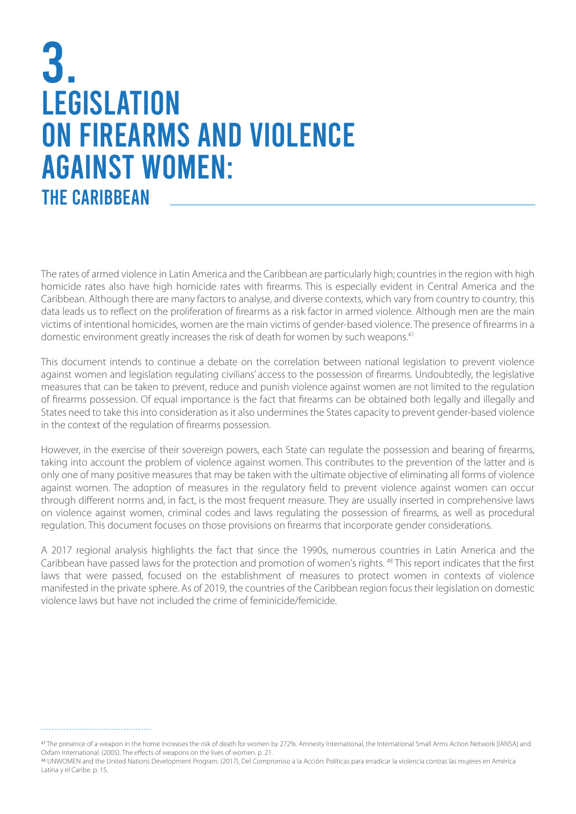### 3. **LEGISLATION** ON FIREARMS AND VIOLENCE AGAINST WOMEN: **THE CARIBBEAN**

The rates of armed violence in Latin America and the Caribbean are particularly high; countries in the region with high homicide rates also have high homicide rates with firearms. This is especially evident in Central America and the Caribbean. Although there are many factors to analyse, and diverse contexts, which vary from country to country, this data leads us to reflect on the proliferation of firearms as a risk factor in armed violence. Although men are the main victims of intentional homicides, women are the main victims of gender-based violence. The presence of firearms in a domestic environment greatly increases the risk of death for women by such weapons.47

This document intends to continue a debate on the correlation between national legislation to prevent violence against women and legislation regulating civilians' access to the possession of firearms. Undoubtedly, the legislative measures that can be taken to prevent, reduce and punish violence against women are not limited to the regulation of firearms possession. Of equal importance is the fact that firearms can be obtained both legally and illegally and States need to take this into consideration as it also undermines the States capacity to prevent gender-based violence in the context of the regulation of firearms possession.

However, in the exercise of their sovereign powers, each State can regulate the possession and bearing of firearms, taking into account the problem of violence against women. This contributes to the prevention of the latter and is only one of many positive measures that may be taken with the ultimate objective of eliminating all forms of violence against women. The adoption of measures in the regulatory field to prevent violence against women can occur through different norms and, in fact, is the most frequent measure. They are usually inserted in comprehensive laws on violence against women, criminal codes and laws regulating the possession of firearms, as well as procedural regulation. This document focuses on those provisions on firearms that incorporate gender considerations.

A 2017 regional analysis highlights the fact that since the 1990s, numerous countries in Latin America and the Caribbean have passed laws for the protection and promotion of women's rights. 48 This report indicates that the first laws that were passed, focused on the establishment of measures to protect women in contexts of violence manifested in the private sphere. As of 2019, the countries of the Caribbean region focus their legislation on domestic violence laws but have not included the crime of feminicide/femicide.

The presence of a weapon in the home increases the risk of death for women by 272%. Amnesty International, the International Small Arms Action Network [IANSA] and Oxfam International. (2005). The effects of weapons on the lives of women. p. 21.

UNWOMEN and the United Nations Development Program. (2017). Del Compromiso a la Acción: Políticas para erradicar la violencia contras las mujeres en América Latina y el Caribe. p. 15.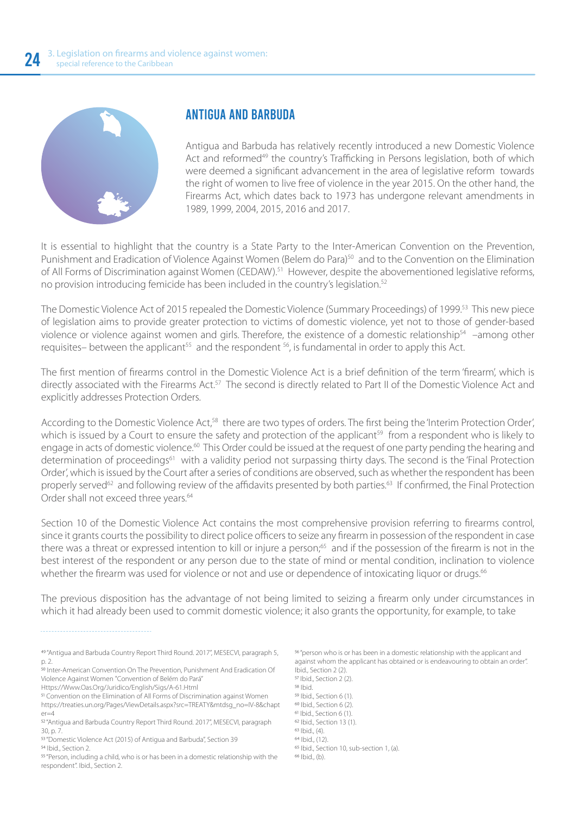

#### ANTIGUA AND BARBUDA

Antigua and Barbuda has relatively recently introduced a new Domestic Violence Act and reformed<sup>49</sup> the country's Trafficking in Persons legislation, both of which were deemed a significant advancement in the area of legislative reform towards the right of women to live free of violence in the year 2015. On the other hand, the Firearms Act, which dates back to 1973 has undergone relevant amendments in 1989, 1999, 2004, 2015, 2016 and 2017.

It is essential to highlight that the country is a State Party to the Inter-American Convention on the Prevention, Punishment and Eradication of Violence Against Women (Belem do Para)<sup>50</sup> and to the Convention on the Elimination of All Forms of Discrimination against Women (CEDAW).<sup>51</sup> However, despite the abovementioned legislative reforms, no provision introducing femicide has been included in the country's legislation.52

The Domestic Violence Act of 2015 repealed the Domestic Violence (Summary Proceedings) of 1999.53 This new piece of legislation aims to provide greater protection to victims of domestic violence, yet not to those of gender-based violence or violence against women and girls. Therefore, the existence of a domestic relationship<sup>54</sup> –among other requisites– between the applicant<sup>55</sup> and the respondent <sup>56</sup>, is fundamental in order to apply this Act.

The first mention of firearms control in the Domestic Violence Act is a brief definition of the term 'firearm', which is directly associated with the Firearms Act.<sup>57</sup> The second is directly related to Part II of the Domestic Violence Act and explicitly addresses Protection Orders.

According to the Domestic Violence Act,<sup>58</sup> there are two types of orders. The first being the 'Interim Protection Order', which is issued by a Court to ensure the safety and protection of the applicant<sup>59</sup> from a respondent who is likely to engage in acts of domestic violence.<sup>60</sup> This Order could be issued at the request of one party pending the hearing and determination of proceedings<sup>61</sup> with a validity period not surpassing thirty days. The second is the 'Final Protection Order', which is issued by the Court after a series of conditions are observed, such as whether the respondent has been properly served<sup>62</sup> and following review of the affidavits presented by both parties.<sup>63</sup> If confirmed, the Final Protection Order shall not exceed three years.<sup>64</sup>

Section 10 of the Domestic Violence Act contains the most comprehensive provision referring to firearms control, since it grants courts the possibility to direct police officers to seize any firearm in possession of the respondent in case there was a threat or expressed intention to kill or injure a person;<sup>65</sup> and if the possession of the firearm is not in the best interest of the respondent or any person due to the state of mind or mental condition, inclination to violence whether the firearm was used for violence or not and use or dependence of intoxicating liquor or drugs.<sup>66</sup>

The previous disposition has the advantage of not being limited to seizing a firearm only under circumstances in which it had already been used to commit domestic violence; it also grants the opportunity, for example, to take

Https://Www.Oas.Org/Juridico/English/Sigs/A-61.Html

<sup>57</sup> Ibid., Section 2 (2). <sup>58</sup> Ibid. <sup>59</sup> Ibid., Section 6 (1). <sup>60</sup> Ibid., Section 6 (2).  $61$  Ibid., Section 6 (1). <sup>62</sup> Ibid., Section 13 (1).  $63$  Ibid., (4).  $64$  | bid.,  $(12)$ . <sup>65</sup> Ibid., Section 10, sub-section 1, (a).  $66$  Ibid., (b).

 <sup>&</sup>quot;Antigua and Barbuda Country Report Third Round. 2017", MESECVI, paragraph 5, p. 2.

<sup>50</sup> Inter-American Convention On The Prevention, Punishment And Eradication Of Violence Against Women "Convention of Belém do Pará"

Convention on the Elimination of All Forms of Discrimination against Women https://treaties.un.org/Pages/ViewDetails.aspx?src=TREATY&mtdsg\_no=IV-8&chapt  $er=4$ 

<sup>&</sup>lt;sup>52</sup> "Antigua and Barbuda Country Report Third Round. 2017", MESECVI, paragraph 30, p. 7.

<sup>53 &</sup>quot;Domestic Violence Act (2015) of Antigua and Barbuda", Section 39 54 Ibid., Section 2.

<sup>&</sup>lt;sup>55</sup> "Person, including a child, who is or has been in a domestic relationship with the respondent". Ibid., Section 2.

<sup>&</sup>lt;sup>56</sup> "person who is or has been in a domestic relationship with the applicant and against whom the applicant has obtained or is endeavouring to obtain an order". Ibid., Section 2 (2).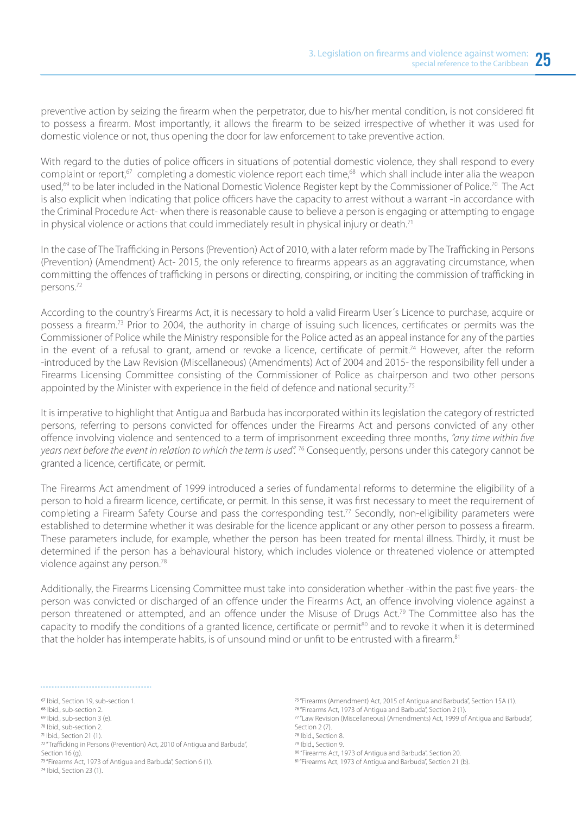preventive action by seizing the firearm when the perpetrator, due to his/her mental condition, is not considered fit to possess a firearm. Most importantly, it allows the firearm to be seized irrespective of whether it was used for domestic violence or not, thus opening the door for law enforcement to take preventive action.

With regard to the duties of police officers in situations of potential domestic violence, they shall respond to every complaint or report,<sup>67</sup> completing a domestic violence report each time,<sup>68</sup> which shall include inter alia the weapon used,<sup>69</sup> to be later included in the National Domestic Violence Register kept by the Commissioner of Police.<sup>70</sup> The Act is also explicit when indicating that police officers have the capacity to arrest without a warrant -in accordance with the Criminal Procedure Act- when there is reasonable cause to believe a person is engaging or attempting to engage in physical violence or actions that could immediately result in physical injury or death.<sup>71</sup>

In the case of The Trafficking in Persons (Prevention) Act of 2010, with a later reform made by The Trafficking in Persons (Prevention) (Amendment) Act- 2015, the only reference to firearms appears as an aggravating circumstance, when committing the offences of trafficking in persons or directing, conspiring, or inciting the commission of trafficking in persons.72

According to the country's Firearms Act, it is necessary to hold a valid Firearm User´s Licence to purchase, acquire or possess a firearm.73 Prior to 2004, the authority in charge of issuing such licences, certificates or permits was the Commissioner of Police while the Ministry responsible for the Police acted as an appeal instance for any of the parties in the event of a refusal to grant, amend or revoke a licence, certificate of permit.<sup>74</sup> However, after the reform -introduced by the Law Revision (Miscellaneous) (Amendments) Act of 2004 and 2015- the responsibility fell under a Firearms Licensing Committee consisting of the Commissioner of Police as chairperson and two other persons appointed by the Minister with experience in the field of defence and national security.<sup>75</sup>

It is imperative to highlight that Antigua and Barbuda has incorporated within its legislation the category of restricted persons, referring to persons convicted for offences under the Firearms Act and persons convicted of any other offence involving violence and sentenced to a term of imprisonment exceeding three months, "any time within five *years next before the event in relation to which the term is used".* 76 Consequently, persons under this category cannot be granted a licence, certificate, or permit.

The Firearms Act amendment of 1999 introduced a series of fundamental reforms to determine the eligibility of a person to hold a firearm licence, certificate, or permit. In this sense, it was first necessary to meet the requirement of completing a Firearm Safety Course and pass the corresponding test.<sup>77</sup> Secondly, non-eligibility parameters were established to determine whether it was desirable for the licence applicant or any other person to possess a firearm. These parameters include, for example, whether the person has been treated for mental illness. Thirdly, it must be determined if the person has a behavioural history, which includes violence or threatened violence or attempted violence against any person.78

Additionally, the Firearms Licensing Committee must take into consideration whether -within the past five years- the person was convicted or discharged of an offence under the Firearms Act, an offence involving violence against a person threatened or attempted, and an offence under the Misuse of Drugs Act.<sup>79</sup> The Committee also has the capacity to modify the conditions of a granted licence, certificate or permit<sup>80</sup> and to revoke it when it is determined that the holder has intemperate habits, is of unsound mind or unfit to be entrusted with a firearm.<sup>81</sup>

- <sup>70</sup> Ibid., sub-section 2.
- <sup>71</sup> Ibid., Section 21 (1).
- <sup>72</sup> "Trafficking in Persons (Prevention) Act, 2010 of Antigua and Barbuda", Section  $16$  (g). <sup>73</sup> "Firearms Act, 1973 of Antigua and Barbuda", Section 6 (1).

<sup>74</sup> Ibid., Section 23 (1).

"Firearms (Amendment) Act, 2015 of Antigua and Barbuda", Section 15A (1).

- "Law Revision (Miscellaneous) (Amendments) Act, 1999 of Antigua and Barbuda", Section 2 (7).
- <sup>78</sup> Ibid., Section 8.
- <sup>79</sup> Ibid., Section 9.
- 

<sup>&</sup>lt;sup>67</sup> Ibid., Section 19, sub-section 1.

<sup>&</sup>lt;sup>68</sup> Ibid., sub-section 2.  $69$  Ibid., sub-section 3 (e).

 <sup>&</sup>quot;Firearms Act, 1973 of Antigua and Barbuda", Section 2 (1).

<sup>80 &</sup>quot;Firearms Act, 1973 of Antigua and Barbuda", Section 20. 81 "Firearms Act, 1973 of Antigua and Barbuda", Section 21 (b).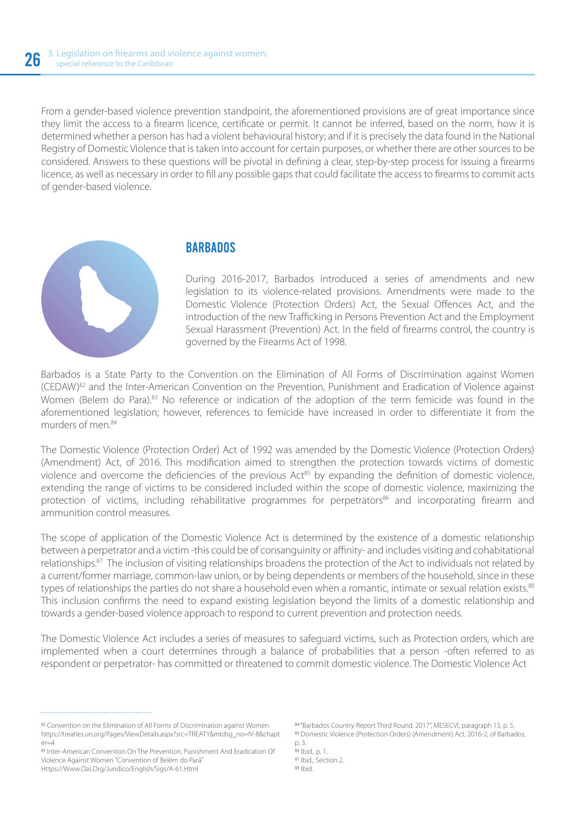From a gender-based violence prevention standpoint, the aforementioned provisions are of great importance since they limit the access to a firearm licence, certificate or permit. It cannot be inferred, based on the norm, how it is determined whether a person has had a violent behavioural history; and if it is precisely the data found in the National Registry of Domestic Violence that is taken into account for certain purposes, or whether there are other sources to be considered. Answers to these questions will be pivotal in defining a clear, step-by-step process for issuing a firearms licence, as well as necessary in order to fill any possible gaps that could facilitate the access to firearms to commit acts of gender-based violence.



#### **BARBADOS**

During 2016-2017, Barbados introduced a series of amendments and new legislation to its violence-related provisions. Amendments were made to the Domestic Violence (Protection Orders) Act, the Sexual Offences Act, and the introduction of the new Trafficking in Persons Prevention Act and the Employment Sexual Harassment (Prevention) Act. In the field of firearms control, the country is governed by the Firearms Act of 1998.

Barbados is a State Party to the Convention on the Elimination of All Forms of Discrimination against Women (CEDAW)82 and the Inter-American Convention on the Prevention, Punishment and Eradication of Violence against Women (Belem do Para).<sup>83</sup> No reference or indication of the adoption of the term femicide was found in the aforementioned legislation; however, references to femicide have increased in order to differentiate it from the murders of men<sup>84</sup>

The Domestic Violence (Protection Order) Act of 1992 was amended by the Domestic Violence (Protection Orders) (Amendment) Act, of 2016. This modification aimed to strengthen the protection towards victims of domestic violence and overcome the deficiencies of the previous Act<sup>85</sup> by expanding the definition of domestic violence, extending the range of victims to be considered included within the scope of domestic violence, maximizing the protection of victims, including rehabilitative programmes for perpetrators<sup>86</sup> and incorporating firearm and ammunition control measures.

The scope of application of the Domestic Violence Act is determined by the existence of a domestic relationship between a perpetrator and a victim -this could be of consanguinity or affinity- and includes visiting and cohabitational relationships.87 The inclusion of visiting relationships broadens the protection of the Act to individuals not related by a current/former marriage, common-law union, or by being dependents or members of the household, since in these types of relationships the parties do not share a household even when a romantic, intimate or sexual relation exists.<sup>88</sup> This inclusion confirms the need to expand existing legislation beyond the limits of a domestic relationship and towards a gender-based violence approach to respond to current prevention and protection needs.

The Domestic Violence Act includes a series of measures to safeguard victims, such as Protection orders, which are implemented when a court determines through a balance of probabilities that a person -often referred to as respondent or perpetrator- has committed or threatened to commit domestic violence. The Domestic Violence Act

<sup>82</sup> Convention on the Elimination of All Forms of Discrimination against Women https://treaties.un.org/Pages/ViewDetails.aspx?src=TREATY&mtdsg\_no=IV-8&chapt  $er=4$ 

 "Barbados Country Report Third Round. 2017", MESECVI, paragraph 13, p. 5. 85 Domestic Violence (Protection Orders) (Amendment) Act, 2016-2, of Barbados, p. 3.  $^{86}$  Ibid., p. 1. <sup>87</sup> Ibid., Section 2. 88 | bid.

<sup>83</sup> Inter-American Convention On The Prevention, Punishment And Eradication Of Violence Against Women "Convention of Belém do Pará" Https://Www.Oas.Org/Juridico/English/Sigs/A-61.Html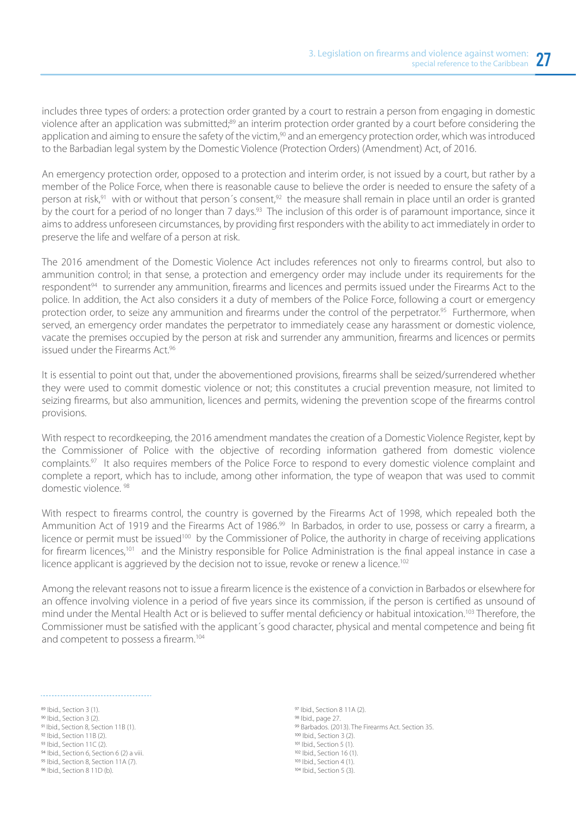includes three types of orders: a protection order granted by a court to restrain a person from engaging in domestic violence after an application was submitted;89 an interim protection order granted by a court before considering the application and aiming to ensure the safety of the victim,<sup>90</sup> and an emergency protection order, which was introduced to the Barbadian legal system by the Domestic Violence (Protection Orders) (Amendment) Act, of 2016.

An emergency protection order, opposed to a protection and interim order, is not issued by a court, but rather by a member of the Police Force, when there is reasonable cause to believe the order is needed to ensure the safety of a person at risk,<sup>91</sup> with or without that person's consent,<sup>92</sup> the measure shall remain in place until an order is granted by the court for a period of no longer than 7 days.<sup>93</sup> The inclusion of this order is of paramount importance, since it aims to address unforeseen circumstances, by providing first responders with the ability to act immediately in order to preserve the life and welfare of a person at risk.

The 2016 amendment of the Domestic Violence Act includes references not only to firearms control, but also to ammunition control; in that sense, a protection and emergency order may include under its requirements for the respondent<sup>94</sup> to surrender any ammunition, firearms and licences and permits issued under the Firearms Act to the police. In addition, the Act also considers it a duty of members of the Police Force, following a court or emergency protection order, to seize any ammunition and firearms under the control of the perpetrator.<sup>95</sup> Furthermore, when served, an emergency order mandates the perpetrator to immediately cease any harassment or domestic violence, vacate the premises occupied by the person at risk and surrender any ammunition, firearms and licences or permits issued under the Firearms Act.<sup>96</sup>

It is essential to point out that, under the abovementioned provisions, firearms shall be seized/surrendered whether they were used to commit domestic violence or not; this constitutes a crucial prevention measure, not limited to seizing firearms, but also ammunition, licences and permits, widening the prevention scope of the firearms control provisions.

With respect to recordkeeping, the 2016 amendment mandates the creation of a Domestic Violence Register, kept by the Commissioner of Police with the objective of recording information gathered from domestic violence complaints.97 It also requires members of the Police Force to respond to every domestic violence complaint and complete a report, which has to include, among other information, the type of weapon that was used to commit domestic violence. 98

With respect to firearms control, the country is governed by the Firearms Act of 1998, which repealed both the Ammunition Act of 1919 and the Firearms Act of 1986.<sup>99</sup> In Barbados, in order to use, possess or carry a firearm, a licence or permit must be issued<sup>100</sup> by the Commissioner of Police, the authority in charge of receiving applications for firearm licences,<sup>101</sup> and the Ministry responsible for Police Administration is the final appeal instance in case a licence applicant is aggrieved by the decision not to issue, revoke or renew a licence.<sup>102</sup>

Among the relevant reasons not to issue a firearm licence is the existence of a conviction in Barbados or elsewhere for an offence involving violence in a period of five years since its commission, if the person is certified as unsound of mind under the Mental Health Act or is believed to suffer mental deficiency or habitual intoxication.<sup>103</sup> Therefore, the Commissioner must be satisfied with the applicant´s good character, physical and mental competence and being fit and competent to possess a firearm.104

- 89 Ibid., Section 3 (1).
- 90 Ibid. Section 3 (2).
- <sup>91</sup> Ibid., Section 8, Section 11B (1).
- $92$  Ibid., Section 11B (2).
- $93$  Ibid., Section 11C (2).
- 94 Ibid., Section 6, Section 6 (2) a viii.
- 95 Ibid., Section 8, Section 11A (7).
- 96 Ibid., Section 8 11D (b).

97 Ibid., Section 8 11A (2). 98 Ibid., page 27. 99 Barbados. (2013). The Firearms Act. Section 35. 100 Ibid., Section 3 (2). 101 Ibid., Section 5 (1).  $102$  Ibid., Section 16 (1). 103 Ibid., Section 4 (1). 104 Ibid., Section 5 (3).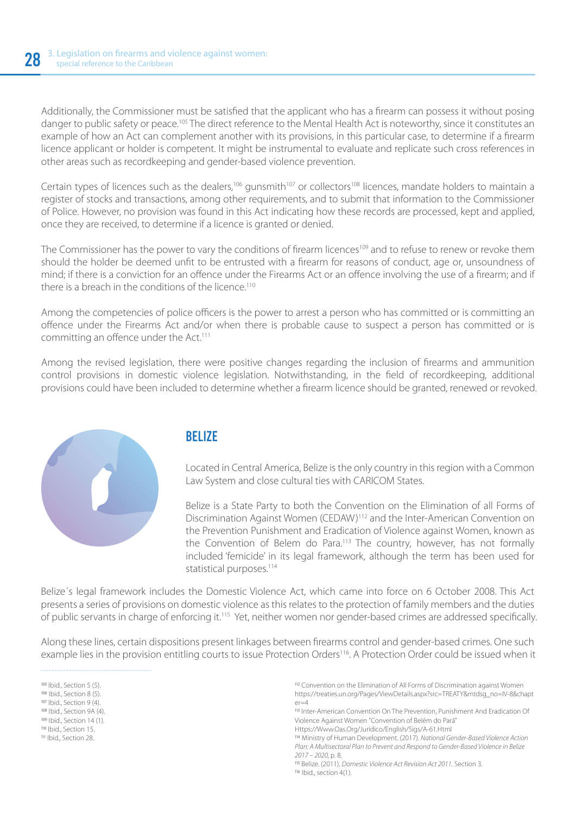Additionally, the Commissioner must be satisfied that the applicant who has a firearm can possess it without posing danger to public safety or peace.105 The direct reference to the Mental Health Act is noteworthy, since it constitutes an example of how an Act can complement another with its provisions, in this particular case, to determine if a firearm licence applicant or holder is competent. It might be instrumental to evaluate and replicate such cross references in other areas such as recordkeeping and gender-based violence prevention.

Certain types of licences such as the dealers,<sup>106</sup> gunsmith<sup>107</sup> or collectors<sup>108</sup> licences, mandate holders to maintain a register of stocks and transactions, among other requirements, and to submit that information to the Commissioner of Police. However, no provision was found in this Act indicating how these records are processed, kept and applied, once they are received, to determine if a licence is granted or denied.

The Commissioner has the power to vary the conditions of firearm licences<sup>109</sup> and to refuse to renew or revoke them should the holder be deemed unfit to be entrusted with a firearm for reasons of conduct, age or, unsoundness of mind; if there is a conviction for an offence under the Firearms Act or an offence involving the use of a firearm; and if there is a breach in the conditions of the licence.<sup>110</sup>

Among the competencies of police officers is the power to arrest a person who has committed or is committing an offence under the Firearms Act and/or when there is probable cause to suspect a person has committed or is committing an offence under the Act.<sup>111</sup>

Among the revised legislation, there were positive changes regarding the inclusion of firearms and ammunition control provisions in domestic violence legislation. Notwithstanding, in the field of recordkeeping, additional provisions could have been included to determine whether a firearm licence should be granted, renewed or revoked.



#### BELIZE

Located in Central America, Belize is the only country in this region with a Common Law System and close cultural ties with CARICOM States.

Belize is a State Party to both the Convention on the Elimination of all Forms of Discrimination Against Women (CEDAW)112 and the Inter-American Convention on the Prevention Punishment and Eradication of Violence against Women, known as the Convention of Belem do Para.<sup>113</sup> The country, however, has not formally included 'femicide' in its legal framework, although the term has been used for statistical purposes.<sup>114</sup>

Belize´s legal framework includes the Domestic Violence Act, which came into force on 6 October 2008. This Act presents a series of provisions on domestic violence as this relates to the protection of family members and the duties of public servants in charge of enforcing it.115 Yet, neither women nor gender-based crimes are addressed specifically.

Along these lines, certain dispositions present linkages between firearms control and gender-based crimes. One such example lies in the provision entitling courts to issue Protection Orders<sup>116</sup>. A Protection Order could be issued when it

105 Ibid., Section 5 (5). 106 Ibid., Section 8 (5). 107 Ibid., Section 9 (4). 108 Ibid., Section 9A (4).  $109$  Ibid., Section 14 (1). Ibid., Section 15. III Ihid., Section 28.

112 Convention on the Elimination of All Forms of Discrimination against Women https://treaties.un.org/Pages/ViewDetails.aspx?src=TREATY&mtdsg\_no=IV-8&chapt  $er=4$ 

113 Inter-American Convention On The Prevention, Punishment And Eradication Of Violence Against Women "Convention of Belém do Pará"

Https://Www.Oas.Org/Juridico/English/Sigs/A-61.Html

 Ministry of Human Development. (2017). *National Gender-Based Violence Action Plan: A Multisectoral Plan to Prevent and Respond to Gender-Based Violence in Belize 2017 – 2020,* p. 8.

Belize. (2011). *Domestic Violence Act Revision Act 2011.* Section 3.

116 Ibid., section 4(1).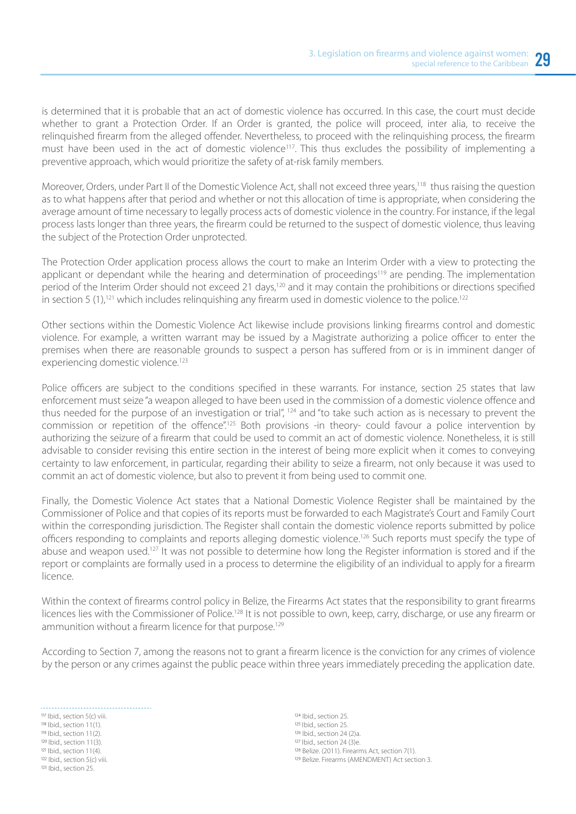is determined that it is probable that an act of domestic violence has occurred. In this case, the court must decide whether to grant a Protection Order. If an Order is granted, the police will proceed, inter alia, to receive the relinquished firearm from the alleged offender. Nevertheless, to proceed with the relinquishing process, the firearm must have been used in the act of domestic violence<sup>117</sup>. This thus excludes the possibility of implementing a preventive approach, which would prioritize the safety of at-risk family members.

Moreover, Orders, under Part II of the Domestic Violence Act, shall not exceed three years,<sup>118</sup> thus raising the question as to what happens after that period and whether or not this allocation of time is appropriate, when considering the average amount of time necessary to legally process acts of domestic violence in the country. For instance, if the legal process lasts longer than three years, the firearm could be returned to the suspect of domestic violence, thus leaving the subject of the Protection Order unprotected.

The Protection Order application process allows the court to make an Interim Order with a view to protecting the applicant or dependant while the hearing and determination of proceedings<sup>119</sup> are pending. The implementation period of the Interim Order should not exceed 21 days,<sup>120</sup> and it may contain the prohibitions or directions specified in section 5  $(1)$ ,<sup>121</sup> which includes relinguishing any firearm used in domestic violence to the police.<sup>122</sup>

Other sections within the Domestic Violence Act likewise include provisions linking firearms control and domestic violence. For example, a written warrant may be issued by a Magistrate authorizing a police officer to enter the premises when there are reasonable grounds to suspect a person has suffered from or is in imminent danger of experiencing domestic violence.<sup>123</sup>

Police officers are subject to the conditions specified in these warrants. For instance, section 25 states that law enforcement must seize "a weapon alleged to have been used in the commission of a domestic violence offence and thus needed for the purpose of an investigation or trial", <sup>124</sup> and "to take such action as is necessary to prevent the commission or repetition of the offence".125 Both provisions -in theory- could favour a police intervention by authorizing the seizure of a firearm that could be used to commit an act of domestic violence. Nonetheless, it is still advisable to consider revising this entire section in the interest of being more explicit when it comes to conveying certainty to law enforcement, in particular, regarding their ability to seize a firearm, not only because it was used to commit an act of domestic violence, but also to prevent it from being used to commit one.

Finally, the Domestic Violence Act states that a National Domestic Violence Register shall be maintained by the Commissioner of Police and that copies of its reports must be forwarded to each Magistrate's Court and Family Court within the corresponding jurisdiction. The Register shall contain the domestic violence reports submitted by police officers responding to complaints and reports alleging domestic violence.<sup>126</sup> Such reports must specify the type of abuse and weapon used.<sup>127</sup> It was not possible to determine how long the Register information is stored and if the report or complaints are formally used in a process to determine the eligibility of an individual to apply for a firearm licence.

Within the context of firearms control policy in Belize, the Firearms Act states that the responsibility to grant firearms licences lies with the Commissioner of Police.<sup>128</sup> It is not possible to own, keep, carry, discharge, or use any firearm or ammunition without a firearm licence for that purpose.<sup>129</sup>

According to Section 7, among the reasons not to grant a firearm licence is the conviction for any crimes of violence by the person or any crimes against the public peace within three years immediately preceding the application date.

117 Ibid., section 5(c) viii. 118 Ibid., section 11(1). 119 Ibid., section 11(2). 120 Ibid., section 11(3). 121 Ibid., section 11(4). 122 Ibid., section 5(c) viii. 123 Ibid., section 25.

124 Ibid., section 25. 125 Ibid., section 25. 126 Ibid., section 24 (2)a. 127 Ibid., section 24 (3)e. 128 Belize. (2011). Firearms Act, section 7(1). 129 Belize. Firearms (AMENDMENT) Act section 3.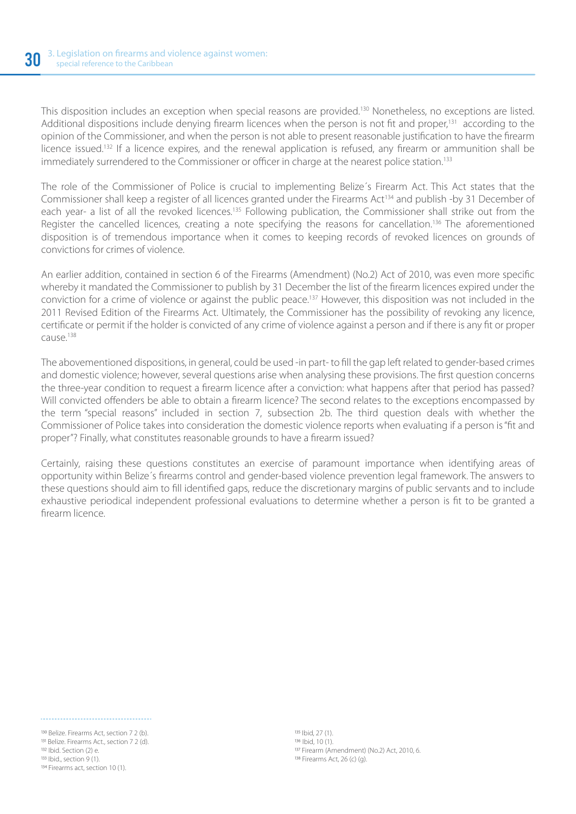This disposition includes an exception when special reasons are provided.<sup>130</sup> Nonetheless, no exceptions are listed. Additional dispositions include denying firearm licences when the person is not fit and proper,<sup>131</sup> according to the opinion of the Commissioner, and when the person is not able to present reasonable justification to have the firearm licence issued.132 If a licence expires, and the renewal application is refused, any firearm or ammunition shall be immediately surrendered to the Commissioner or officer in charge at the nearest police station.<sup>133</sup>

The role of the Commissioner of Police is crucial to implementing Belize´s Firearm Act. This Act states that the Commissioner shall keep a register of all licences granted under the Firearms Act<sup>134</sup> and publish -by 31 December of each year- a list of all the revoked licences.<sup>135</sup> Following publication, the Commissioner shall strike out from the Register the cancelled licences, creating a note specifying the reasons for cancellation.<sup>136</sup> The aforementioned disposition is of tremendous importance when it comes to keeping records of revoked licences on grounds of convictions for crimes of violence.

An earlier addition, contained in section 6 of the Firearms (Amendment) (No.2) Act of 2010, was even more specific whereby it mandated the Commissioner to publish by 31 December the list of the firearm licences expired under the conviction for a crime of violence or against the public peace.137 However, this disposition was not included in the 2011 Revised Edition of the Firearms Act. Ultimately, the Commissioner has the possibility of revoking any licence, certificate or permit if the holder is convicted of any crime of violence against a person and if there is any fit or proper  $CALIS<sup>138</sup>$ 

The abovementioned dispositions, in general, could be used -in part- to fill the gap left related to gender-based crimes and domestic violence; however, several questions arise when analysing these provisions. The first question concerns the three-year condition to request a firearm licence after a conviction: what happens after that period has passed? Will convicted offenders be able to obtain a firearm licence? The second relates to the exceptions encompassed by the term "special reasons" included in section 7, subsection 2b. The third question deals with whether the Commissioner of Police takes into consideration the domestic violence reports when evaluating if a person is "fit and proper"? Finally, what constitutes reasonable grounds to have a firearm issued?

Certainly, raising these questions constitutes an exercise of paramount importance when identifying areas of opportunity within Belize´s firearms control and gender-based violence prevention legal framework. The answers to these questions should aim to fill identified gaps, reduce the discretionary margins of public servants and to include exhaustive periodical independent professional evaluations to determine whether a person is fit to be granted a firearm licence.

<sup>130</sup> Belize. Firearms Act, section 7 2 (b). 131 Belize. Firearms Act., section 7 2 (d).  $IB2$  Ibid. Section  $(2)$  e. 133 Ibid., section 9 (1). 134 Firearms act, section 10 (1).

135 Ibid, 27 (1).  $136$  | bid  $10(1)$ . 137 Firearm (Amendment) (No.2) Act, 2010, 6. 138 Firearms Act, 26 (c) (g).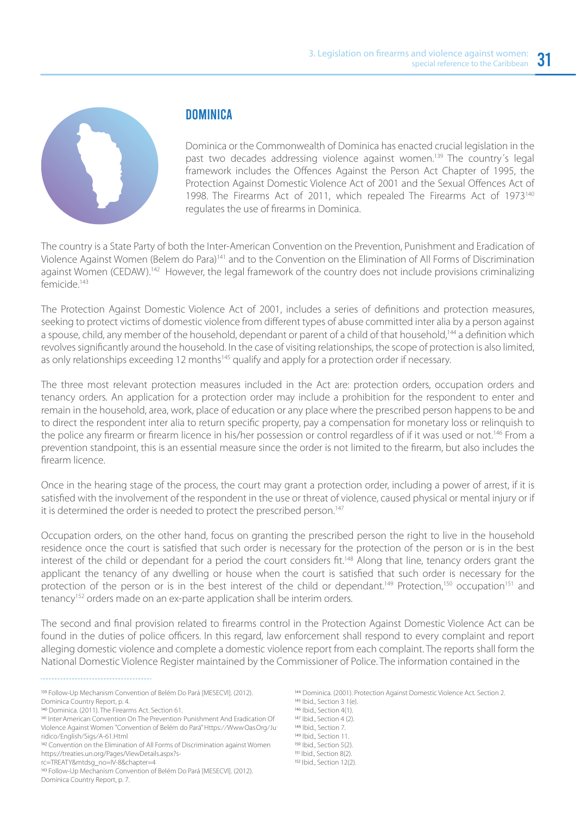

#### **DOMINICA**

Dominica or the Commonwealth of Dominica has enacted crucial legislation in the past two decades addressing violence against women.<sup>139</sup> The country's legal framework includes the Offences Against the Person Act Chapter of 1995, the Protection Against Domestic Violence Act of 2001 and the Sexual Offences Act of 1998. The Firearms Act of 2011, which repealed The Firearms Act of 1973<sup>140</sup> regulates the use of firearms in Dominica.

The country is a State Party of both the Inter-American Convention on the Prevention, Punishment and Eradication of Violence Against Women (Belem do Para)141 and to the Convention on the Elimination of All Forms of Discrimination against Women (CEDAW).<sup>142</sup> However, the legal framework of the country does not include provisions criminalizing femicide<sup>143</sup>

The Protection Against Domestic Violence Act of 2001, includes a series of definitions and protection measures, seeking to protect victims of domestic violence from different types of abuse committed inter alia by a person against a spouse, child, any member of the household, dependant or parent of a child of that household,<sup>144</sup> a definition which revolves significantly around the household. In the case of visiting relationships, the scope of protection is also limited, as only relationships exceeding 12 months<sup>145</sup> qualify and apply for a protection order if necessary.

The three most relevant protection measures included in the Act are: protection orders, occupation orders and tenancy orders. An application for a protection order may include a prohibition for the respondent to enter and remain in the household, area, work, place of education or any place where the prescribed person happens to be and to direct the respondent inter alia to return specific property, pay a compensation for monetary loss or relinquish to the police any firearm or firearm licence in his/her possession or control regardless of if it was used or not.<sup>146</sup> From a prevention standpoint, this is an essential measure since the order is not limited to the firearm, but also includes the firearm licence.

Once in the hearing stage of the process, the court may grant a protection order, including a power of arrest, if it is satisfied with the involvement of the respondent in the use or threat of violence, caused physical or mental injury or if it is determined the order is needed to protect the prescribed person.<sup>147</sup>

Occupation orders, on the other hand, focus on granting the prescribed person the right to live in the household residence once the court is satisfied that such order is necessary for the protection of the person or is in the best interest of the child or dependant for a period the court considers fit.<sup>148</sup> Along that line, tenancy orders grant the applicant the tenancy of any dwelling or house when the court is satisfied that such order is necessary for the protection of the person or is in the best interest of the child or dependant.<sup>149</sup> Protection,<sup>150</sup> occupation<sup>151</sup> and tenancy<sup>152</sup> orders made on an ex-parte application shall be interim orders.

The second and final provision related to firearms control in the Protection Against Domestic Violence Act can be found in the duties of police officers. In this regard, law enforcement shall respond to every complaint and report alleging domestic violence and complete a domestic violence report from each complaint. The reports shall form the National Domestic Violence Register maintained by the Commissioner of Police. The information contained in the

139 Follow-Up Mechanism Convention of Belém Do Pará [MESECVI]. (2012).

141 Inter American Convention On The Prevention<sup>,</sup> Punishment And Eradication Of Violence Against Women "Convention of Belém do Pará" Https:⁄⁄WwwOasOrg⁄Ju ridico⁄English⁄Sigs⁄A-61.Html

<sup>142</sup> Convention on the Elimination of All Forms of Discrimination against Women https://treaties.un.org/Pages/ViewDetails.aspx?s-

rc=TREATY&mtdsg\_no=IV-8&chapter=4

143 Follow-Up Mechanism Convention of Belém Do Pará [MESECVI]. (2012). Dominica Country Report, p. 7.

144 Dominica. (2001). Protection Against Domestic Violence Act. Section 2. 145 Ibid., Section 3 1(e). 146 Ibid., Section 4(1). 147 Ibid., Section 4 (2). 148 Ibid., Section 7. 149 Ibid., Section 11. 150 Ibid., Section 5(2). 151 Ibid., Section 8(2). 152 Ibid., Section 12(2).

Dominica Country Report, p. 4.

<sup>140</sup> Dominica. (2011). The Firearms Act. Section 61.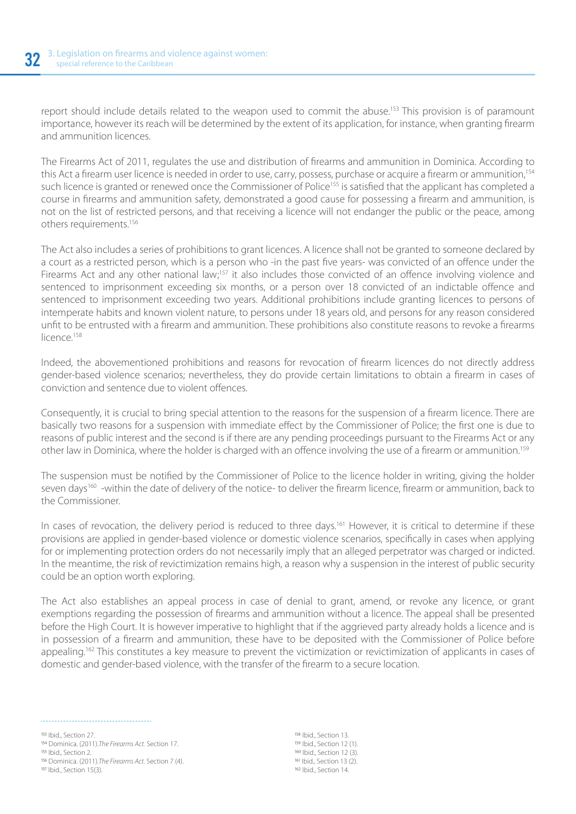report should include details related to the weapon used to commit the abuse.<sup>153</sup> This provision is of paramount importance, however its reach will be determined by the extent of its application, for instance, when granting firearm and ammunition licences.

The Firearms Act of 2011, regulates the use and distribution of firearms and ammunition in Dominica. According to this Act a firearm user licence is needed in order to use, carry, possess, purchase or acquire a firearm or ammunition,<sup>154</sup> such licence is granted or renewed once the Commissioner of Police<sup>155</sup> is satisfied that the applicant has completed a course in firearms and ammunition safety, demonstrated a good cause for possessing a firearm and ammunition, is not on the list of restricted persons, and that receiving a licence will not endanger the public or the peace, among others requirements.156

The Act also includes a series of prohibitions to grant licences. A licence shall not be granted to someone declared by a court as a restricted person, which is a person who -in the past five years- was convicted of an offence under the Firearms Act and any other national law;<sup>157</sup> it also includes those convicted of an offence involving violence and sentenced to imprisonment exceeding six months, or a person over 18 convicted of an indictable offence and sentenced to imprisonment exceeding two years. Additional prohibitions include granting licences to persons of intemperate habits and known violent nature, to persons under 18 years old, and persons for any reason considered unfit to be entrusted with a firearm and ammunition. These prohibitions also constitute reasons to revoke a firearms licence<sup>158</sup>

Indeed, the abovementioned prohibitions and reasons for revocation of firearm licences do not directly address gender-based violence scenarios; nevertheless, they do provide certain limitations to obtain a firearm in cases of conviction and sentence due to violent offences.

Consequently, it is crucial to bring special attention to the reasons for the suspension of a firearm licence. There are basically two reasons for a suspension with immediate effect by the Commissioner of Police; the first one is due to reasons of public interest and the second is if there are any pending proceedings pursuant to the Firearms Act or any other law in Dominica, where the holder is charged with an offence involving the use of a firearm or ammunition.159

The suspension must be notified by the Commissioner of Police to the licence holder in writing, giving the holder seven days<sup>160</sup> -within the date of delivery of the notice- to deliver the firearm licence, firearm or ammunition, back to the Commissioner.

In cases of revocation, the delivery period is reduced to three days.<sup>161</sup> However, it is critical to determine if these provisions are applied in gender-based violence or domestic violence scenarios, specifically in cases when applying for or implementing protection orders do not necessarily imply that an alleged perpetrator was charged or indicted. In the meantime, the risk of revictimization remains high, a reason why a suspension in the interest of public security could be an option worth exploring.

The Act also establishes an appeal process in case of denial to grant, amend, or revoke any licence, or grant exemptions regarding the possession of firearms and ammunition without a licence. The appeal shall be presented before the High Court. It is however imperative to highlight that if the aggrieved party already holds a licence and is in possession of a firearm and ammunition, these have to be deposited with the Commissioner of Police before appealing.<sup>162</sup> This constitutes a key measure to prevent the victimization or revictimization of applicants in cases of domestic and gender-based violence, with the transfer of the firearm to a secure location.

153 Ibid., Section 27. <sup>154</sup> Dominica. (2011).*The Firearms Act*. Section 17. I55 Ihid., Section 2. 156 Dominica. (2011).*The Firearms Act*. Section 7 (4). 157 Ibid., Section 15(3).

158 Ibid., Section 13. 159 Ibid., Section 12 (1). 160 Ihid. Section 12 (3). 161 Ibid., Section 13 (2). 162 Ibid., Section 14.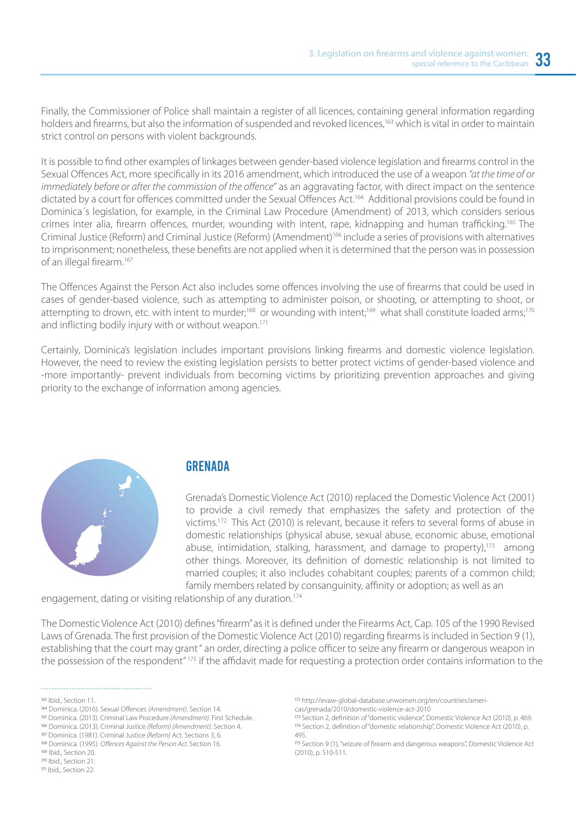Finally, the Commissioner of Police shall maintain a register of all licences, containing general information regarding holders and firearms, but also the information of suspended and revoked licences,<sup>163</sup> which is vital in order to maintain strict control on persons with violent backgrounds.

It is possible to find other examples of linkages between gender-based violence legislation and firearms control in the Sexual Offences Act, more specifically in its 2016 amendment, which introduced the use of a weapon *"at the time of or immediately before or after the commission of the offence"* as an aggravating factor, with direct impact on the sentence dictated by a court for offences committed under the Sexual Offences Act.<sup>164</sup> Additional provisions could be found in Dominica´s legislation, for example, in the Criminal Law Procedure (Amendment) of 2013, which considers serious crimes inter alia, firearm offences, murder, wounding with intent, rape, kidnapping and human trafficking.165 The Criminal Justice (Reform) and Criminal Justice (Reform) (Amendment)166 include a series of provisions with alternatives to imprisonment; nonetheless, these benefits are not applied when it is determined that the person was in possession of an illegal firearm.<sup>167</sup>

The Offences Against the Person Act also includes some offences involving the use of firearms that could be used in cases of gender-based violence, such as attempting to administer poison, or shooting, or attempting to shoot, or attempting to drown, etc. with intent to murder;<sup>168</sup> or wounding with intent;<sup>169</sup> what shall constitute loaded arms;<sup>170</sup> and inflicting bodily injury with or without weapon.<sup>171</sup>

Certainly, Dominica's legislation includes important provisions linking firearms and domestic violence legislation. However, the need to review the existing legislation persists to better protect victims of gender-based violence and -more importantly- prevent individuals from becoming victims by prioritizing prevention approaches and giving priority to the exchange of information among agencies.



#### **GRENADA**

Grenada's Domestic Violence Act (2010) replaced the Domestic Violence Act (2001) to provide a civil remedy that emphasizes the safety and protection of the victims.172 This Act (2010) is relevant, because it refers to several forms of abuse in domestic relationships (physical abuse, sexual abuse, economic abuse, emotional abuse, intimidation, stalking, harassment, and damage to property),<sup>173</sup> among other things. Moreover, its definition of domestic relationship is not limited to married couples; it also includes cohabitant couples; parents of a common child; family members related by consanguinity, affinity or adoption; as well as an

engagement, dating or visiting relationship of any duration.174

The Domestic Violence Act (2010) defines "firearm" as it is defined under the Firearms Act, Cap. 105 of the 1990 Revised Laws of Grenada. The first provision of the Domestic Violence Act (2010) regarding firearms is included in Section 9 (1), establishing that the court may grant " an order, directing a police officer to seize any firearm or dangerous weapon in the possession of the respondent" 175 if the affidavit made for requesting a protection order contains information to the

http://evaw-global-database.unwomen.org/en/countries/ameri-

<sup>163</sup> Ibid., Section 11.

Dominica. (2016). Sexual Offences *(Amendment)*. Section 14.

Dominica. (2013). Criminal Law Procedure *(Amendment)*. First Schedule.

Dominica. (2013). Criminal Justice *(Reform) (Amendment).* Section 4.

Dominica. (1981). Criminal Justice *(Reform)* Act. Sections 3, 6. <sup>168</sup> Dominica. (1995). Offences Against the Person Act. Section 16.

<sup>169</sup> Ibid., Section 20.

<sup>170</sup> Ibid., Section 21.

<sup>171</sup> Ibid., Section 22.

cas/grenada/2010/domestic-violence-act-2010

<sup>173</sup> Section 2, definition of "domestic violence", Domestic Violence Act (2010), p. 469. 174 Section 2, definition of "domestic relationship", Domestic Violence Act (2010), p. 495.

<sup>175</sup> Section 9 (1), "seizure of firearm and dangerous weapons", Domestic Violence Act (2010), p. 510-511.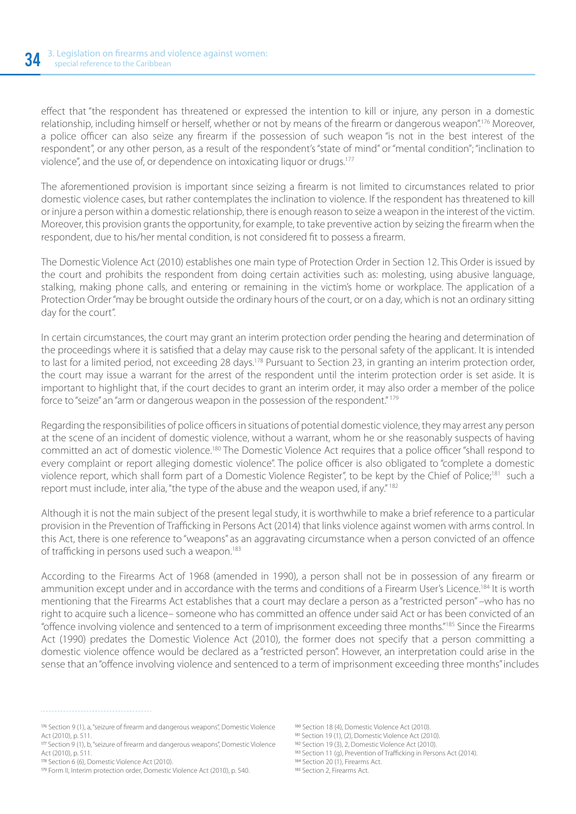effect that "the respondent has threatened or expressed the intention to kill or injure, any person in a domestic relationship, including himself or herself, whether or not by means of the firearm or dangerous weapon".176 Moreover, a police officer can also seize any firearm if the possession of such weapon "is not in the best interest of the respondent", or any other person, as a result of the respondent's "state of mind" or "mental condition"; "inclination to violence", and the use of, or dependence on intoxicating liquor or drugs.177

The aforementioned provision is important since seizing a firearm is not limited to circumstances related to prior domestic violence cases, but rather contemplates the inclination to violence. If the respondent has threatened to kill or injure a person within a domestic relationship, there is enough reason to seize a weapon in the interest of the victim. Moreover, this provision grants the opportunity, for example, to take preventive action by seizing the firearm when the respondent, due to his/her mental condition, is not considered fit to possess a firearm.

The Domestic Violence Act (2010) establishes one main type of Protection Order in Section 12. This Order is issued by the court and prohibits the respondent from doing certain activities such as: molesting, using abusive language, stalking, making phone calls, and entering or remaining in the victim's home or workplace. The application of a Protection Order "may be brought outside the ordinary hours of the court, or on a day, which is not an ordinary sitting day for the court".

In certain circumstances, the court may grant an interim protection order pending the hearing and determination of the proceedings where it is satisfied that a delay may cause risk to the personal safety of the applicant. It is intended to last for a limited period, not exceeding 28 days.<sup>178</sup> Pursuant to Section 23, in granting an interim protection order, the court may issue a warrant for the arrest of the respondent until the interim protection order is set aside. It is important to highlight that, if the court decides to grant an interim order, it may also order a member of the police force to "seize" an "arm or dangerous weapon in the possession of the respondent." 179

Regarding the responsibilities of police officers in situations of potential domestic violence, they may arrest any person at the scene of an incident of domestic violence, without a warrant, whom he or she reasonably suspects of having committed an act of domestic violence.180 The Domestic Violence Act requires that a police officer "shall respond to every complaint or report alleging domestic violence". The police officer is also obligated to "complete a domestic violence report, which shall form part of a Domestic Violence Register", to be kept by the Chief of Police;<sup>181</sup> such a report must include, inter alia, "the type of the abuse and the weapon used, if any." 182

Although it is not the main subject of the present legal study, it is worthwhile to make a brief reference to a particular provision in the Prevention of Trafficking in Persons Act (2014) that links violence against women with arms control. In this Act, there is one reference to "weapons" as an aggravating circumstance when a person convicted of an offence of trafficking in persons used such a weapon.<sup>183</sup>

According to the Firearms Act of 1968 (amended in 1990), a person shall not be in possession of any firearm or ammunition except under and in accordance with the terms and conditions of a Firearm User's Licence.<sup>184</sup> It is worth mentioning that the Firearms Act establishes that a court may declare a person as a "restricted person" –who has no right to acquire such a licence– someone who has committed an offence under said Act or has been convicted of an "offence involving violence and sentenced to a term of imprisonment exceeding three months."185 Since the Firearms Act (1990) predates the Domestic Violence Act (2010), the former does not specify that a person committing a domestic violence offence would be declared as a "restricted person". However, an interpretation could arise in the sense that an "offence involving violence and sentenced to a term of imprisonment exceeding three months" includes

- 180 Section 18 (4), Domestic Violence Act (2010).
- 181 Section 19 (1), (2), Domestic Violence Act (2010).
- 182 Section 19 (3), 2, Domestic Violence Act (2010).

Section 9 (1), a, "seizure of firearm and dangerous weapons", Domestic Violence Act (2010), p. 511.

Section 9 (1), b, "seizure of firearm and dangerous weapons", Domestic Violence Act (2010), p. 511.

<sup>178</sup> Section 6 (6), Domestic Violence Act (2010).

<sup>&</sup>lt;sup>179</sup> Form II, Interim protection order, Domestic Violence Act (2010), p. 540.

<sup>183</sup> Section 11 (g), Prevention of Trafficking in Persons Act (2014).

<sup>184</sup> Section 20 (1), Firearms Act.

<sup>185</sup> Section 2, Firearms Act.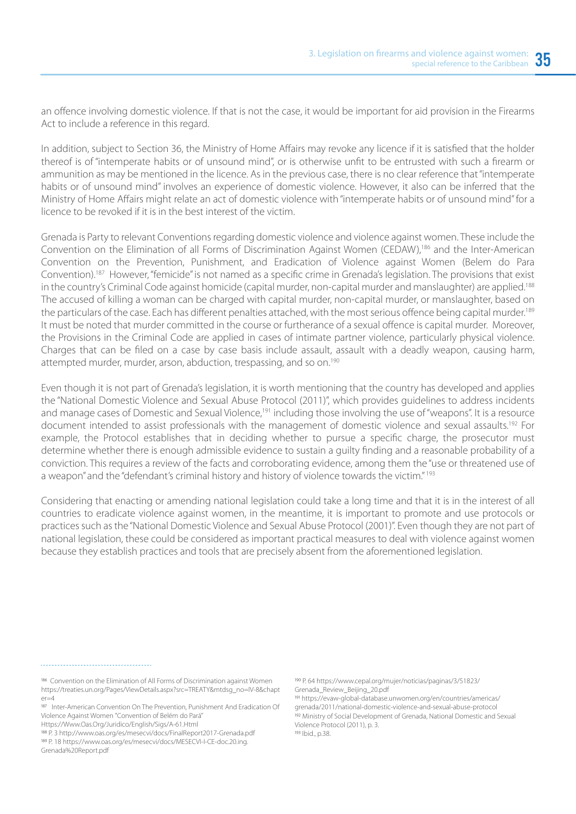an offence involving domestic violence. If that is not the case, it would be important for aid provision in the Firearms Act to include a reference in this regard.

In addition, subject to Section 36, the Ministry of Home Affairs may revoke any licence if it is satisfied that the holder thereof is of "intemperate habits or of unsound mind", or is otherwise unfit to be entrusted with such a firearm or ammunition as may be mentioned in the licence. As in the previous case, there is no clear reference that "intemperate habits or of unsound mind" involves an experience of domestic violence. However, it also can be inferred that the Ministry of Home Affairs might relate an act of domestic violence with "intemperate habits or of unsound mind" for a licence to be revoked if it is in the best interest of the victim.

Grenada is Party to relevant Conventions regarding domestic violence and violence against women. These include the Convention on the Elimination of all Forms of Discrimination Against Women (CEDAW),186 and the Inter-American Convention on the Prevention, Punishment, and Eradication of Violence against Women (Belem do Para Convention).187 However, "femicide" is not named as a specific crime in Grenada's legislation. The provisions that exist in the country's Criminal Code against homicide (capital murder, non-capital murder and manslaughter) are applied.<sup>188</sup> The accused of killing a woman can be charged with capital murder, non-capital murder, or manslaughter, based on the particulars of the case. Each has different penalties attached, with the most serious offence being capital murder.<sup>189</sup> It must be noted that murder committed in the course or furtherance of a sexual offence is capital murder. Moreover, the Provisions in the Criminal Code are applied in cases of intimate partner violence, particularly physical violence. Charges that can be filed on a case by case basis include assault, assault with a deadly weapon, causing harm, attempted murder, murder, arson, abduction, trespassing, and so on.190

Even though it is not part of Grenada's legislation, it is worth mentioning that the country has developed and applies the "National Domestic Violence and Sexual Abuse Protocol (2011)", which provides guidelines to address incidents and manage cases of Domestic and Sexual Violence,<sup>191</sup> including those involving the use of "weapons". It is a resource document intended to assist professionals with the management of domestic violence and sexual assaults.<sup>192</sup> For example, the Protocol establishes that in deciding whether to pursue a specific charge, the prosecutor must determine whether there is enough admissible evidence to sustain a guilty finding and a reasonable probability of a conviction. This requires a review of the facts and corroborating evidence, among them the "use or threatened use of a weapon" and the "defendant's criminal history and history of violence towards the victim." 193

Considering that enacting or amending national legislation could take a long time and that it is in the interest of all countries to eradicate violence against women, in the meantime, it is important to promote and use protocols or practices such as the "National Domestic Violence and Sexual Abuse Protocol (2001)". Even though they are not part of national legislation, these could be considered as important practical measures to deal with violence against women because they establish practices and tools that are precisely absent from the aforementioned legislation.

Https://Www.Oas.Org/Juridico/English/Sigs/A-61.Html

 https://evaw-global-database.unwomen.org/en/countries/americas/ grenada/2011/national-domestic-violence-and-sexual-abuse-protocol <sup>192</sup> Ministry of Social Development of Grenada, National Domestic and Sexual Violence Protocol (2011), p. 3.

<sup>193</sup> Ibid., p.38.

<sup>186</sup> Convention on the Elimination of All Forms of Discrimination against Women https://treaties.un.org/Pages/ViewDetails.aspx?src=TREATY&mtdsg\_no=IV-8&chapt  $er=4$ 

<sup>187</sup> Inter-American Convention On The Prevention, Punishment And Eradication Of Violence Against Women "Convention of Belém do Pará"

<sup>188</sup> P. 3 http://www.oas.org/es/mesecvi/docs/FinalReport2017-Grenada.pdf P. 18 https://www.oas.org/es/mesecvi/docs/MESECVI-I-CE-doc.20.ing.

Grenada%20Report.pdf

P. 64 https://www.cepal.org/mujer/noticias/paginas/3/51823/ Grenada\_Review\_Beijing\_20.pdf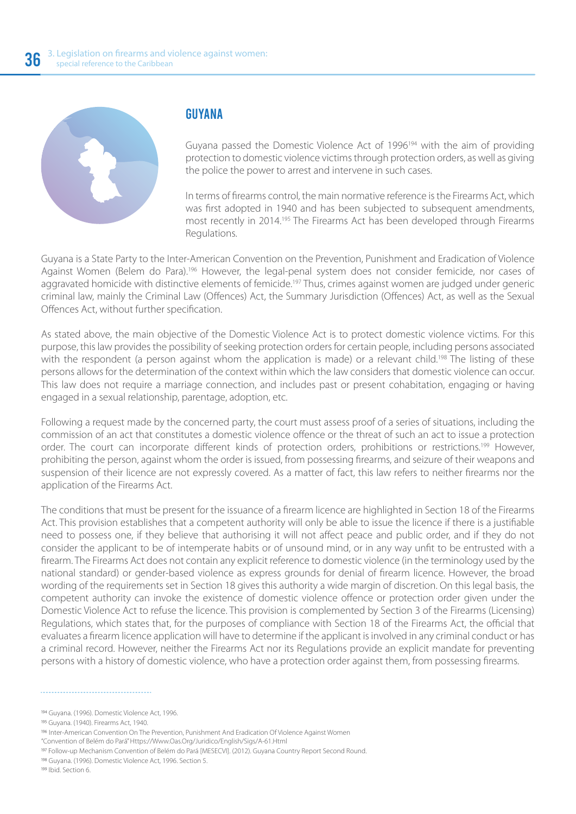

#### GUYANA

Guyana passed the Domestic Violence Act of 1996<sup>194</sup> with the aim of providing protection to domestic violence victims through protection orders, as well as giving the police the power to arrest and intervene in such cases.

In terms of firearms control, the main normative reference is the Firearms Act, which was first adopted in 1940 and has been subjected to subsequent amendments, most recently in 2014.195 The Firearms Act has been developed through Firearms Regulations.

Guyana is a State Party to the Inter-American Convention on the Prevention, Punishment and Eradication of Violence Against Women (Belem do Para).196 However, the legal-penal system does not consider femicide, nor cases of aggravated homicide with distinctive elements of femicide.<sup>197</sup> Thus, crimes against women are judged under generic criminal law, mainly the Criminal Law (Offences) Act, the Summary Jurisdiction (Offences) Act, as well as the Sexual Offences Act, without further specification.

As stated above, the main objective of the Domestic Violence Act is to protect domestic violence victims. For this purpose, this law provides the possibility of seeking protection orders for certain people, including persons associated with the respondent (a person against whom the application is made) or a relevant child.<sup>198</sup> The listing of these persons allows for the determination of the context within which the law considers that domestic violence can occur. This law does not require a marriage connection, and includes past or present cohabitation, engaging or having engaged in a sexual relationship, parentage, adoption, etc.

Following a request made by the concerned party, the court must assess proof of a series of situations, including the commission of an act that constitutes a domestic violence offence or the threat of such an act to issue a protection order. The court can incorporate different kinds of protection orders, prohibitions or restrictions.<sup>199</sup> However, prohibiting the person, against whom the order is issued, from possessing firearms, and seizure of their weapons and suspension of their licence are not expressly covered. As a matter of fact, this law refers to neither firearms nor the application of the Firearms Act.

The conditions that must be present for the issuance of a firearm licence are highlighted in Section 18 of the Firearms Act. This provision establishes that a competent authority will only be able to issue the licence if there is a justifiable need to possess one, if they believe that authorising it will not affect peace and public order, and if they do not consider the applicant to be of intemperate habits or of unsound mind, or in any way unfit to be entrusted with a firearm. The Firearms Act does not contain any explicit reference to domestic violence (in the terminology used by the national standard) or gender-based violence as express grounds for denial of firearm licence. However, the broad wording of the requirements set in Section 18 gives this authority a wide margin of discretion. On this legal basis, the competent authority can invoke the existence of domestic violence offence or protection order given under the Domestic Violence Act to refuse the licence. This provision is complemented by Section 3 of the Firearms (Licensing) Regulations, which states that, for the purposes of compliance with Section 18 of the Firearms Act, the official that evaluates a firearm licence application will have to determine if the applicant is involved in any criminal conduct or has a criminal record. However, neither the Firearms Act nor its Regulations provide an explicit mandate for preventing persons with a history of domestic violence, who have a protection order against them, from possessing firearms.

<sup>194</sup> Guyana. (1996). Domestic Violence Act, 1996.

<sup>195</sup> Guyana. (1940). Firearms Act, 1940.

<sup>196</sup> Inter-American Convention On The Prevention, Punishment And Eradication Of Violence Against Women

<sup>&</sup>quot;Convention of Belém do Pará" Https://Www.Oas.Org/Juridico/English/Sigs/A-61.Html

Follow-up Mechanism Convention of Belém do Pará [MESECVI]. (2012). Guyana Country Report Second Round.

<sup>198</sup> Guyana. (1996). Domestic Violence Act, 1996. Section 5.

<sup>199</sup> Ibid. Section 6.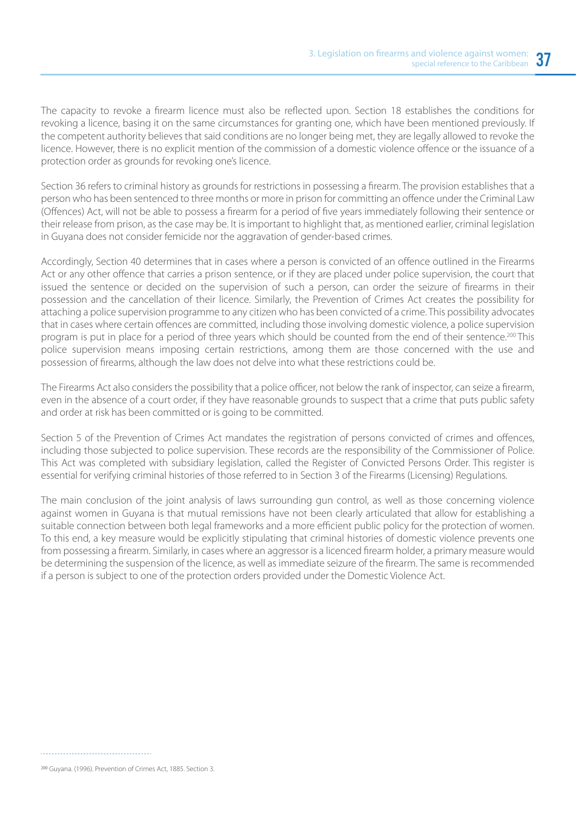The capacity to revoke a firearm licence must also be reflected upon. Section 18 establishes the conditions for revoking a licence, basing it on the same circumstances for granting one, which have been mentioned previously. If the competent authority believes that said conditions are no longer being met, they are legally allowed to revoke the licence. However, there is no explicit mention of the commission of a domestic violence offence or the issuance of a protection order as grounds for revoking one's licence.

Section 36 refers to criminal history as grounds for restrictions in possessing a firearm. The provision establishes that a person who has been sentenced to three months or more in prison for committing an offence under the Criminal Law (Offences) Act, will not be able to possess a firearm for a period of five years immediately following their sentence or their release from prison, as the case may be. It is important to highlight that, as mentioned earlier, criminal legislation in Guyana does not consider femicide nor the aggravation of gender-based crimes.

Accordingly, Section 40 determines that in cases where a person is convicted of an offence outlined in the Firearms Act or any other offence that carries a prison sentence, or if they are placed under police supervision, the court that issued the sentence or decided on the supervision of such a person, can order the seizure of firearms in their possession and the cancellation of their licence. Similarly, the Prevention of Crimes Act creates the possibility for attaching a police supervision programme to any citizen who has been convicted of a crime. This possibility advocates that in cases where certain offences are committed, including those involving domestic violence, a police supervision program is put in place for a period of three years which should be counted from the end of their sentence.<sup>200</sup> This police supervision means imposing certain restrictions, among them are those concerned with the use and possession of firearms, although the law does not delve into what these restrictions could be.

The Firearms Act also considers the possibility that a police officer, not below the rank of inspector, can seize a firearm, even in the absence of a court order, if they have reasonable grounds to suspect that a crime that puts public safety and order at risk has been committed or is going to be committed.

Section 5 of the Prevention of Crimes Act mandates the registration of persons convicted of crimes and offences, including those subjected to police supervision. These records are the responsibility of the Commissioner of Police. This Act was completed with subsidiary legislation, called the Register of Convicted Persons Order. This register is essential for verifying criminal histories of those referred to in Section 3 of the Firearms (Licensing) Regulations.

The main conclusion of the joint analysis of laws surrounding gun control, as well as those concerning violence against women in Guyana is that mutual remissions have not been clearly articulated that allow for establishing a suitable connection between both legal frameworks and a more efficient public policy for the protection of women. To this end, a key measure would be explicitly stipulating that criminal histories of domestic violence prevents one from possessing a firearm. Similarly, in cases where an aggressor is a licenced firearm holder, a primary measure would be determining the suspension of the licence, as well as immediate seizure of the firearm. The same is recommended if a person is subject to one of the protection orders provided under the Domestic Violence Act.

Guyana. (1996). Prevention of Crimes Act, 1885. Section 3.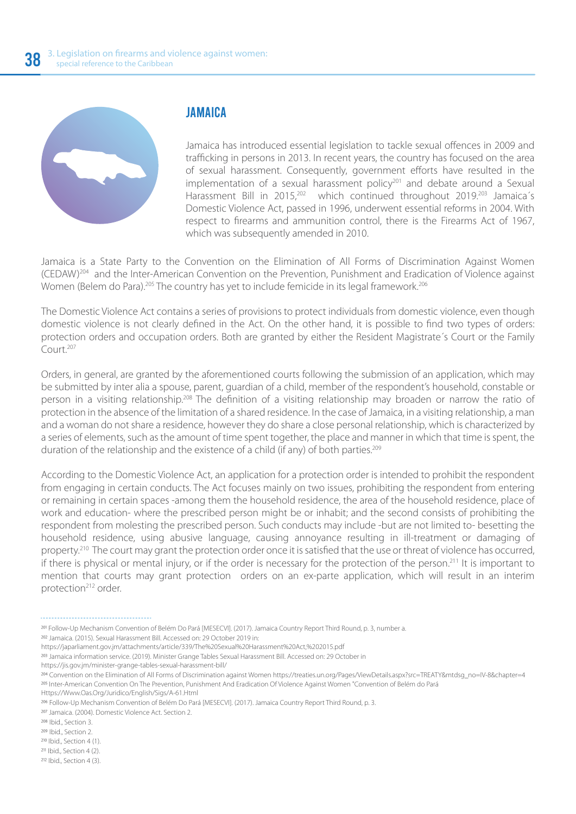

#### JAMAICA

Jamaica has introduced essential legislation to tackle sexual offences in 2009 and trafficking in persons in 2013. In recent years, the country has focused on the area of sexual harassment. Consequently, government efforts have resulted in the implementation of a sexual harassment policy<sup>201</sup> and debate around a Sexual Harassment Bill in 2015,<sup>202</sup> which continued throughout 2019.<sup>203</sup> Jamaica's Domestic Violence Act, passed in 1996, underwent essential reforms in 2004. With respect to firearms and ammunition control, there is the Firearms Act of 1967, which was subsequently amended in 2010.

Jamaica is a State Party to the Convention on the Elimination of All Forms of Discrimination Against Women (CEDAW)204 and the Inter-American Convention on the Prevention, Punishment and Eradication of Violence against Women (Belem do Para).<sup>205</sup> The country has yet to include femicide in its legal framework.<sup>206</sup>

The Domestic Violence Act contains a series of provisions to protect individuals from domestic violence, even though domestic violence is not clearly defined in the Act. On the other hand, it is possible to find two types of orders: protection orders and occupation orders. Both are granted by either the Resident Magistrate´s Court or the Family Court.207

Orders, in general, are granted by the aforementioned courts following the submission of an application, which may be submitted by inter alia a spouse, parent, guardian of a child, member of the respondent's household, constable or person in a visiting relationship.208 The definition of a visiting relationship may broaden or narrow the ratio of protection in the absence of the limitation of a shared residence. In the case of Jamaica, in a visiting relationship, a man and a woman do not share a residence, however they do share a close personal relationship, which is characterized by a series of elements, such as the amount of time spent together, the place and manner in which that time is spent, the duration of the relationship and the existence of a child (if any) of both parties.<sup>209</sup>

According to the Domestic Violence Act, an application for a protection order is intended to prohibit the respondent from engaging in certain conducts. The Act focuses mainly on two issues, prohibiting the respondent from entering or remaining in certain spaces -among them the household residence, the area of the household residence, place of work and education- where the prescribed person might be or inhabit; and the second consists of prohibiting the respondent from molesting the prescribed person. Such conducts may include -but are not limited to- besetting the household residence, using abusive language, causing annoyance resulting in ill-treatment or damaging of property.<sup>210</sup> The court may grant the protection order once it is satisfied that the use or threat of violence has occurred, if there is physical or mental injury, or if the order is necessary for the protection of the person.<sup>211</sup> It is important to mention that courts may grant protection orders on an ex-parte application, which will result in an interim protection<sup>212</sup> order.

Jamaica information service. (2019). Minister Grange Tables Sexual Harassment Bill. Accessed on: 29 October in

207 Jamaica. (2004). Domestic Violence Act. Section 2.

Follow-Up Mechanism Convention of Belém Do Pará [MESECVI]. (2017). Jamaica Country Report Third Round, p. 3, number a.

<sup>&</sup>lt;sup>202</sup> Jamaica. (2015). Sexual Harassment Bill. Accessed on: 29 October 2019 in:

https://japarliament.gov.jm/attachments/article/339/The%20Sexual%20Harassment%20Act,%202015.pdf

https://jis.gov.jm/minister-grange-tables-sexual-harassment-bill/

Convention on the Elimination of All Forms of Discrimination against Women https://treaties.un.org/Pages/ViewDetails.aspx?src=TREATY&mtdsg\_no=IV-8&chapter=4 Inter-American Convention On The Prevention, Punishment And Eradication Of Violence Against Women "Convention of Belém do Pará

Https://Www.Oas.Org/Juridico/English/Sigs/A-61.Html

<sup>206</sup> Follow-Up Mechanism Convention of Belém Do Pará [MESECVI]. (2017). Jamaica Country Report Third Round, p. 3.

<sup>&</sup>lt;sup>208</sup> Ibid., Section 3.

<sup>&</sup>lt;sup>209</sup> Ibid., Section 2.

<sup>&</sup>lt;sup>210</sup> Ibid., Section 4 (1).

<sup>&</sup>lt;sup>211</sup> Ibid., Section 4 (2).

 $212$  Ibid., Section 4 (3).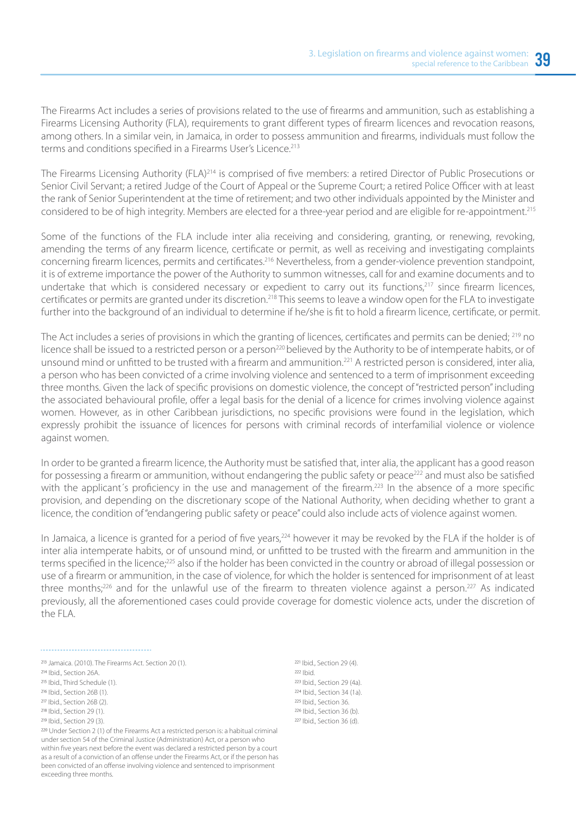The Firearms Act includes a series of provisions related to the use of firearms and ammunition, such as establishing a Firearms Licensing Authority (FLA), requirements to grant different types of firearm licences and revocation reasons, among others. In a similar vein, in Jamaica, in order to possess ammunition and firearms, individuals must follow the terms and conditions specified in a Firearms User's Licence.<sup>213</sup>

The Firearms Licensing Authority (FLA)<sup>214</sup> is comprised of five members: a retired Director of Public Prosecutions or Senior Civil Servant; a retired Judge of the Court of Appeal or the Supreme Court; a retired Police Officer with at least the rank of Senior Superintendent at the time of retirement; and two other individuals appointed by the Minister and considered to be of high integrity. Members are elected for a three-year period and are eligible for re-appointment.215

Some of the functions of the FLA include inter alia receiving and considering, granting, or renewing, revoking, amending the terms of any firearm licence, certificate or permit, as well as receiving and investigating complaints concerning firearm licences, permits and certificates.216 Nevertheless, from a gender-violence prevention standpoint, it is of extreme importance the power of the Authority to summon witnesses, call for and examine documents and to undertake that which is considered necessary or expedient to carry out its functions,<sup>217</sup> since firearm licences, certificates or permits are granted under its discretion.218 This seems to leave a window open for the FLA to investigate further into the background of an individual to determine if he/she is fit to hold a firearm licence, certificate, or permit.

The Act includes a series of provisions in which the granting of licences, certificates and permits can be denied; 219 no licence shall be issued to a restricted person or a person<sup>220</sup> believed by the Authority to be of intemperate habits, or of unsound mind or unfitted to be trusted with a firearm and ammunition.221 A restricted person is considered, inter alia, a person who has been convicted of a crime involving violence and sentenced to a term of imprisonment exceeding three months. Given the lack of specific provisions on domestic violence, the concept of "restricted person" including the associated behavioural profile, offer a legal basis for the denial of a licence for crimes involving violence against women. However, as in other Caribbean jurisdictions, no specific provisions were found in the legislation, which expressly prohibit the issuance of licences for persons with criminal records of interfamilial violence or violence against women.

In order to be granted a firearm licence, the Authority must be satisfied that, inter alia, the applicant has a good reason for possessing a firearm or ammunition, without endangering the public safety or peace<sup>222</sup> and must also be satisfied with the applicant's proficiency in the use and management of the firearm.<sup>223</sup> In the absence of a more specific provision, and depending on the discretionary scope of the National Authority, when deciding whether to grant a licence, the condition of "endangering public safety or peace" could also include acts of violence against women.

In Jamaica, a licence is granted for a period of five years,<sup>224</sup> however it may be revoked by the FLA if the holder is of inter alia intemperate habits, or of unsound mind, or unfitted to be trusted with the firearm and ammunition in the terms specified in the licence;<sup>225</sup> also if the holder has been convicted in the country or abroad of illegal possession or use of a firearm or ammunition, in the case of violence, for which the holder is sentenced for imprisonment of at least three months;<sup>226</sup> and for the unlawful use of the firearm to threaten violence against a person.<sup>227</sup> As indicated previously, all the aforementioned cases could provide coverage for domestic violence acts, under the discretion of the FLA.

<sup>218</sup> Ibid., Section 29 (1). <sup>219</sup> Ibid., Section 29 (3).

 Under Section 2 (1) of the Firearms Act a restricted person is: a habitual criminal under section 54 of the Criminal Justice (Administration) Act, or a person who within five years next before the event was declared a restricted person by a court as a result of a conviction of an offense under the Firearms Act, or if the person has been convicted of an offense involving violence and sentenced to imprisonment exceeding three months.

 $221$  Ibid., Section 29 (4).  $222$  Ibid. <sup>223</sup> Ibid., Section 29 (4a). <sup>224</sup> Ibid., Section 34 (1a). <sup>225</sup> Ibid., Section 36. <sup>226</sup> Ibid., Section 36 (b). <sup>227</sup> Ibid., Section 36 (d).

<sup>&</sup>lt;sup>213</sup> Jamaica. (2010). The Firearms Act. Section 20 (1).

<sup>&</sup>lt;sup>214</sup> Ibid., Section 26A.

<sup>&</sup>lt;sup>215</sup> Ibid., Third Schedule (1).

<sup>&</sup>lt;sup>216</sup> Ibid., Section 26B (1).

<sup>&</sup>lt;sup>217</sup> Ibid., Section 26B (2).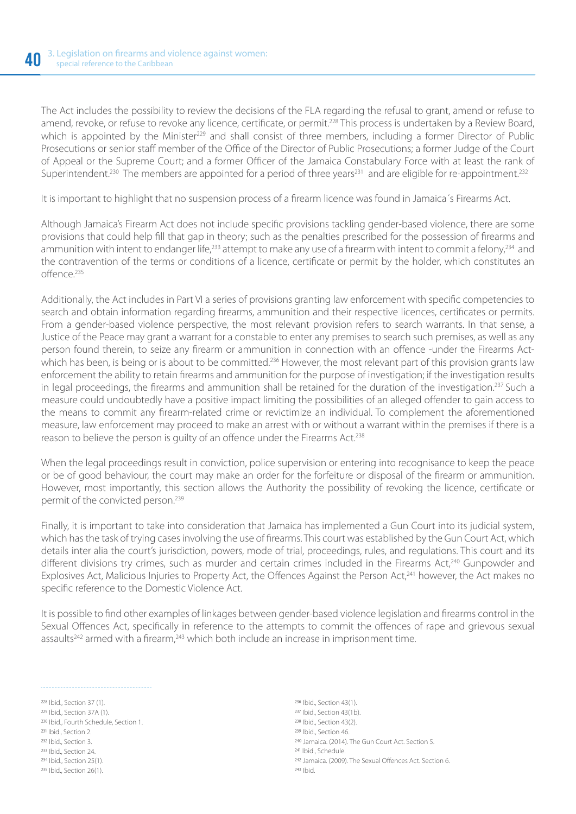The Act includes the possibility to review the decisions of the FLA regarding the refusal to grant, amend or refuse to amend, revoke, or refuse to revoke any licence, certificate, or permit.<sup>228</sup> This process is undertaken by a Review Board, which is appointed by the Minister<sup>229</sup> and shall consist of three members, including a former Director of Public Prosecutions or senior staff member of the Office of the Director of Public Prosecutions; a former Judge of the Court of Appeal or the Supreme Court; and a former Officer of the Jamaica Constabulary Force with at least the rank of Superintendent.<sup>230</sup> The members are appointed for a period of three years<sup>231</sup> and are eligible for re-appointment.<sup>232</sup>

It is important to highlight that no suspension process of a firearm licence was found in Jamaica´s Firearms Act.

Although Jamaica's Firearm Act does not include specific provisions tackling gender-based violence, there are some provisions that could help fill that gap in theory; such as the penalties prescribed for the possession of firearms and ammunition with intent to endanger life,<sup>233</sup> attempt to make any use of a firearm with intent to commit a felony,<sup>234</sup> and the contravention of the terms or conditions of a licence, certificate or permit by the holder, which constitutes an  $off \text{arcp}^{235}$ 

Additionally, the Act includes in Part VI a series of provisions granting law enforcement with specific competencies to search and obtain information regarding firearms, ammunition and their respective licences, certificates or permits. From a gender-based violence perspective, the most relevant provision refers to search warrants. In that sense, a Justice of the Peace may grant a warrant for a constable to enter any premises to search such premises, as well as any person found therein, to seize any firearm or ammunition in connection with an offence -under the Firearms Actwhich has been, is being or is about to be committed.<sup>236</sup> However, the most relevant part of this provision grants law enforcement the ability to retain firearms and ammunition for the purpose of investigation; if the investigation results in legal proceedings, the firearms and ammunition shall be retained for the duration of the investigation.<sup>237</sup> Such a measure could undoubtedly have a positive impact limiting the possibilities of an alleged offender to gain access to the means to commit any firearm-related crime or revictimize an individual. To complement the aforementioned measure, law enforcement may proceed to make an arrest with or without a warrant within the premises if there is a reason to believe the person is quilty of an offence under the Firearms Act.<sup>238</sup>

When the legal proceedings result in conviction, police supervision or entering into recognisance to keep the peace or be of good behaviour, the court may make an order for the forfeiture or disposal of the firearm or ammunition. However, most importantly, this section allows the Authority the possibility of revoking the licence, certificate or permit of the convicted person.<sup>239</sup>

Finally, it is important to take into consideration that Jamaica has implemented a Gun Court into its judicial system, which has the task of trying cases involving the use of firearms. This court was established by the Gun Court Act, which details inter alia the court's jurisdiction, powers, mode of trial, proceedings, rules, and regulations. This court and its different divisions try crimes, such as murder and certain crimes included in the Firearms Act,<sup>240</sup> Gunpowder and Explosives Act, Malicious Injuries to Property Act, the Offences Against the Person Act,<sup>241</sup> however, the Act makes no specific reference to the Domestic Violence Act.

It is possible to find other examples of linkages between gender-based violence legislation and firearms control in the Sexual Offences Act, specifically in reference to the attempts to commit the offences of rape and grievous sexual assaults<sup>242</sup> armed with a firearm,<sup>243</sup> which both include an increase in imprisonment time.

228 Ibid., Section 37 (1). <sup>229</sup> Ibid., Section 37A (1). 230 Ibid., Fourth Schedule, Section 1. <sup>231</sup> Ibid., Section 2. <sup>232</sup> Ibid., Section 3. <sup>233</sup> Ibid., Section 24.  $234$  Ibid. Section  $25(1)$ . 235 Ibid., Section 26(1).

<sup>236</sup> Ibid., Section 43(1). <sup>237</sup> Ibid., Section 43(1b). <sup>238</sup> Ibid., Section 43(2). <sup>239</sup> Ibid., Section 46. <sup>240</sup> Jamaica. (2014). The Gun Court Act. Section 5. <sup>241</sup> Ibid., Schedule. 242 Jamaica. (2009). The Sexual Offences Act. Section 6.  $243$  Ibid.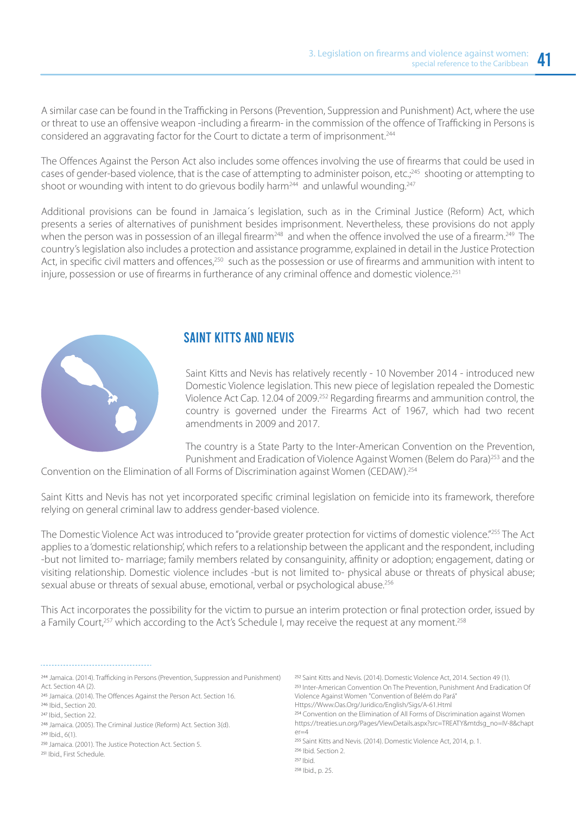A similar case can be found in the Trafficking in Persons (Prevention, Suppression and Punishment) Act, where the use or threat to use an offensive weapon -including a firearm- in the commission of the offence of Trafficking in Persons is considered an aggravating factor for the Court to dictate a term of imprisonment.<sup>244</sup>

The Offences Against the Person Act also includes some offences involving the use of firearms that could be used in cases of gender-based violence, that is the case of attempting to administer poison, etc.;<sup>245</sup> shooting or attempting to shoot or wounding with intent to do grievous bodily harm<sup>244</sup> and unlawful wounding.<sup>247</sup>

Additional provisions can be found in Jamaica´s legislation, such as in the Criminal Justice (Reform) Act, which presents a series of alternatives of punishment besides imprisonment. Nevertheless, these provisions do not apply when the person was in possession of an illegal firearm<sup>248</sup> and when the offence involved the use of a firearm.<sup>249</sup> The country's legislation also includes a protection and assistance programme, explained in detail in the Justice Protection Act, in specific civil matters and offences,<sup>250</sup> such as the possession or use of firearms and ammunition with intent to injure, possession or use of firearms in furtherance of any criminal offence and domestic violence.<sup>251</sup>



#### SAINT KITTS AND NEVIS

Saint Kitts and Nevis has relatively recently - 10 November 2014 - introduced new Domestic Violence legislation. This new piece of legislation repealed the Domestic Violence Act Cap. 12.04 of 2009.252 Regarding firearms and ammunition control, the country is governed under the Firearms Act of 1967, which had two recent amendments in 2009 and 2017.

The country is a State Party to the Inter-American Convention on the Prevention, Punishment and Eradication of Violence Against Women (Belem do Para)<sup>253</sup> and the

Convention on the Elimination of all Forms of Discrimination against Women (CEDAW).254

Saint Kitts and Nevis has not yet incorporated specific criminal legislation on femicide into its framework, therefore relying on general criminal law to address gender-based violence.

The Domestic Violence Act was introduced to "provide greater protection for victims of domestic violence."<sup>255</sup> The Act applies to a 'domestic relationship', which refers to a relationship between the applicant and the respondent, including -but not limited to- marriage; family members related by consanguinity, affinity or adoption; engagement, dating or visiting relationship. Domestic violence includes -but is not limited to- physical abuse or threats of physical abuse; sexual abuse or threats of sexual abuse, emotional, verbal or psychological abuse.<sup>256</sup>

This Act incorporates the possibility for the victim to pursue an interim protection or final protection order, issued by a Family Court,<sup>257</sup> which according to the Act's Schedule I, may receive the request at any moment.<sup>258</sup>

244 Jamaica. (2014). Trafficking in Persons (Prevention, Suppression and Punishment) Act. Section 4A (2). 245 Jamaica. (2014). The Offences Against the Person Act. Section 16. 246 Ibid., Section 20. <sup>247</sup> Ibid., Section 22. <sup>248</sup> Jamaica. (2005). The Criminal Justice (Reform) Act. Section 3(d).  $249$  Ibid.,  $6(1)$ .

<sup>252</sup> Saint Kitts and Nevis. (2014). Domestic Violence Act, 2014. Section 49 (1). 253 Inter-American Convention On The Prevention, Punishment And Eradication Of Violence Against Women "Convention of Belém do Pará" Https://Www.Oas.Org/Juridico/English/Sigs/A-61.Html 254 Convention on the Elimination of All Forms of Discrimination against Women https://treaties.un.org/Pages/ViewDetails.aspx?src=TREATY&mtdsg\_no=IV-8&chapt  $er=4$ 255 Saint Kitts and Nevis. (2014). Domestic Violence Act, 2014, p. 1. <sup>256</sup> Ibid. Section 2.  $257$  Ibid. <sup>258</sup> Ibid., p. 25.

<sup>&</sup>lt;sup>250</sup> Jamaica. (2001). The Justice Protection Act. Section 5.

<sup>251</sup> Ibid., First Schedule.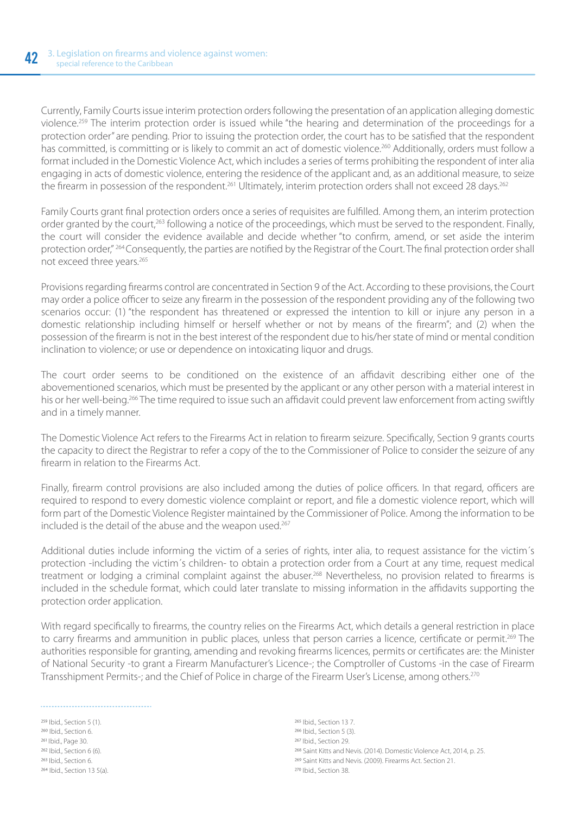Currently, Family Courts issue interim protection orders following the presentation of an application alleging domestic violence.259 The interim protection order is issued while "the hearing and determination of the proceedings for a protection order" are pending. Prior to issuing the protection order, the court has to be satisfied that the respondent has committed, is committing or is likely to commit an act of domestic violence.<sup>260</sup> Additionally, orders must follow a format included in the Domestic Violence Act, which includes a series of terms prohibiting the respondent of inter alia engaging in acts of domestic violence, entering the residence of the applicant and, as an additional measure, to seize the firearm in possession of the respondent.<sup>261</sup> Ultimately, interim protection orders shall not exceed 28 days.<sup>262</sup>

Family Courts grant final protection orders once a series of requisites are fulfilled. Among them, an interim protection order granted by the court,<sup>263</sup> following a notice of the proceedings, which must be served to the respondent. Finally, the court will consider the evidence available and decide whether "to confirm, amend, or set aside the interim protection order," 264 Consequently, the parties are notified by the Registrar of the Court. The final protection order shall not exceed three years.<sup>265</sup>

Provisions regarding firearms control are concentrated in Section 9 of the Act. According to these provisions, the Court may order a police officer to seize any firearm in the possession of the respondent providing any of the following two scenarios occur: (1) "the respondent has threatened or expressed the intention to kill or injure any person in a domestic relationship including himself or herself whether or not by means of the firearm"; and (2) when the possession of the firearm is not in the best interest of the respondent due to his/her state of mind or mental condition inclination to violence; or use or dependence on intoxicating liquor and drugs.

The court order seems to be conditioned on the existence of an affidavit describing either one of the abovementioned scenarios, which must be presented by the applicant or any other person with a material interest in his or her well-being.266 The time required to issue such an affidavit could prevent law enforcement from acting swiftly and in a timely manner.

The Domestic Violence Act refers to the Firearms Act in relation to firearm seizure. Specifically, Section 9 grants courts the capacity to direct the Registrar to refer a copy of the to the Commissioner of Police to consider the seizure of any firearm in relation to the Firearms Act.

Finally, firearm control provisions are also included among the duties of police officers. In that regard, officers are required to respond to every domestic violence complaint or report, and file a domestic violence report, which will form part of the Domestic Violence Register maintained by the Commissioner of Police. Among the information to be included is the detail of the abuse and the weapon used.<sup>267</sup>

Additional duties include informing the victim of a series of rights, inter alia, to request assistance for the victim´s protection -including the victim´s children- to obtain a protection order from a Court at any time, request medical treatment or lodging a criminal complaint against the abuser.<sup>268</sup> Nevertheless, no provision related to firearms is included in the schedule format, which could later translate to missing information in the affidavits supporting the protection order application.

With regard specifically to firearms, the country relies on the Firearms Act, which details a general restriction in place to carry firearms and ammunition in public places, unless that person carries a licence, certificate or permit.<sup>269</sup> The authorities responsible for granting, amending and revoking firearms licences, permits or certificates are: the Minister of National Security -to grant a Firearm Manufacturer's Licence-; the Comptroller of Customs -in the case of Firearm Transshipment Permits-; and the Chief of Police in charge of the Firearm User's License, among others.270

<sup>259</sup> Ibid., Section 5 (1). 260 Ibid., Section 6. <sup>261</sup> Ibid., Page 30. <sup>262</sup> Ibid., Section 6 (6). 263 Ibid., Section 6. <sup>264</sup> Ibid., Section 13 5(a).

265 Ibid., Section 13 7. 266 Ibid., Section 5 (3). <sup>267</sup> Ibid., Section 29. <sup>268</sup> Saint Kitts and Nevis. (2014). Domestic Violence Act, 2014, p. 25. <sup>269</sup> Saint Kitts and Nevis. (2009). Firearms Act. Section 21. <sup>270</sup> Ibid., Section 38.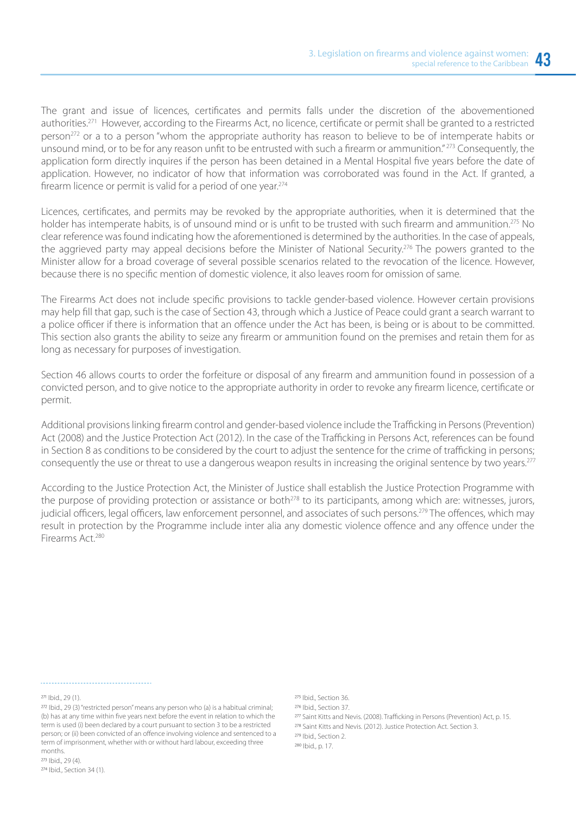The grant and issue of licences, certificates and permits falls under the discretion of the abovementioned authorities.271 However, according to the Firearms Act, no licence, certificate or permit shall be granted to a restricted person<sup>272</sup> or a to a person "whom the appropriate authority has reason to believe to be of intemperate habits or unsound mind, or to be for any reason unfit to be entrusted with such a firearm or ammunition." <sup>273</sup> Consequently, the application form directly inquires if the person has been detained in a Mental Hospital five years before the date of application. However, no indicator of how that information was corroborated was found in the Act. If granted, a firearm licence or permit is valid for a period of one year.<sup>274</sup>

Licences, certificates, and permits may be revoked by the appropriate authorities, when it is determined that the holder has intemperate habits, is of unsound mind or is unfit to be trusted with such firearm and ammunition.<sup>275</sup> No clear reference was found indicating how the aforementioned is determined by the authorities. In the case of appeals, the aggrieved party may appeal decisions before the Minister of National Security.276 The powers granted to the Minister allow for a broad coverage of several possible scenarios related to the revocation of the licence. However, because there is no specific mention of domestic violence, it also leaves room for omission of same.

The Firearms Act does not include specific provisions to tackle gender-based violence. However certain provisions may help fill that gap, such is the case of Section 43, through which a Justice of Peace could grant a search warrant to a police officer if there is information that an offence under the Act has been, is being or is about to be committed. This section also grants the ability to seize any firearm or ammunition found on the premises and retain them for as long as necessary for purposes of investigation.

Section 46 allows courts to order the forfeiture or disposal of any firearm and ammunition found in possession of a convicted person, and to give notice to the appropriate authority in order to revoke any firearm licence, certificate or permit.

Additional provisions linking firearm control and gender-based violence include the Trafficking in Persons (Prevention) Act (2008) and the Justice Protection Act (2012). In the case of the Trafficking in Persons Act, references can be found in Section 8 as conditions to be considered by the court to adjust the sentence for the crime of trafficking in persons; consequently the use or threat to use a dangerous weapon results in increasing the original sentence by two years.<sup>277</sup>

According to the Justice Protection Act, the Minister of Justice shall establish the Justice Protection Programme with the purpose of providing protection or assistance or both<sup>278</sup> to its participants, among which are: witnesses, jurors, judicial officers, legal officers, law enforcement personnel, and associates of such persons.<sup>279</sup> The offences, which may result in protection by the Programme include inter alia any domestic violence offence and any offence under the Firearms Act.280

<sup>271</sup> Ibid., 29 (1).

<sup>275</sup> Ibid., Section 36.

- 276 Ihid. Section 37.
- 277 Saint Kitts and Nevis. (2008). Trafficking in Persons (Prevention) Act, p. 15.
- 278 Saint Kitts and Nevis. (2012). Justice Protection Act. Section 3.

<sup>279</sup> Ibid., Section 2.

<sup>280</sup> Ibid., p. 17.

<sup>&</sup>lt;sup>272</sup> Ibid., 29 (3) "restricted person" means any person who (a) is a habitual criminal; (b) has at any time within five years next before the event in relation to which the term is used (i) been declared by a court pursuant to section 3 to be a restricted person; or (ii) been convicted of an offence involving violence and sentenced to a term of imprisonment, whether with or without hard labour, exceeding three months.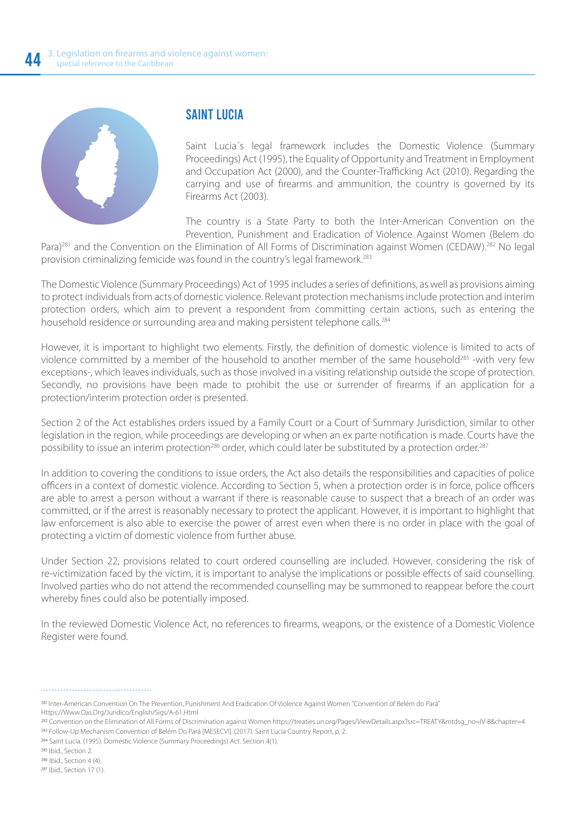

#### SAINT LUCIA

Saint Lucia´s legal framework includes the Domestic Violence (Summary Proceedings) Act (1995), the Equality of Opportunity and Treatment in Employment and Occupation Act (2000), and the Counter-Trafficking Act (2010). Regarding the carrying and use of firearms and ammunition, the country is governed by its Firearms Act (2003).

The country is a State Party to both the Inter-American Convention on the Prevention, Punishment and Eradication of Violence Against Women (Belem do

Para)<sup>281</sup> and the Convention on the Elimination of All Forms of Discrimination against Women (CEDAW).<sup>282</sup> No legal provision criminalizing femicide was found in the country's legal framework.283

The Domestic Violence (Summary Proceedings) Act of 1995 includes a series of definitions, as well as provisions aiming to protect individuals from acts of domestic violence. Relevant protection mechanisms include protection and interim protection orders, which aim to prevent a respondent from committing certain actions, such as entering the household residence or surrounding area and making persistent telephone calls.<sup>284</sup>

However, it is important to highlight two elements. Firstly, the definition of domestic violence is limited to acts of violence committed by a member of the household to another member of the same household<sup>285</sup> -with very few exceptions-, which leaves individuals, such as those involved in a visiting relationship outside the scope of protection. Secondly, no provisions have been made to prohibit the use or surrender of firearms if an application for a protection/interim protection order is presented.

Section 2 of the Act establishes orders issued by a Family Court or a Court of Summary Jurisdiction, similar to other legislation in the region, while proceedings are developing or when an ex parte notification is made. Courts have the possibility to issue an interim protection<sup>286</sup> order, which could later be substituted by a protection order.<sup>287</sup>

In addition to covering the conditions to issue orders, the Act also details the responsibilities and capacities of police officers in a context of domestic violence. According to Section 5, when a protection order is in force, police officers are able to arrest a person without a warrant if there is reasonable cause to suspect that a breach of an order was committed, or if the arrest is reasonably necessary to protect the applicant. However, it is important to highlight that law enforcement is also able to exercise the power of arrest even when there is no order in place with the goal of protecting a victim of domestic violence from further abuse.

Under Section 22, provisions related to court ordered counselling are included. However, considering the risk of re-victimization faced by the victim, it is important to analyse the implications or possible effects of said counselling. Involved parties who do not attend the recommended counselling may be summoned to reappear before the court whereby fines could also be potentially imposed.

In the reviewed Domestic Violence Act, no references to firearms, weapons, or the existence of a Domestic Violence Register were found.

 Inter-American Convention On The Prevention, Punishment And Eradication Of Violence Against Women "Convention of Belém do Pará" Https://Www.Oas.Org/Juridico/English/Sigs/A-61.Html

284 Saint Lucia. (1995). Domestic Violence (Summary Proceedings) Act. Section 4(1).

Convention on the Elimination of All Forms of Discrimination against Women https://treaties.un.org/Pages/ViewDetails.aspx?src=TREATY&mtdsg\_no=IV-8&chapter=4 283 Follow-Up Mechanism Convention of Belém Do Pará [MESECVI]. (2017). Saint Lucia Country Report, p. 2.

<sup>285</sup> Ibid., Section 2.

<sup>&</sup>lt;sup>286</sup> Ibid., Section 4 (4).

<sup>&</sup>lt;sup>287</sup> Ibid., Section 17 (1).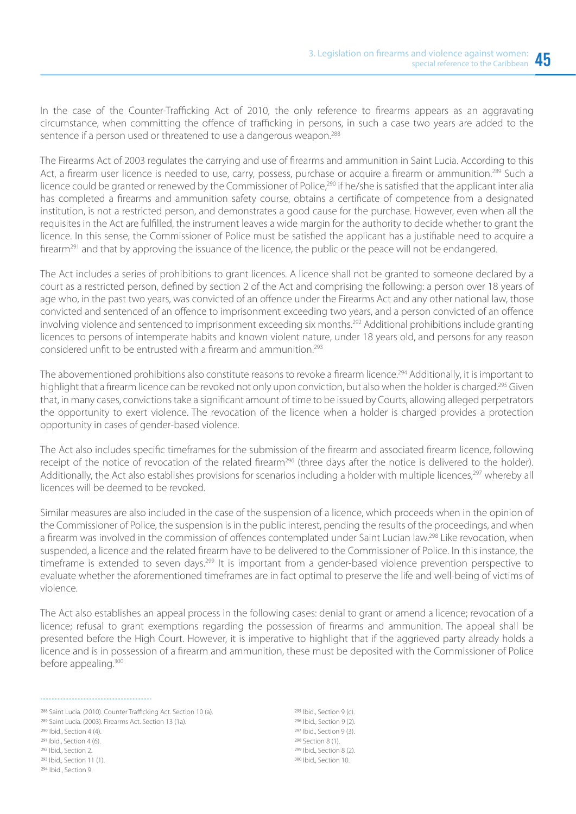In the case of the Counter-Trafficking Act of 2010, the only reference to firearms appears as an aggravating circumstance, when committing the offence of trafficking in persons, in such a case two years are added to the sentence if a person used or threatened to use a dangerous weapon.<sup>288</sup>

The Firearms Act of 2003 regulates the carrying and use of firearms and ammunition in Saint Lucia. According to this Act, a firearm user licence is needed to use, carry, possess, purchase or acquire a firearm or ammunition.<sup>289</sup> Such a licence could be granted or renewed by the Commissioner of Police,<sup>290</sup> if he/she is satisfied that the applicant inter alia has completed a firearms and ammunition safety course, obtains a certificate of competence from a designated institution, is not a restricted person, and demonstrates a good cause for the purchase. However, even when all the requisites in the Act are fulfilled, the instrument leaves a wide margin for the authority to decide whether to grant the licence. In this sense, the Commissioner of Police must be satisfied the applicant has a justifiable need to acquire a firearm<sup>291</sup> and that by approving the issuance of the licence, the public or the peace will not be endangered.

The Act includes a series of prohibitions to grant licences. A licence shall not be granted to someone declared by a court as a restricted person, defined by section 2 of the Act and comprising the following: a person over 18 years of age who, in the past two years, was convicted of an offence under the Firearms Act and any other national law, those convicted and sentenced of an offence to imprisonment exceeding two years, and a person convicted of an offence involving violence and sentenced to imprisonment exceeding six months.<sup>292</sup> Additional prohibitions include granting licences to persons of intemperate habits and known violent nature, under 18 years old, and persons for any reason considered unfit to be entrusted with a firearm and ammunition.293

The abovementioned prohibitions also constitute reasons to revoke a firearm licence.<sup>294</sup> Additionally, it is important to highlight that a firearm licence can be revoked not only upon conviction, but also when the holder is charged.<sup>295</sup> Given that, in many cases, convictions take a significant amount of time to be issued by Courts, allowing alleged perpetrators the opportunity to exert violence. The revocation of the licence when a holder is charged provides a protection opportunity in cases of gender-based violence.

The Act also includes specific timeframes for the submission of the firearm and associated firearm licence, following receipt of the notice of revocation of the related firearm<sup>296</sup> (three days after the notice is delivered to the holder). Additionally, the Act also establishes provisions for scenarios including a holder with multiple licences,<sup>297</sup> whereby all licences will be deemed to be revoked.

Similar measures are also included in the case of the suspension of a licence, which proceeds when in the opinion of the Commissioner of Police, the suspension is in the public interest, pending the results of the proceedings, and when a firearm was involved in the commission of offences contemplated under Saint Lucian law.<sup>298</sup> Like revocation, when suspended, a licence and the related firearm have to be delivered to the Commissioner of Police. In this instance, the timeframe is extended to seven days.<sup>299</sup> It is important from a gender-based violence prevention perspective to evaluate whether the aforementioned timeframes are in fact optimal to preserve the life and well-being of victims of violence.

The Act also establishes an appeal process in the following cases: denial to grant or amend a licence; revocation of a licence; refusal to grant exemptions regarding the possession of firearms and ammunition. The appeal shall be presented before the High Court. However, it is imperative to highlight that if the aggrieved party already holds a licence and is in possession of a firearm and ammunition, these must be deposited with the Commissioner of Police before appealing.<sup>300</sup>

288 Saint Lucia. (2010). Counter Trafficking Act. Section 10 (a). 289 Saint Lucia. (2003). Firearms Act. Section 13 (1a).  $290$  Ibid., Section 4 (4). <sup>291</sup> Ibid., Section 4 (6). <sup>292</sup> Ibid., Section 2.  $293$  Ibid. Section 11 (1). <sup>294</sup> Ibid., Section 9.

 $295$  Ibid. Section 9 (c). <sup>296</sup> Ibid., Section 9 (2). <sup>297</sup> Ibid., Section 9 (3). <sup>298</sup> Section 8 (1). <sup>299</sup> Ibid., Section 8 (2). <sup>300</sup> Ibid., Section 10.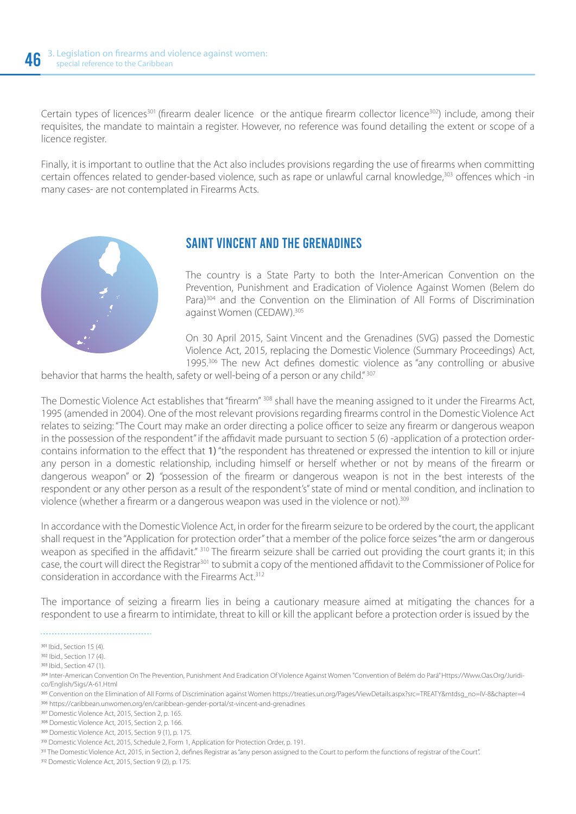Certain types of licences<sup>301</sup> (firearm dealer licence or the antique firearm collector licence<sup>302</sup>) include, among their requisites, the mandate to maintain a register. However, no reference was found detailing the extent or scope of a licence register.

Finally, it is important to outline that the Act also includes provisions regarding the use of firearms when committing certain offences related to gender-based violence, such as rape or unlawful carnal knowledge,<sup>303</sup> offences which -in many cases- are not contemplated in Firearms Acts.



#### SAINT VINCENT AND THE GRENADINES

The country is a State Party to both the Inter-American Convention on the Prevention, Punishment and Eradication of Violence Against Women (Belem do Para)<sup>304</sup> and the Convention on the Elimination of All Forms of Discrimination against Women (CEDAW).305

On 30 April 2015, Saint Vincent and the Grenadines (SVG) passed the Domestic Violence Act, 2015, replacing the Domestic Violence (Summary Proceedings) Act, 1995.<sup>306</sup> The new Act defines domestic violence as "any controlling or abusive

behavior that harms the health, safety or well-being of a person or any child." 307

The Domestic Violence Act establishes that "firearm" 308 shall have the meaning assigned to it under the Firearms Act, 1995 (amended in 2004). One of the most relevant provisions regarding firearms control in the Domestic Violence Act relates to seizing: "The Court may make an order directing a police officer to seize any firearm or dangerous weapon in the possession of the respondent" if the affidavit made pursuant to section 5 (6) -application of a protection ordercontains information to the effect that 1) "the respondent has threatened or expressed the intention to kill or injure any person in a domestic relationship, including himself or herself whether or not by means of the firearm or dangerous weapon" or 2) *"*possession of the firearm or dangerous weapon is not in the best interests of the respondent or any other person as a result of the respondent's" state of mind or mental condition, and inclination to violence (whether a firearm or a dangerous weapon was used in the violence or not).<sup>309</sup>

In accordance with the Domestic Violence Act, in order for the firearm seizure to be ordered by the court, the applicant shall request in the "Application for protection order" that a member of the police force seizes "the arm or dangerous weapon as specified in the affidavit." <sup>310</sup> The firearm seizure shall be carried out providing the court grants it; in this case, the court will direct the Registrar301 to submit a copy of the mentioned affidavit to the Commissioner of Police for consideration in accordance with the Firearms Act.312

The importance of seizing a firearm lies in being a cautionary measure aimed at mitigating the chances for a respondent to use a firearm to intimidate, threat to kill or kill the applicant before a protection order is issued by the

<sup>301</sup> Ibid., Section 15 (4).

<sup>302</sup> Ibid., Section 17 (4).

 $303$  Ihid. Section  $47(1)$ .

<sup>304</sup> Inter-American Convention On The Prevention, Punishment And Eradication Of Violence Against Women "Convention of Belém do Pará" Https://Www.Oas.Org/Juridico/English/Sigs/A-61.Html

<sup>305</sup> Convention on the Elimination of All Forms of Discrimination against Women https://treaties.un.org/Pages/ViewDetails.aspx?src=TREATY&mtdsg\_no=IV-8&chapter=4 https://caribbean.unwomen.org/en/caribbean-gender-portal/st-vincent-and-grenadines

<sup>307</sup> Domestic Violence Act, 2015, Section 2, p. 165.

<sup>308</sup> Domestic Violence Act, 2015, Section 2, p. 166.

<sup>309</sup> Domestic Violence Act, 2015, Section 9 (1), p. 175.

Domestic Violence Act, 2015, Schedule 2, Form 1, Application for Protection Order, p. 191.

<sup>311</sup> The Domestic Violence Act, 2015, in Section 2, defines Registrar as "any person assigned to the Court to perform the functions of registrar of the Court".

<sup>312</sup> Domestic Violence Act, 2015, Section 9 (2), p. 175.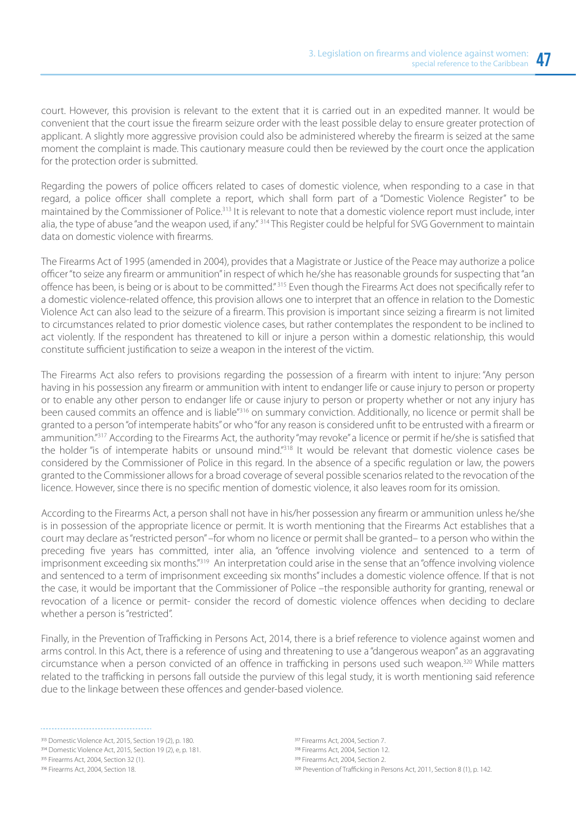court. However, this provision is relevant to the extent that it is carried out in an expedited manner. It would be convenient that the court issue the firearm seizure order with the least possible delay to ensure greater protection of applicant. A slightly more aggressive provision could also be administered whereby the firearm is seized at the same moment the complaint is made. This cautionary measure could then be reviewed by the court once the application for the protection order is submitted.

Regarding the powers of police officers related to cases of domestic violence, when responding to a case in that regard, a police officer shall complete a report, which shall form part of a "Domestic Violence Register" to be maintained by the Commissioner of Police.313 It is relevant to note that a domestic violence report must include, inter alia, the type of abuse "and the weapon used, if any." 314 This Register could be helpful for SVG Government to maintain data on domestic violence with firearms.

The Firearms Act of 1995 (amended in 2004), provides that a Magistrate or Justice of the Peace may authorize a police officer "to seize any firearm or ammunition" in respect of which he/she has reasonable grounds for suspecting that "an offence has been, is being or is about to be committed." 315 Even though the Firearms Act does not specifically refer to a domestic violence-related offence, this provision allows one to interpret that an offence in relation to the Domestic Violence Act can also lead to the seizure of a firearm. This provision is important since seizing a firearm is not limited to circumstances related to prior domestic violence cases, but rather contemplates the respondent to be inclined to act violently. If the respondent has threatened to kill or injure a person within a domestic relationship, this would constitute sufficient justification to seize a weapon in the interest of the victim.

The Firearms Act also refers to provisions regarding the possession of a firearm with intent to injure: "Any person having in his possession any firearm or ammunition with intent to endanger life or cause injury to person or property or to enable any other person to endanger life or cause injury to person or property whether or not any injury has been caused commits an offence and is liable"316 on summary conviction. Additionally, no licence or permit shall be granted to a person "of intemperate habits" or who "for any reason is considered unfit to be entrusted with a firearm or ammunition."<sup>317</sup> According to the Firearms Act, the authority "may revoke" a licence or permit if he/she is satisfied that the holder "is of intemperate habits or unsound mind."318 It would be relevant that domestic violence cases be considered by the Commissioner of Police in this regard. In the absence of a specific regulation or law, the powers granted to the Commissioner allows for a broad coverage of several possible scenarios related to the revocation of the licence. However, since there is no specific mention of domestic violence, it also leaves room for its omission.

According to the Firearms Act, a person shall not have in his/her possession any firearm or ammunition unless he/she is in possession of the appropriate licence or permit. It is worth mentioning that the Firearms Act establishes that a court may declare as "restricted person" –for whom no licence or permit shall be granted– to a person who within the preceding five years has committed, inter alia, an "offence involving violence and sentenced to a term of imprisonment exceeding six months."<sup>319</sup> An interpretation could arise in the sense that an "offence involving violence and sentenced to a term of imprisonment exceeding six months" includes a domestic violence offence. If that is not the case, it would be important that the Commissioner of Police –the responsible authority for granting, renewal or revocation of a licence or permit- consider the record of domestic violence offences when deciding to declare whether a person is "restricted".

Finally, in the Prevention of Trafficking in Persons Act, 2014, there is a brief reference to violence against women and arms control. In this Act, there is a reference of using and threatening to use a "dangerous weapon" as an aggravating circumstance when a person convicted of an offence in trafficking in persons used such weapon.320 While matters related to the trafficking in persons fall outside the purview of this legal study, it is worth mentioning said reference due to the linkage between these offences and gender-based violence.

<sup>317</sup> Firearms Act, 2004, Section 7. <sup>318</sup> Firearms Act, 2004, Section 12. <sup>319</sup> Firearms Act, 2004, Section 2. 320 Prevention of Trafficking in Persons Act, 2011, Section 8 (1), p. 142.

<sup>313</sup> Domestic Violence Act, 2015, Section 19 (2), p. 180.

<sup>314</sup> Domestic Violence Act, 2015, Section 19 (2), e, p. 181.

<sup>315</sup> Firearms Act, 2004, Section 32 (1).

<sup>316</sup> Firearms Act, 2004, Section 18.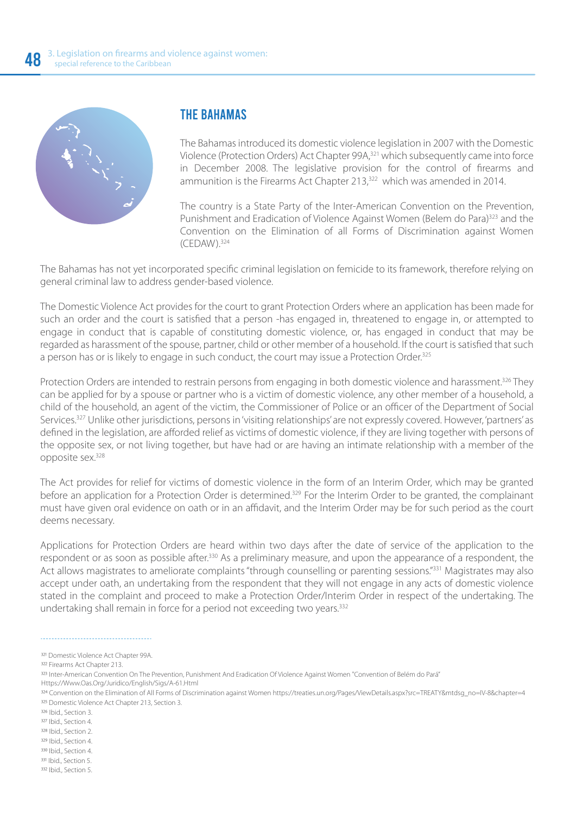

#### THE BAHAMAS

The Bahamas introduced its domestic violence legislation in 2007 with the Domestic Violence (Protection Orders) Act Chapter 99A,321 which subsequently came into force in December 2008. The legislative provision for the control of firearms and ammunition is the Firearms Act Chapter 213,<sup>322</sup> which was amended in 2014.

The country is a State Party of the Inter-American Convention on the Prevention, Punishment and Eradication of Violence Against Women (Belem do Para)<sup>323</sup> and the Convention on the Elimination of all Forms of Discrimination against Women (CEDAW).324

The Bahamas has not yet incorporated specific criminal legislation on femicide to its framework, therefore relying on general criminal law to address gender-based violence.

The Domestic Violence Act provides for the court to grant Protection Orders where an application has been made for such an order and the court is satisfied that a person -has engaged in, threatened to engage in, or attempted to engage in conduct that is capable of constituting domestic violence, or, has engaged in conduct that may be regarded as harassment of the spouse, partner, child or other member of a household. If the court is satisfied that such a person has or is likely to engage in such conduct, the court may issue a Protection Order.<sup>325</sup>

Protection Orders are intended to restrain persons from engaging in both domestic violence and harassment.<sup>326</sup> They can be applied for by a spouse or partner who is a victim of domestic violence, any other member of a household, a child of the household, an agent of the victim, the Commissioner of Police or an officer of the Department of Social Services.<sup>327</sup> Unlike other jurisdictions, persons in 'visiting relationships' are not expressly covered. However, 'partners' as defined in the legislation, are afforded relief as victims of domestic violence, if they are living together with persons of the opposite sex, or not living together, but have had or are having an intimate relationship with a member of the opposite sex.328

The Act provides for relief for victims of domestic violence in the form of an Interim Order, which may be granted before an application for a Protection Order is determined.<sup>329</sup> For the Interim Order to be granted, the complainant must have given oral evidence on oath or in an affidavit, and the Interim Order may be for such period as the court deems necessary.

Applications for Protection Orders are heard within two days after the date of service of the application to the respondent or as soon as possible after.<sup>330</sup> As a preliminary measure, and upon the appearance of a respondent, the Act allows magistrates to ameliorate complaints "through counselling or parenting sessions."<sup>331</sup> Magistrates may also accept under oath, an undertaking from the respondent that they will not engage in any acts of domestic violence stated in the complaint and proceed to make a Protection Order/Interim Order in respect of the undertaking. The undertaking shall remain in force for a period not exceeding two years.<sup>332</sup>

Https://Www.Oas.Org/Juridico/English/Sigs/A-61.Html

332 Ibid., Section 5.

<sup>321</sup> Domestic Violence Act Chapter 99A.

<sup>322</sup> Firearms Act Chapter 213.

<sup>323</sup> Inter-American Convention On The Prevention, Punishment And Eradication Of Violence Against Women "Convention of Belém do Pará"

<sup>324</sup> Convention on the Elimination of All Forms of Discrimination against Women https://treaties.un.org/Pages/ViewDetails.aspx?src=TREATY&mtdsg\_no=IV-8&chapter=4 325 Domestic Violence Act Chapter 213, Section 3.

<sup>326</sup> Ibid. Section 3.

<sup>&</sup>lt;sup>327</sup> Ibid., Section 4.

<sup>328</sup> Ibid., Section 2.

<sup>329</sup> Ibid., Section 4.

<sup>330</sup> Ibid., Section 4.

<sup>331</sup> Ibid., Section 5.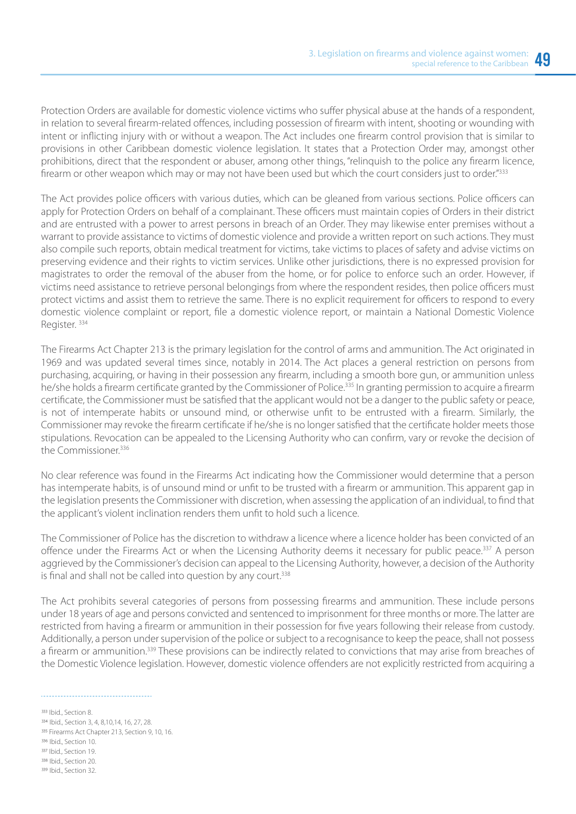Protection Orders are available for domestic violence victims who suffer physical abuse at the hands of a respondent, in relation to several firearm-related offences, including possession of firearm with intent, shooting or wounding with intent or inflicting injury with or without a weapon. The Act includes one firearm control provision that is similar to provisions in other Caribbean domestic violence legislation. It states that a Protection Order may, amongst other prohibitions, direct that the respondent or abuser, among other things, "relinquish to the police any firearm licence, firearm or other weapon which may or may not have been used but which the court considers just to order."333

The Act provides police officers with various duties, which can be gleaned from various sections. Police officers can apply for Protection Orders on behalf of a complainant. These officers must maintain copies of Orders in their district and are entrusted with a power to arrest persons in breach of an Order. They may likewise enter premises without a warrant to provide assistance to victims of domestic violence and provide a written report on such actions. They must also compile such reports, obtain medical treatment for victims, take victims to places of safety and advise victims on preserving evidence and their rights to victim services. Unlike other jurisdictions, there is no expressed provision for magistrates to order the removal of the abuser from the home, or for police to enforce such an order. However, if victims need assistance to retrieve personal belongings from where the respondent resides, then police officers must protect victims and assist them to retrieve the same. There is no explicit requirement for officers to respond to every domestic violence complaint or report, file a domestic violence report, or maintain a National Domestic Violence Register. 334

The Firearms Act Chapter 213 is the primary legislation for the control of arms and ammunition. The Act originated in 1969 and was updated several times since, notably in 2014. The Act places a general restriction on persons from purchasing, acquiring, or having in their possession any firearm, including a smooth bore gun, or ammunition unless he/she holds a firearm certificate granted by the Commissioner of Police.335 In granting permission to acquire a firearm certificate, the Commissioner must be satisfied that the applicant would not be a danger to the public safety or peace, is not of intemperate habits or unsound mind, or otherwise unfit to be entrusted with a firearm. Similarly, the Commissioner may revoke the firearm certificate if he/she is no longer satisfied that the certificate holder meets those stipulations. Revocation can be appealed to the Licensing Authority who can confirm, vary or revoke the decision of the Commissioner.<sup>336</sup>

No clear reference was found in the Firearms Act indicating how the Commissioner would determine that a person has intemperate habits, is of unsound mind or unfit to be trusted with a firearm or ammunition. This apparent gap in the legislation presents the Commissioner with discretion, when assessing the application of an individual, to find that the applicant's violent inclination renders them unfit to hold such a licence.

The Commissioner of Police has the discretion to withdraw a licence where a licence holder has been convicted of an offence under the Firearms Act or when the Licensing Authority deems it necessary for public peace.<sup>337</sup> A person aggrieved by the Commissioner's decision can appeal to the Licensing Authority, however, a decision of the Authority is final and shall not be called into question by any court.<sup>338</sup>

The Act prohibits several categories of persons from possessing firearms and ammunition. These include persons under 18 years of age and persons convicted and sentenced to imprisonment for three months or more. The latter are restricted from having a firearm or ammunition in their possession for five years following their release from custody. Additionally, a person under supervision of the police or subject to a recognisance to keep the peace, shall not possess a firearm or ammunition.<sup>339</sup> These provisions can be indirectly related to convictions that may arise from breaches of the Domestic Violence legislation. However, domestic violence offenders are not explicitly restricted from acquiring a

333 Ibid., Section 8. 334 Ibid., Section 3, 4, 8, 10, 14, 16, 27, 28. 335 Firearms Act Chapter 213, Section 9, 10, 16. 336 Ibid., Section 10. 337 Ibid., Section 19. 338 Ihid. Section 20. 339 Ibid., Section 32.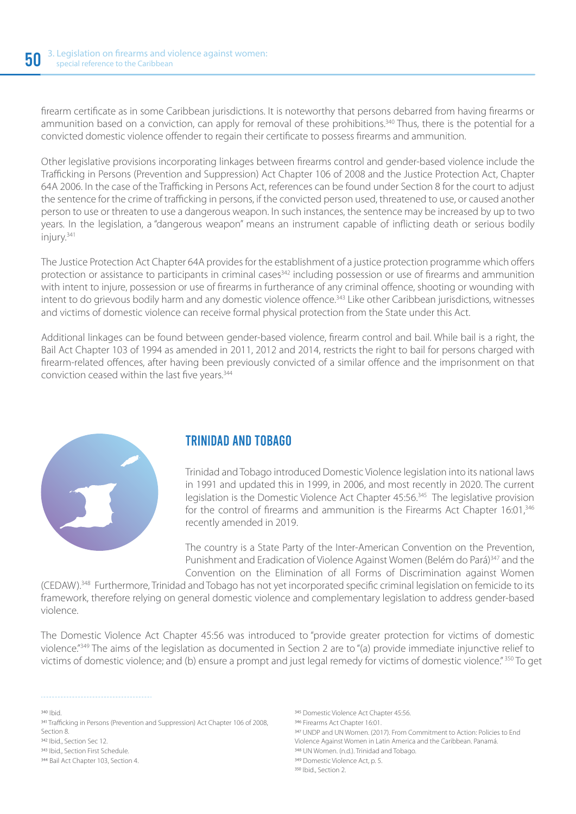firearm certificate as in some Caribbean jurisdictions. It is noteworthy that persons debarred from having firearms or ammunition based on a conviction, can apply for removal of these prohibitions.<sup>340</sup> Thus, there is the potential for a convicted domestic violence offender to regain their certificate to possess firearms and ammunition.

Other legislative provisions incorporating linkages between firearms control and gender-based violence include the Trafficking in Persons (Prevention and Suppression) Act Chapter 106 of 2008 and the Justice Protection Act, Chapter 64A 2006. In the case of the Trafficking in Persons Act, references can be found under Section 8 for the court to adjust the sentence for the crime of trafficking in persons, if the convicted person used, threatened to use, or caused another person to use or threaten to use a dangerous weapon. In such instances, the sentence may be increased by up to two years. In the legislation, a "dangerous weapon" means an instrument capable of inflicting death or serious bodily injury.341

The Justice Protection Act Chapter 64A provides for the establishment of a justice protection programme which offers protection or assistance to participants in criminal cases<sup>342</sup> including possession or use of firearms and ammunition with intent to injure, possession or use of firearms in furtherance of any criminal offence, shooting or wounding with intent to do grievous bodily harm and any domestic violence offence.<sup>343</sup> Like other Caribbean jurisdictions, witnesses and victims of domestic violence can receive formal physical protection from the State under this Act.

Additional linkages can be found between gender-based violence, firearm control and bail. While bail is a right, the Bail Act Chapter 103 of 1994 as amended in 2011, 2012 and 2014, restricts the right to bail for persons charged with firearm-related offences, after having been previously convicted of a similar offence and the imprisonment on that conviction ceased within the last five years.<sup>344</sup>



#### TRINIDAD AND TOBAGO

Trinidad and Tobago introduced Domestic Violence legislation into its national laws in 1991 and updated this in 1999, in 2006, and most recently in 2020. The current legislation is the Domestic Violence Act Chapter 45:56.<sup>345</sup> The legislative provision for the control of firearms and ammunition is the Firearms Act Chapter 16:01,<sup>346</sup> recently amended in 2019.

The country is a State Party of the Inter-American Convention on the Prevention, Punishment and Eradication of Violence Against Women (Belém do Pará)<sup>347</sup> and the Convention on the Elimination of all Forms of Discrimination against Women

(CEDAW).348 Furthermore, Trinidad and Tobago has not yet incorporated specific criminal legislation on femicide to its framework, therefore relying on general domestic violence and complementary legislation to address gender-based violence.

The Domestic Violence Act Chapter 45:56 was introduced to "provide greater protection for victims of domestic violence."349 The aims of the legislation as documented in Section 2 are to "(a) provide immediate injunctive relief to victims of domestic violence; and (b) ensure a prompt and just legal remedy for victims of domestic violence." 350 To get

 $340$  Ihid. 341 Trafficking in Persons (Prevention and Suppression) Act Chapter 106 of 2008, Section 8. 342 Ibid., Section Sec 12. 343 Ibid., Section First Schedule. 344 Bail Act Chapter 103, Section 4.

346 Firearms Act Chapter 16:01.

- 347 UNDP and UN Women. (2017). From Commitment to Action: Policies to End Violence Against Women in Latin America and the Caribbean. Panamá.
- 348 UN Women. (n.d.). Trinidad and Tobago.
- 349 Domestic Violence Act, p. 5.

<sup>345</sup> Domestic Violence Act Chapter 45:56.

<sup>350</sup> Ibid., Section 2.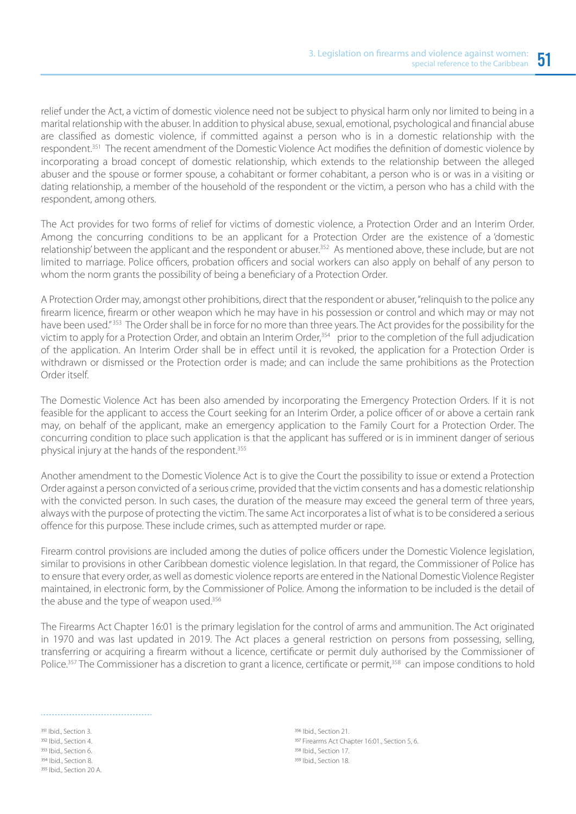relief under the Act, a victim of domestic violence need not be subject to physical harm only nor limited to being in a marital relationship with the abuser. In addition to physical abuse, sexual, emotional, psychological and financial abuse are classified as domestic violence, if committed against a person who is in a domestic relationship with the respondent.351 The recent amendment of the Domestic Violence Act modifies the definition of domestic violence by incorporating a broad concept of domestic relationship, which extends to the relationship between the alleged abuser and the spouse or former spouse, a cohabitant or former cohabitant, a person who is or was in a visiting or dating relationship, a member of the household of the respondent or the victim, a person who has a child with the respondent, among others.

The Act provides for two forms of relief for victims of domestic violence, a Protection Order and an Interim Order. Among the concurring conditions to be an applicant for a Protection Order are the existence of a 'domestic relationship' between the applicant and the respondent or abuser.352 As mentioned above, these include, but are not limited to marriage. Police officers, probation officers and social workers can also apply on behalf of any person to whom the norm grants the possibility of being a beneficiary of a Protection Order.

A Protection Order may, amongst other prohibitions, direct that the respondent or abuser, "relinquish to the police any firearm licence, firearm or other weapon which he may have in his possession or control and which may or may not have been used." 353 The Order shall be in force for no more than three years. The Act provides for the possibility for the victim to apply for a Protection Order, and obtain an Interim Order,<sup>354</sup> prior to the completion of the full adjudication of the application. An Interim Order shall be in effect until it is revoked, the application for a Protection Order is withdrawn or dismissed or the Protection order is made; and can include the same prohibitions as the Protection Order itself.

The Domestic Violence Act has been also amended by incorporating the Emergency Protection Orders. If it is not feasible for the applicant to access the Court seeking for an Interim Order, a police officer of or above a certain rank may, on behalf of the applicant, make an emergency application to the Family Court for a Protection Order. The concurring condition to place such application is that the applicant has suffered or is in imminent danger of serious physical injury at the hands of the respondent.<sup>355</sup>

Another amendment to the Domestic Violence Act is to give the Court the possibility to issue or extend a Protection Order against a person convicted of a serious crime, provided that the victim consents and has a domestic relationship with the convicted person. In such cases, the duration of the measure may exceed the general term of three years, always with the purpose of protecting the victim. The same Act incorporates a list of what is to be considered a serious offence for this purpose. These include crimes, such as attempted murder or rape.

Firearm control provisions are included among the duties of police officers under the Domestic Violence legislation, similar to provisions in other Caribbean domestic violence legislation. In that regard, the Commissioner of Police has to ensure that every order, as well as domestic violence reports are entered in the National Domestic Violence Register maintained, in electronic form, by the Commissioner of Police. Among the information to be included is the detail of the abuse and the type of weapon used.<sup>356</sup>

The Firearms Act Chapter 16:01 is the primary legislation for the control of arms and ammunition. The Act originated in 1970 and was last updated in 2019. The Act places a general restriction on persons from possessing, selling, transferring or acquiring a firearm without a licence, certificate or permit duly authorised by the Commissioner of Police.<sup>357</sup> The Commissioner has a discretion to grant a licence, certificate or permit,<sup>358</sup> can impose conditions to hold

351 Ibid., Section 3. 352 Ibid., Section 4. 353 Ibid., Section 6. 354 Ibid., Section 8. 355 Ibid., Section 20 A.

356 Ibid., Section 21. 357 Firearms Act Chapter 16:01., Section 5, 6. 358 Ibid., Section 17. 359 Ibid., Section 18.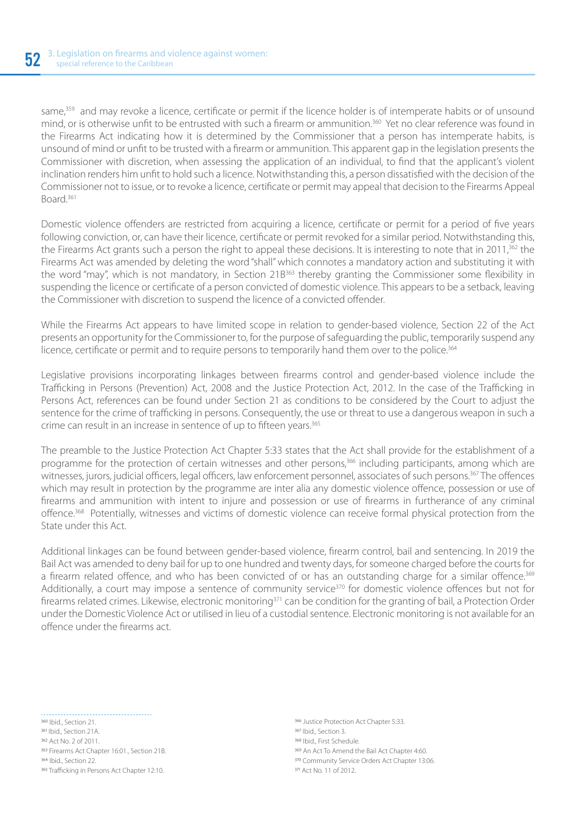same,<sup>359</sup> and may revoke a licence, certificate or permit if the licence holder is of intemperate habits or of unsound mind, or is otherwise unfit to be entrusted with such a firearm or ammunition.<sup>360</sup> Yet no clear reference was found in the Firearms Act indicating how it is determined by the Commissioner that a person has intemperate habits, is unsound of mind or unfit to be trusted with a firearm or ammunition. This apparent gap in the legislation presents the Commissioner with discretion, when assessing the application of an individual, to find that the applicant's violent inclination renders him unfit to hold such a licence. Notwithstanding this, a person dissatisfied with the decision of the Commissioner not to issue, or to revoke a licence, certificate or permit may appeal that decision to the Firearms Appeal Board.361

Domestic violence offenders are restricted from acquiring a licence, certificate or permit for a period of five years following conviction, or, can have their licence, certificate or permit revoked for a similar period. Notwithstanding this, the Firearms Act grants such a person the right to appeal these decisions. It is interesting to note that in 2011,<sup>362</sup> the Firearms Act was amended by deleting the word "shall" which connotes a mandatory action and substituting it with the word "may", which is not mandatory, in Section 21B<sup>363</sup> thereby granting the Commissioner some flexibility in suspending the licence or certificate of a person convicted of domestic violence. This appears to be a setback, leaving the Commissioner with discretion to suspend the licence of a convicted offender.

While the Firearms Act appears to have limited scope in relation to gender-based violence, Section 22 of the Act presents an opportunity for the Commissioner to, for the purpose of safeguarding the public, temporarily suspend any licence, certificate or permit and to require persons to temporarily hand them over to the police.<sup>364</sup>

Legislative provisions incorporating linkages between firearms control and gender-based violence include the Trafficking in Persons (Prevention) Act, 2008 and the Justice Protection Act, 2012. In the case of the Trafficking in Persons Act, references can be found under Section 21 as conditions to be considered by the Court to adjust the sentence for the crime of trafficking in persons. Consequently, the use or threat to use a dangerous weapon in such a crime can result in an increase in sentence of up to fifteen years.<sup>365</sup>

The preamble to the Justice Protection Act Chapter 5:33 states that the Act shall provide for the establishment of a programme for the protection of certain witnesses and other persons,<sup>366</sup> including participants, among which are witnesses, jurors, judicial officers, legal officers, law enforcement personnel, associates of such persons.<sup>367</sup> The offences which may result in protection by the programme are inter alia any domestic violence offence, possession or use of firearms and ammunition with intent to injure and possession or use of firearms in furtherance of any criminal offence.368 Potentially, witnesses and victims of domestic violence can receive formal physical protection from the State under this Act.

Additional linkages can be found between gender-based violence, firearm control, bail and sentencing. In 2019 the Bail Act was amended to deny bail for up to one hundred and twenty days, for someone charged before the courts for a firearm related offence, and who has been convicted of or has an outstanding charge for a similar offence.<sup>369</sup> Additionally, a court may impose a sentence of community service<sup>370</sup> for domestic violence offences but not for firearms related crimes. Likewise, electronic monitoring<sup>371</sup> can be condition for the granting of bail, a Protection Order under the Domestic Violence Act or utilised in lieu of a custodial sentence. Electronic monitoring is not available for an offence under the firearms act.

. . . . . . . . . . . . . . . . . 360 Ibid. Section 21. 361 Ibid., Section 21A. 362 Act No. 2 of 2011. 363 Firearms Act Chapter 16:01., Section 21B. 364 Ibid. Section 22. 365 Trafficking in Persons Act Chapter 12:10.

366 Justice Protection Act Chapter 5:33. 367 Ibid., Section 3. 368 Ibid., First Schedule. 369 An Act To Amend the Bail Act Chapter 4:60. 370 Community Service Orders Act Chapter 13:06. 371 Act No. 11 of 2012.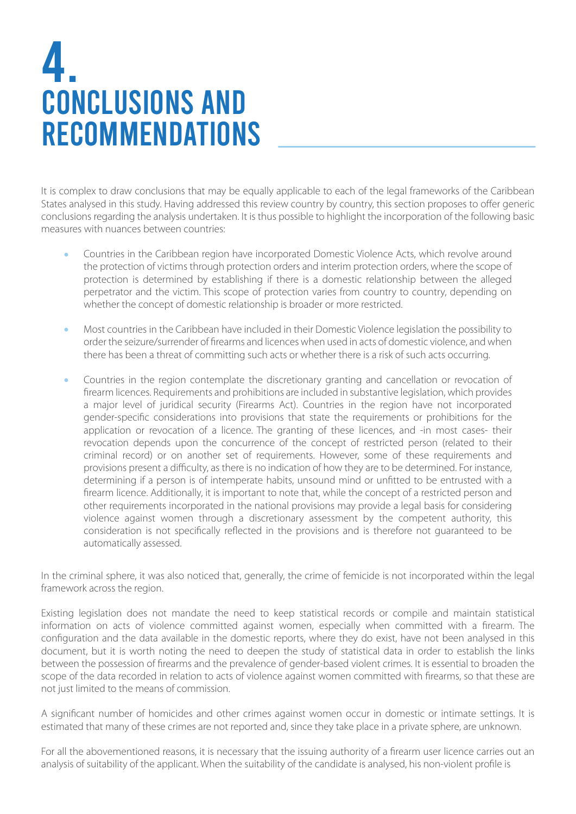### 4. CONCLUSIONS AND RECOMMENDATIONS

It is complex to draw conclusions that may be equally applicable to each of the legal frameworks of the Caribbean States analysed in this study. Having addressed this review country by country, this section proposes to offer generic conclusions regarding the analysis undertaken. It is thus possible to highlight the incorporation of the following basic measures with nuances between countries:

- Countries in the Caribbean region have incorporated Domestic Violence Acts, which revolve around the protection of victims through protection orders and interim protection orders, where the scope of protection is determined by establishing if there is a domestic relationship between the alleged perpetrator and the victim. This scope of protection varies from country to country, depending on whether the concept of domestic relationship is broader or more restricted.
- Most countries in the Caribbean have included in their Domestic Violence legislation the possibility to Ä order the seizure/surrender of firearms and licences when used in acts of domestic violence, and when there has been a threat of committing such acts or whether there is a risk of such acts occurring.
- Countries in the region contemplate the discretionary granting and cancellation or revocation of firearm licences. Requirements and prohibitions are included in substantive legislation, which provides a major level of juridical security (Firearms Act). Countries in the region have not incorporated gender-specific considerations into provisions that state the requirements or prohibitions for the application or revocation of a licence. The granting of these licences, and -in most cases- their revocation depends upon the concurrence of the concept of restricted person (related to their criminal record) or on another set of requirements. However, some of these requirements and provisions present a difficulty, as there is no indication of how they are to be determined. For instance, determining if a person is of intemperate habits, unsound mind or unfitted to be entrusted with a firearm licence. Additionally, it is important to note that, while the concept of a restricted person and other requirements incorporated in the national provisions may provide a legal basis for considering violence against women through a discretionary assessment by the competent authority, this consideration is not specifically reflected in the provisions and is therefore not guaranteed to be automatically assessed.

In the criminal sphere, it was also noticed that, generally, the crime of femicide is not incorporated within the legal framework across the region.

Existing legislation does not mandate the need to keep statistical records or compile and maintain statistical information on acts of violence committed against women, especially when committed with a firearm. The configuration and the data available in the domestic reports, where they do exist, have not been analysed in this document, but it is worth noting the need to deepen the study of statistical data in order to establish the links between the possession of firearms and the prevalence of gender-based violent crimes. It is essential to broaden the scope of the data recorded in relation to acts of violence against women committed with firearms, so that these are not just limited to the means of commission.

A significant number of homicides and other crimes against women occur in domestic or intimate settings. It is estimated that many of these crimes are not reported and, since they take place in a private sphere, are unknown.

For all the abovementioned reasons, it is necessary that the issuing authority of a firearm user licence carries out an analysis of suitability of the applicant. When the suitability of the candidate is analysed, his non-violent profile is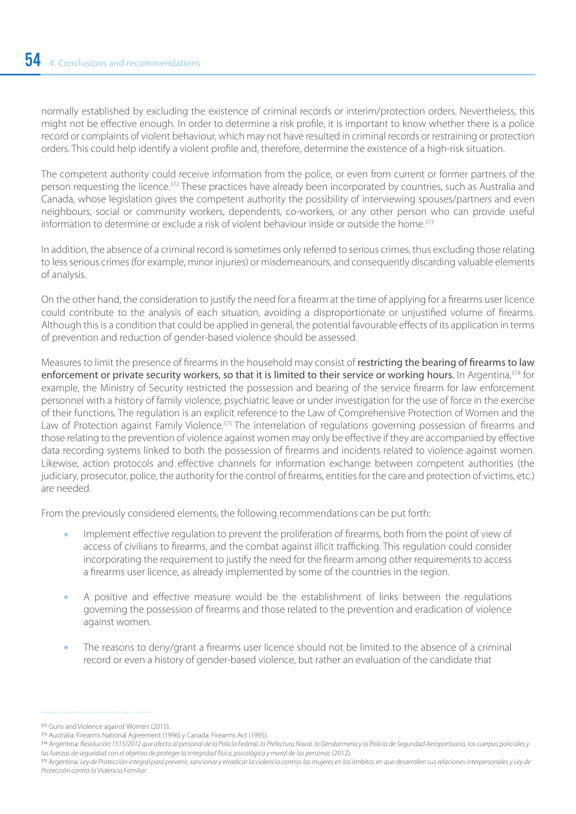normally established by excluding the existence of criminal records or interim/protection orders. Nevertheless, this might not be effective enough. In order to determine a risk profile, it is important to know whether there is a police record or complaints of violent behaviour, which may not have resulted in criminal records or restraining or protection orders. This could help identify a violent profile and, therefore, determine the existence of a high-risk situation.

The competent authority could receive information from the police, or even from current or former partners of the person requesting the licence.372 These practices have already been incorporated by countries, such as Australia and Canada, whose legislation gives the competent authority the possibility of interviewing spouses/partners and even neighbours, social or community workers, dependents, co-workers, or any other person who can provide useful information to determine or exclude a risk of violent behaviour inside or outside the home.<sup>373</sup>

In addition, the absence of a criminal record is sometimes only referred to serious crimes, thus excluding those relating to less serious crimes (for example, minor injuries) or misdemeanours, and consequently discarding valuable elements of analysis.

On the other hand, the consideration to justify the need for a firearm at the time of applying for a firearms user licence could contribute to the analysis of each situation, avoiding a disproportionate or unjustified volume of firearms. Although this is a condition that could be applied in general, the potential favourable effects of its application in terms of prevention and reduction of gender-based violence should be assessed.

Measures to limit the presence of firearms in the household may consist of restricting the bearing of firearms to law enforcement or private security workers, so that it is limited to their service or working hours. In Argentina,<sup>374</sup> for example, the Ministry of Security restricted the possession and bearing of the service firearm for law enforcement personnel with a history of family violence, psychiatric leave or under investigation for the use of force in the exercise of their functions. The regulation is an explicit reference to the Law of Comprehensive Protection of Women and the Law of Protection against Family Violence.<sup>375</sup> The interrelation of regulations governing possession of firearms and those relating to the prevention of violence against women may only be effective if they are accompanied by effective data recording systems linked to both the possession of firearms and incidents related to violence against women. Likewise, action protocols and effective channels for information exchange between competent authorities (the judiciary, prosecutor, police, the authority for the control of firearms, entities for the care and protection of victims, etc.) are needed.

From the previously considered elements, the following recommendations can be put forth:

- Implement effective regulation to prevent the proliferation of firearms, both from the point of view of access of civilians to firearms, and the combat against illicit trafficking. This regulation could consider incorporating the requirement to justify the need for the firearm among other requirements to access a firearms user licence, as already implemented by some of the countries in the region.
- A positive and effective measure would be the establishment of links between the regulations governing the possession of firearms and those related to the prevention and eradication of violence against women.
- The reasons to deny/grant a firearms user licence should not be limited to the absence of a criminal record or even a history of gender-based violence, but rather an evaluation of the candidate that

<sup>372</sup> Guns and Violence against Women (2015).

Australia: Firearms National Agreement (1996) y Canada: Firearms Act (1995).

<sup>374</sup> Argentina: Resolución 1515/2012 que afecta al personal de la Policía Federal, la Prefectura Naval, la Gendarmería y la Policía de Seguridad Aeroportuaria, los cuerpos policiales y *las fuerzas de seguridad con el objetivo de proteger la integridad física, psicológica y moral de las personas* (2012).

<sup>375</sup> Argentina: Ley de Protección integral para prevenir, sancionar y erradicar la violencia contras las mujeres en los ámbitos en que desarrollen sus relaciones interpersonales y Ley de *Protección contra la Violencia Familiar.*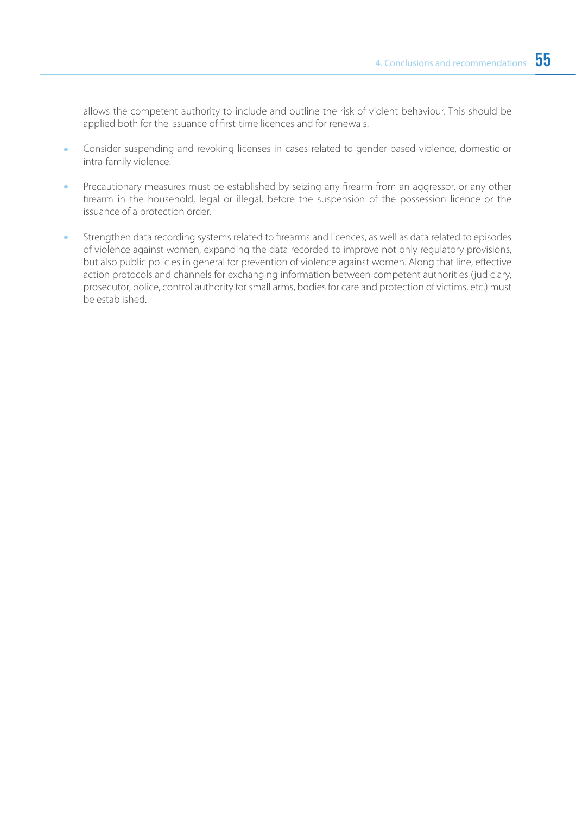allows the competent authority to include and outline the risk of violent behaviour. This should be applied both for the issuance of first-time licences and for renewals.

- Consider suspending and revoking licenses in cases related to gender-based violence, domestic or intra-family violence.
- Precautionary measures must be established by seizing any firearm from an aggressor, or any other firearm in the household, legal or illegal, before the suspension of the possession licence or the issuance of a protection order.
- Strengthen data recording systems related to firearms and licences, as well as data related to episodes of violence against women, expanding the data recorded to improve not only regulatory provisions, but also public policies in general for prevention of violence against women. Along that line, effective action protocols and channels for exchanging information between competent authorities (judiciary, prosecutor, police, control authority for small arms, bodies for care and protection of victims, etc.) must be established.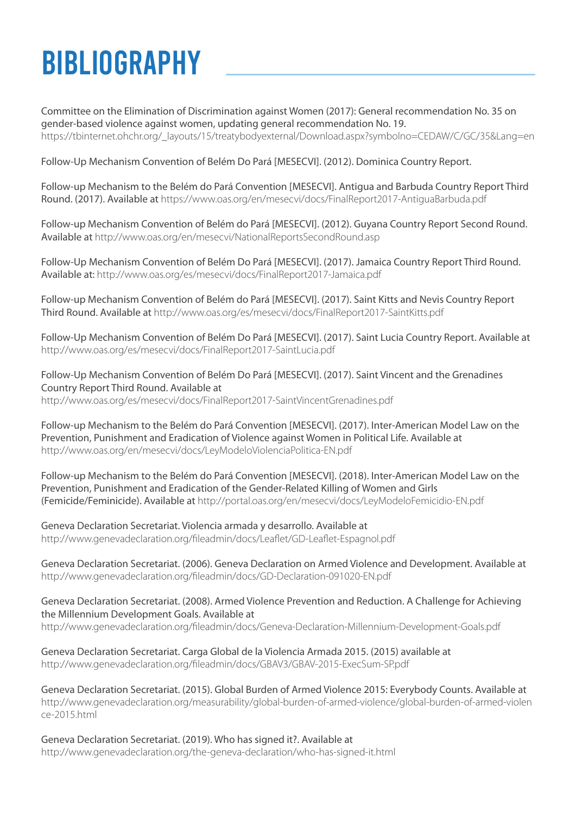### BIBLIOGRAPHY

Committee on the Elimination of Discrimination against Women (2017): General recommendation No. 35 on gender-based violence against women, updating general recommendation No. 19. https://tbinternet.ohchr.org/\_layouts/15/treatybodyexternal/Download.aspx?symbolno=CEDAW/C/GC/35&Lang=en

Follow-Up Mechanism Convention of Belém Do Pará [MESECVI]. (2012). Dominica Country Report.

Follow-up Mechanism to the Belém do Pará Convention [MESECVI]. Antigua and Barbuda Country Report Third Round. (2017). Available at https://www.oas.org/en/mesecvi/docs/FinalReport2017-AntiguaBarbuda.pdf

Follow-up Mechanism Convention of Belém do Pará [MESECVI]. (2012). Guyana Country Report Second Round. Available at http://www.oas.org/en/mesecvi/NationalReportsSecondRound.asp

Follow-Up Mechanism Convention of Belém Do Pará [MESECVI]. (2017). Jamaica Country Report Third Round. Available at: http://www.oas.org/es/mesecvi/docs/FinalReport2017-Jamaica.pdf

Follow-up Mechanism Convention of Belém do Pará [MESECVI]. (2017). Saint Kitts and Nevis Country Report Third Round. Available at http://www.oas.org/es/mesecvi/docs/FinalReport2017-SaintKitts.pdf

Follow-Up Mechanism Convention of Belém Do Pará [MESECVI]. (2017). Saint Lucia Country Report. Available at http://www.oas.org/es/mesecvi/docs/FinalReport2017-SaintLucia.pdf

Follow-Up Mechanism Convention of Belém Do Pará [MESECVI]. (2017). Saint Vincent and the Grenadines Country Report Third Round. Available at http://www.oas.org/es/mesecvi/docs/FinalReport2017-SaintVincentGrenadines.pdf

Follow-up Mechanism to the Belém do Pará Convention [MESECVI]. (2017). Inter-American Model Law on the Prevention, Punishment and Eradication of Violence against Women in Political Life. Available at http://www.oas.org/en/mesecvi/docs/LeyModeloViolenciaPolitica-EN.pdf

Follow-up Mechanism to the Belém do Pará Convention [MESECVI]. (2018). Inter-American Model Law on the Prevention, Punishment and Eradication of the Gender-Related Killing of Women and Girls (Femicide/Feminicide). Available at http://portal.oas.org/en/mesecvi/docs/LeyModeloFemicidio-EN.pdf

Geneva Declaration Secretariat. Violencia armada y desarrollo. Available at http://www.genevadeclaration.org/fileadmin/docs/Leaflet/GD-Leaflet-Espagnol.pdf

Geneva Declaration Secretariat. (2006). Geneva Declaration on Armed Violence and Development. Available at http://www.genevadeclaration.org/fileadmin/docs/GD-Declaration-091020-EN.pdf

Geneva Declaration Secretariat. (2008). Armed Violence Prevention and Reduction. A Challenge for Achieving the Millennium Development Goals. Available at http://www.genevadeclaration.org/fileadmin/docs/Geneva-Declaration-Millennium-Development-Goals.pdf

Geneva Declaration Secretariat. Carga Global de la Violencia Armada 2015. (2015) available at http://www.genevadeclaration.org/fileadmin/docs/GBAV3/GBAV-2015-ExecSum-SP.pdf

Geneva Declaration Secretariat. (2015). Global Burden of Armed Violence 2015: Everybody Counts. Available at http://www.genevadeclaration.org/measurability/global-burden-of-armed-violence/global-burden-of-armed-violen ce-2015.html

Geneva Declaration Secretariat. (2019). Who has signed it?. Available at http://www.genevadeclaration.org/the-geneva-declaration/who-has-signed-it.html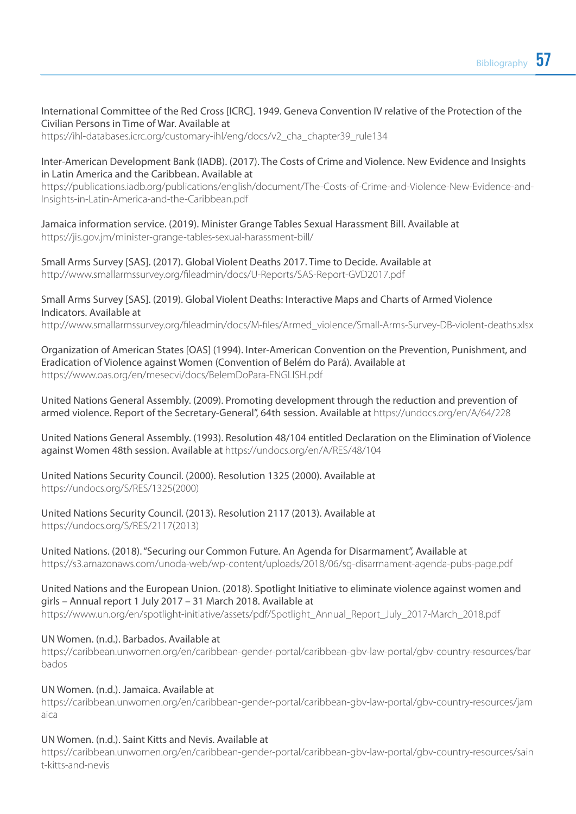#### International Committee of the Red Cross [ICRC]. 1949. Geneva Convention IV relative of the Protection of the Civilian Persons in Time of War. Available at

https://ihl-databases.icrc.org/customary-ihl/eng/docs/v2\_cha\_chapter39\_rule134

#### Inter-American Development Bank (IADB). (2017). The Costs of Crime and Violence. New Evidence and Insights in Latin America and the Caribbean. Available at

https://publications.iadb.org/publications/english/document/The-Costs-of-Crime-and-Violence-New-Evidence-and-Insights-in-Latin-America-and-the-Caribbean.pdf

Jamaica information service. (2019). Minister Grange Tables Sexual Harassment Bill. Available at https://jis.gov.jm/minister-grange-tables-sexual-harassment-bill/

Small Arms Survey [SAS]. (2017). Global Violent Deaths 2017. Time to Decide. Available at http://www.smallarmssurvey.org/fileadmin/docs/U-Reports/SAS-Report-GVD2017.pdf

Small Arms Survey [SAS]. (2019). Global Violent Deaths: Interactive Maps and Charts of Armed Violence Indicators. Available at http://www.smallarmssurvey.org/fileadmin/docs/M-files/Armed\_violence/Small-Arms-Survey-DB-violent-deaths.xlsx

Organization of American States [OAS] (1994). Inter-American Convention on the Prevention, Punishment, and Eradication of Violence against Women (Convention of Belém do Pará). Available at https://www.oas.org/en/mesecvi/docs/BelemDoPara-ENGLISH.pdf

United Nations General Assembly. (2009). Promoting development through the reduction and prevention of armed violence. Report of the Secretary-General", 64th session. Available at https://undocs.org/en/A/64/228

United Nations General Assembly. (1993). Resolution 48/104 entitled Declaration on the Elimination of Violence against Women 48th session. Available at https://undocs.org/en/A/RES/48/104

United Nations Security Council. (2000). Resolution 1325 (2000). Available at https://undocs.org/S/RES/1325(2000)

United Nations Security Council. (2013). Resolution 2117 (2013). Available at https://undocs.org/S/RES/2117(2013)

United Nations. (2018). "Securing our Common Future. An Agenda for Disarmament", Available at https://s3.amazonaws.com/unoda-web/wp-content/uploads/2018/06/sg-disarmament-agenda-pubs-page.pdf

#### United Nations and the European Union. (2018). Spotlight Initiative to eliminate violence against women and girls – Annual report 1 July 2017 – 31 March 2018. Available at

https://www.un.org/en/spotlight-initiative/assets/pdf/Spotlight\_Annual\_Report\_July\_2017-March\_2018.pdf

#### UN Women. (n.d.). Barbados. Available at

https://caribbean.unwomen.org/en/caribbean-gender-portal/caribbean-gbv-law-portal/gbv-country-resources/bar bados

#### UN Women. (n.d.). Jamaica. Available at

https://caribbean.unwomen.org/en/caribbean-gender-portal/caribbean-gbv-law-portal/gbv-country-resources/jam aica

#### UN Women. (n.d.). Saint Kitts and Nevis. Available at

https://caribbean.unwomen.org/en/caribbean-gender-portal/caribbean-gbv-law-portal/gbv-country-resources/sain t-kitts-and-nevis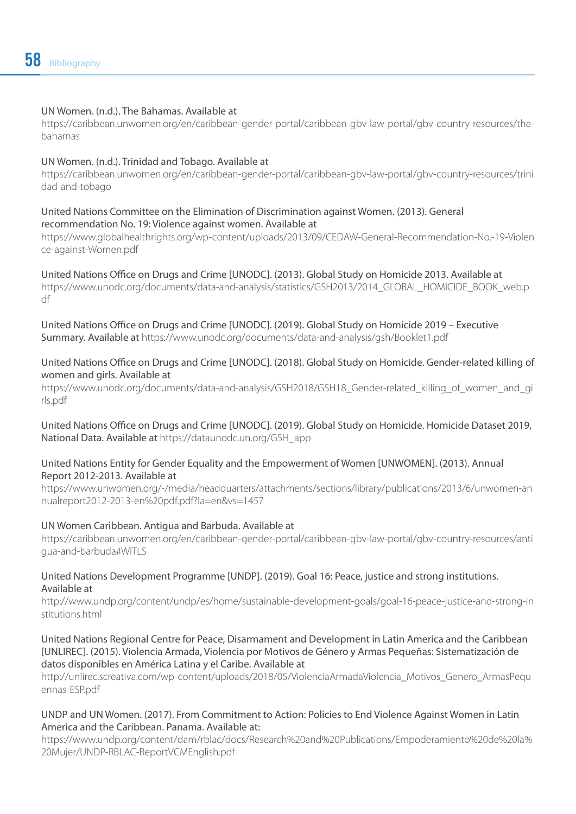#### UN Women. (n.d.). The Bahamas. Available at

https://caribbean.unwomen.org/en/caribbean-gender-portal/caribbean-gbv-law-portal/gbv-country-resources/thebahamas

#### UN Women. (n.d.). Trinidad and Tobago. Available at

https://caribbean.unwomen.org/en/caribbean-gender-portal/caribbean-gbv-law-portal/gbv-country-resources/trini dad-and-tobago

#### United Nations Committee on the Elimination of Discrimination against Women. (2013). General recommendation No. 19: Violence against women. Available at

https://www.globalhealthrights.org/wp-content/uploads/2013/09/CEDAW-General-Recommendation-No.-19-Violen ce-against-Women.pdf

United Nations Office on Drugs and Crime [UNODC]. (2013). Global Study on Homicide 2013. Available at https://www.unodc.org/documents/data-and-analysis/statistics/GSH2013/2014\_GLOBAL\_HOMICIDE\_BOOK\_web.p df

United Nations Office on Drugs and Crime [UNODC]. (2019). Global Study on Homicide 2019 – Executive Summary. Available at https://www.unodc.org/documents/data-and-analysis/gsh/Booklet1.pdf

#### United Nations Office on Drugs and Crime [UNODC]. (2018). Global Study on Homicide. Gender-related killing of women and girls. Available at

https://www.unodc.org/documents/data-and-analysis/GSH2018/GSH18\_Gender-related\_killing\_of\_women\_and\_gi rls.pdf

United Nations Office on Drugs and Crime [UNODC]. (2019). Global Study on Homicide. Homicide Dataset 2019, National Data. Available at https://dataunodc.un.org/GSH\_app

#### United Nations Entity for Gender Equality and the Empowerment of Women [UNWOMEN]. (2013). Annual Report 2012-2013. Available at

https://www.unwomen.org/-/media/headquarters/attachments/sections/library/publications/2013/6/unwomen-an nualreport2012-2013-en%20pdf.pdf?la=en&vs=1457

#### UN Women Caribbean. Antigua and Barbuda. Available at

https://caribbean.unwomen.org/en/caribbean-gender-portal/caribbean-gbv-law-portal/gbv-country-resources/anti gua-and-barbuda#WITLS

#### United Nations Development Programme [UNDP]. (2019). Goal 16: Peace, justice and strong institutions. Available at

http://www.undp.org/content/undp/es/home/sustainable-development-goals/goal-16-peace-justice-and-strong-in stitutions.html

#### United Nations Regional Centre for Peace, Disarmament and Development in Latin America and the Caribbean [UNLIREC]. (2015). Violencia Armada, Violencia por Motivos de Género y Armas Pequeñas: Sistematización de datos disponibles en América Latina y el Caribe. Available at

http://unlirec.screativa.com/wp-content/uploads/2018/05/ViolenciaArmadaViolencia\_Motivos\_Genero\_ArmasPequ ennas-ESP.pdf

#### UNDP and UN Women. (2017). From Commitment to Action: Policies to End Violence Against Women in Latin America and the Caribbean. Panama. Available at:

https://www.undp.org/content/dam/rblac/docs/Research%20and%20Publications/Empoderamiento%20de%20la% 20Mujer/UNDP-RBLAC-ReportVCMEnglish.pdf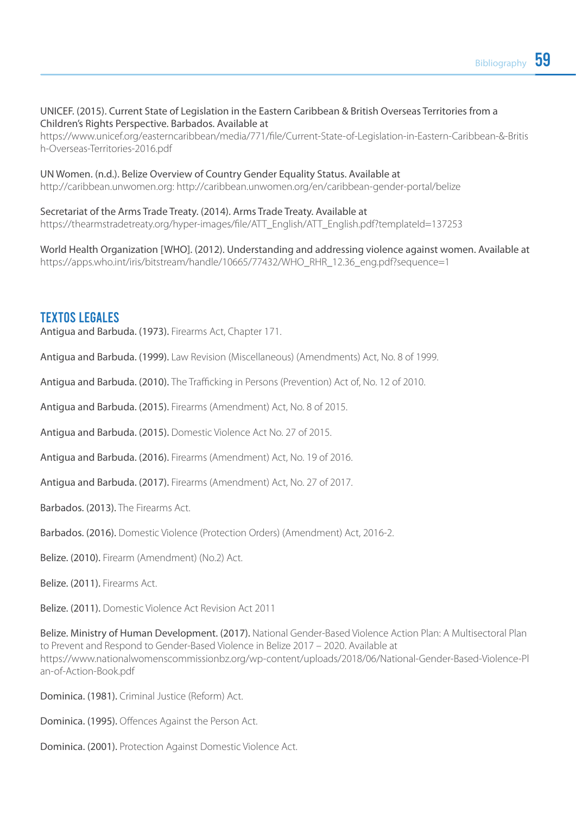#### UNICEF. (2015). Current State of Legislation in the Eastern Caribbean & British Overseas Territories from a Children's Rights Perspective. Barbados. Available at

https://www.unicef.org/easterncaribbean/media/771/file/Current-State-of-Legislation-in-Eastern-Caribbean-&-Britis h-Overseas-Territories-2016.pdf

#### UN Women. (n.d.). Belize Overview of Country Gender Equality Status. Available at

http://caribbean.unwomen.org: http://caribbean.unwomen.org/en/caribbean-gender-portal/belize

Secretariat of the Arms Trade Treaty. (2014). Arms Trade Treaty. Available at https://thearmstradetreaty.org/hyper-images/file/ATT\_English/ATT\_English.pdf?templateId=137253

World Health Organization [WHO]. (2012). Understanding and addressing violence against women. Available at https://apps.who.int/iris/bitstream/handle/10665/77432/WHO\_RHR\_12.36\_eng.pdf?sequence=1

#### TEXTOS LEGALES

Antigua and Barbuda. (1973). Firearms Act, Chapter 171.

Antigua and Barbuda. (1999). Law Revision (Miscellaneous) (Amendments) Act, No. 8 of 1999.

Antigua and Barbuda. (2010). The Trafficking in Persons (Prevention) Act of, No. 12 of 2010.

Antigua and Barbuda. (2015). Firearms (Amendment) Act, No. 8 of 2015.

Antigua and Barbuda. (2015). Domestic Violence Act No. 27 of 2015.

Antigua and Barbuda. (2016). Firearms (Amendment) Act, No. 19 of 2016.

Antigua and Barbuda. (2017). Firearms (Amendment) Act, No. 27 of 2017.

Barbados. (2013). The Firearms Act.

Barbados. (2016). Domestic Violence (Protection Orders) (Amendment) Act, 2016-2.

Belize. (2010). Firearm (Amendment) (No.2) Act.

Belize. (2011). Firearms Act.

Belize. (2011). Domestic Violence Act Revision Act 2011

Belize. Ministry of Human Development. (2017). National Gender-Based Violence Action Plan: A Multisectoral Plan to Prevent and Respond to Gender-Based Violence in Belize 2017 – 2020. Available at https://www.nationalwomenscommissionbz.org/wp-content/uploads/2018/06/National-Gender-Based-Violence-Pl an-of-Action-Book.pdf

Dominica. (1981). Criminal Justice (Reform) Act.

Dominica. (1995). Offences Against the Person Act.

Dominica. (2001). Protection Against Domestic Violence Act.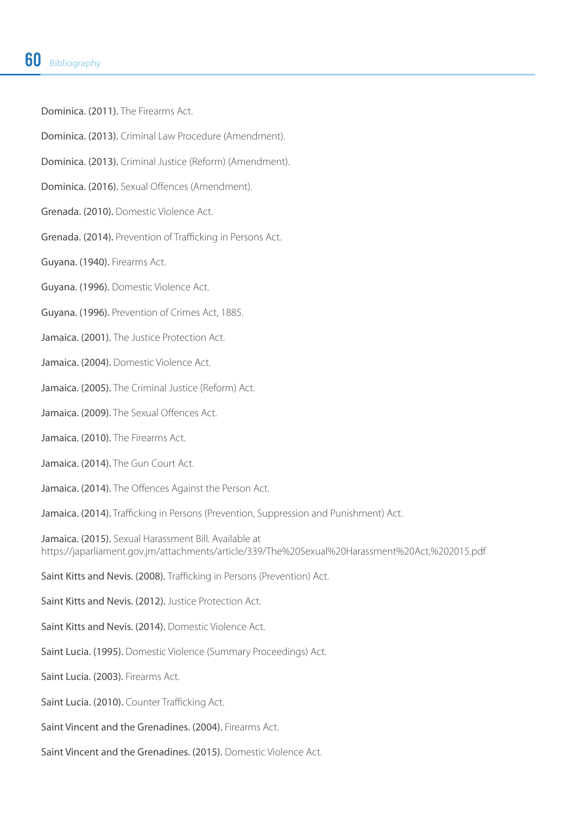Dominica. (2011). The Firearms Act.

Dominica. (2013). Criminal Law Procedure (Amendment).

Dominica. (2013). Criminal Justice (Reform) (Amendment).

Dominica. (2016). Sexual Offences (Amendment).

Grenada. (2010). Domestic Violence Act.

Grenada. (2014). Prevention of Trafficking in Persons Act.

Guyana. (1940). Firearms Act.

Guyana. (1996). Domestic Violence Act.

Guyana. (1996). Prevention of Crimes Act, 1885.

Jamaica. (2001). The Justice Protection Act.

Jamaica. (2004). Domestic Violence Act.

Jamaica. (2005). The Criminal Justice (Reform) Act.

- Jamaica. (2009). The Sexual Offences Act.
- Jamaica. (2010). The Firearms Act.
- Jamaica. (2014). The Gun Court Act.

Jamaica. (2014). The Offences Against the Person Act.

Jamaica. (2014). Trafficking in Persons (Prevention, Suppression and Punishment) Act.

Jamaica. (2015). Sexual Harassment Bill. Available at https://japarliament.gov.jm/attachments/article/339/The%20Sexual%20Harassment%20Act,%202015.pdf

Saint Kitts and Nevis. (2008). Trafficking in Persons (Prevention) Act.

Saint Kitts and Nevis. (2012). Justice Protection Act.

Saint Kitts and Nevis. (2014). Domestic Violence Act.

Saint Lucia. (1995). Domestic Violence (Summary Proceedings) Act.

Saint Lucia. (2003). Firearms Act.

Saint Lucia. (2010). Counter Trafficking Act.

Saint Vincent and the Grenadines. (2004). Firearms Act.

Saint Vincent and the Grenadines. (2015). Domestic Violence Act.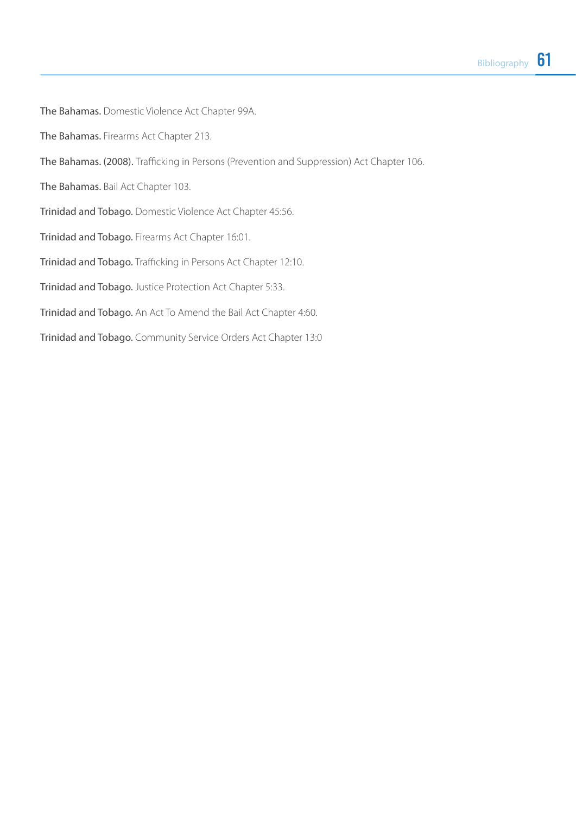The Bahamas. Domestic Violence Act Chapter 99A. The Bahamas. Firearms Act Chapter 213. The Bahamas. (2008). Trafficking in Persons (Prevention and Suppression) Act Chapter 106. The Bahamas. Bail Act Chapter 103. Trinidad and Tobago. Domestic Violence Act Chapter 45:56. Trinidad and Tobago. Firearms Act Chapter 16:01. Trinidad and Tobago. Trafficking in Persons Act Chapter 12:10. Trinidad and Tobago. Justice Protection Act Chapter 5:33. Trinidad and Tobago. An Act To Amend the Bail Act Chapter 4:60. Trinidad and Tobago. Community Service Orders Act Chapter 13:0